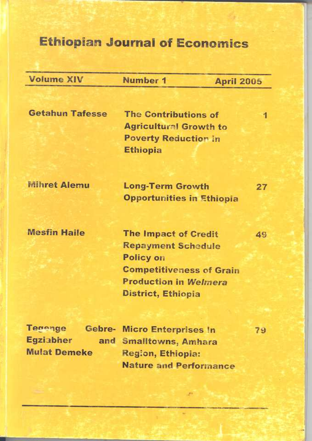# **Ethiopian Journal of Economics**

| <b>Volume XIV</b>                                   |               | Number 1<br><b>April 2005</b>                                                                                                                                                |     |
|-----------------------------------------------------|---------------|------------------------------------------------------------------------------------------------------------------------------------------------------------------------------|-----|
| <b>Getahun Tafesse</b>                              |               | <b>The Contributions of</b><br><b>Agricultural Growth to</b><br><b>Poverty Reduction in</b><br><b>Ethiopia</b>                                                               | 1   |
| <b>Mihret Alemu</b>                                 |               | <b>Long-Term Growth</b><br><b>Opportunities in Ethiopia</b>                                                                                                                  | 27  |
| <b>Mesfin Haile</b>                                 |               | <b>The Impact of Credit</b><br><b>Repayment Schedule</b><br><b>Policy on</b><br><b>Competitiveness of Grain</b><br><b>Production in Welmera</b><br><b>District, Ethiopia</b> | 49  |
| Terrange<br><b>Egziabher</b><br><b>Mulat Demeke</b> | Gebre-<br>and | <b>Micro Enterprises In</b><br><b>Smalltowns, Amhara</b><br><b>Region, Ethiopia:</b>                                                                                         | 79. |

**Nature and Performance** 

ä,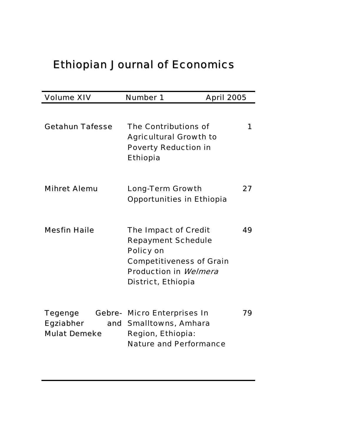# Ethiopian Journal of Economics

| <b>Volume XIV</b>                                  | <b>Number 1</b>                                                                                                                                                | <b>April 2005</b> |
|----------------------------------------------------|----------------------------------------------------------------------------------------------------------------------------------------------------------------|-------------------|
| <b>Getahun Tafesse</b>                             | <b>The Contributions of</b><br><b>Agricultural Growth to</b><br><b>Poverty Reduction in</b><br><b>Ethiopia</b>                                                 |                   |
| <b>Mihret Alemu</b>                                | <b>Long-Term Growth</b><br><b>Opportunities in Ethiopia</b>                                                                                                    | 27                |
| <b>Mesfin Haile</b>                                | <b>The Impact of Credit</b><br><b>Repayment Schedule</b><br><b>Policy on</b><br><b>Competitiveness of Grain</b><br>Production in Welmera<br>District, Ethiopia | 49                |
| Tegenge<br><b>Egziabher</b><br><b>Mulat Demeke</b> | <b>Gebre- Micro Enterprises In</b><br>and Smalltowns, Amhara<br><b>Region, Ethiopia:</b><br><b>Nature and Performance</b>                                      | 79                |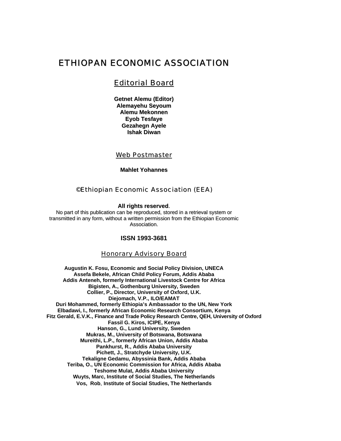## ETHIOPAN ECONOMIC ASSOCIATION

## Editorial Board

**Getnet Alemu (Editor) Alemayehu Seyoum Alemu Mekonnen Eyob Tesfaye Gezahegn Ayele Ishak Diwan**

## Web Postmaster

**Mahlet Yohannes**

## ©Ethiopian Economic Association (EEA)

**All rights reserved**.

No part of this publication can be reproduced, stored in a retrieval system or transmitted in any form, without a written permission from the Ethiopian Economic Association.

## **ISSN 1993-3681**

### Honorary Advisory Board

**Augustin K. Fosu, Economic and Social Policy Division, UNECA Assefa Bekele, African Child Policy Forum, Addis Ababa Addis Anteneh, formerly International Livestock Centre for Africa Bigisten, A., Gothenburg University, Sweden Collier, P., Director, University of Oxford, U.K. Diejomach, V.P., ILO/EAMAT Duri Mohammed, formerly Ethiopia's Ambassador to the UN, New York Elbadawi, I., formerly African Economic Research Consortium, Kenya Fitz Gerald, E.V.K., Finance and Trade Policy Research Centre, QEH, University of Oxford Fassil G. Kiros, ICIPE, Kenya Hanson, G., Lund University, Sweden Mukras, M., University of Botswana, Botswana Mureithi, L.P., formerly African Union, Addis Ababa Pankhurst, R., Addis Ababa University Pichett, J., Stratchyde University, U.K. Tekaligne Gedamu, Abyssinia Bank, Addis Ababa Teriba, O., UN Economic Commission for Africa, Addis Ababa Teshome Mulat, Addis Ababa University Wuyts, Marc, Institute of Social Studies, The Netherlands Vos, Rob**, **Institute of Social Studies, The Netherlands**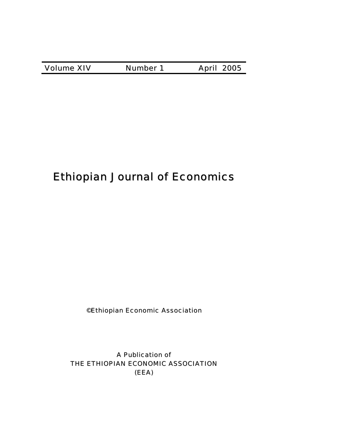| <b>Volume XIV</b> | Number 1 | <b>April 2005</b> |
|-------------------|----------|-------------------|
|-------------------|----------|-------------------|

# Ethiopian Journal of Economics

©Ethiopian Economic Association

A Publication of THE ETHIOPIAN ECONOMIC ASSOCIATION (EEA)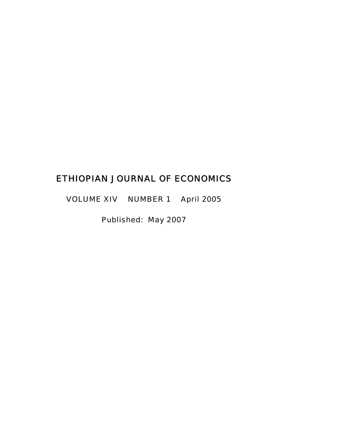# ETHIOPIAN JOURNAL OF ECONOMICS

VOLUME XIV NUMBER 1 April 2005

Published: May 2007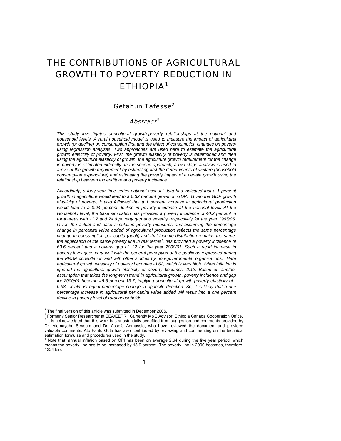## THE CONTRIBUTIONS OF AGRICULTURAL GROWTH TO POVERTY REDUCTION IN ETHIOPIA1

## Getahun Tafesse<sup>2</sup>

### Abstract<sup>3</sup>

*This study investigates agricultural growth-poverty relationships at the national and household levels. A rural household model is used to measure the impact of agricultural growth (or decline) on consumption first and the effect of consumption changes on poverty using regression analyses. Two approaches are used here to estimate the agricultural growth elasticity of poverty. First, the growth elasticity of poverty is determined and then using the agriculture elasticity of growth, the agriculture growth requirement for the change in poverty is estimated indirectly. In the second approach, a two-stage analysis is used to arrive at the growth requirement by estimating first the determinants of welfare (household consumption expenditure) and estimating the poverty impact of a certain growth using the relationship between expenditure and poverty incidence.* 

*Accordingly, a forty-year time-series national account data has indicated that a 1 percent growth in agriculture would lead to a 0.32 percent growth in GDP. Given the GDP growth elasticity of poverty, it also followed that a 1 percent increase in agricultural production would lead to a 0.24 percent decline in poverty incidence at the national level. At the Household level, the base simulation has provided a poverty incidence of 40.2 percent in rural areas with 11.2 and 24.9 poverty gap and severity respectively for the year 1995/96. Given the actual and base simulation poverty measures and assuming the percentage change in percapita value added of agricultural production reflects the same percentage change in consumption per capita (adult) and that income distribution remains the same, the application of the same poverty line in real terms<sup>4</sup> , has provided a poverty incidence of 63.6 percent and a poverty gap of .22 for the year 2000/01. Such a rapid increase in poverty level goes very well with the general perception of the public as expressed during the PRSP consultation and with other studies by non-governmental organizations. Here agricultural growth elasticity of poverty becomes -3.62, which is very high. When inflation is ignored the agricultural growth elasticity of poverty becomes -2.12. Based on another assumption that takes the long-term trend in agricultural growth, poverty incidence and gap for 2000/01 become 46.5 percent 13.7, implying agricultural growth poverty elasticity of - 0.98, or almost equal percentage change in opposite direction. So, it is likely that a one percentage increase in agricultural per capita value added will result into a one percent decline in poverty level of rural households.* 

 $\overline{a}$ 

 $1$  The final version of this article was submitted in December 2006.

<sup>&</sup>lt;sup>2</sup> Formerly Senior Researcher at EEA/EEPRI, Currently M&E Advisor, Ethiopia Canada Cooperation Office.  $3$  It is acknowledged that this work has substantially benefited from suggestion and comments provided by Dr. Alemayehu Seyoum and Dr, Assefa Admassie, who have reviewed the document and provided valuable comments. Ato Fantu Guta has also contributed by reviewing and commenting on the technical estimation formulas and procedures used in the study.<br><sup>4</sup> Nets that, annual inflation begad an CDL has been.

Note that, annual inflation based on CPI has been on average 2.64 during the five year period, which means the poverty line has to be increased by 13.9 percent. The poverty line in 2000 becomes, therefore, 1224 birr.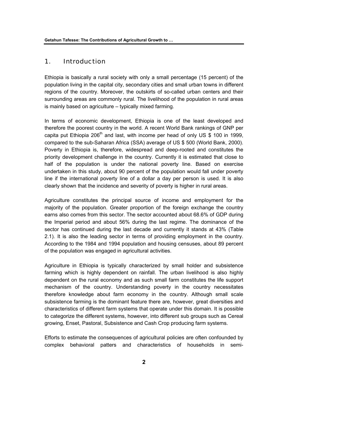## 1. Introduction

Ethiopia is basically a rural society with only a small percentage (15 percent) of the population living in the capital city, secondary cities and small urban towns in different regions of the country. Moreover, the outskirts of so-called urban centers and their surrounding areas are commonly rural. The livelihood of the population in rural areas is mainly based on agriculture – typically mixed farming.

In terms of economic development, Ethiopia is one of the least developed and therefore the poorest country in the world. A recent World Bank rankings of GNP per capita put Ethiopia 206<sup>th</sup> and last, with income per head of only US \$ 100 in 1999, compared to the sub-Saharan Africa (SSA) average of US \$ 500 (World Bank, 2000). Poverty in Ethiopia is, therefore, widespread and deep-rooted and constitutes the priority development challenge in the country. Currently it is estimated that close to half of the population is under the national poverty line. Based on exercise undertaken in this study, about 90 percent of the population would fall under poverty line if the international poverty line of a dollar a day per person is used. It is also clearly shown that the incidence and severity of poverty is higher in rural areas.

Agriculture constitutes the principal source of income and employment for the majority of the population. Greater proportion of the foreign exchange the country earns also comes from this sector. The sector accounted about 68.6% of GDP during the Imperial period and about 56% during the last regime. The dominance of the sector has continued during the last decade and currently it stands at 43% (Table 2.1). It is also the leading sector in terms of providing employment in the country. According to the 1984 and 1994 population and housing censuses, about 89 percent of the population was engaged in agricultural activities.

Agriculture in Ethiopia is typically characterized by small holder and subsistence farming which is highly dependent on rainfall. The urban livelihood is also highly dependent on the rural economy and as such small farm constitutes the life support mechanism of the country. Understanding poverty in the country necessitates therefore knowledge about farm economy in the country. Although small scale subsistence farming is the dominant feature there are, however, great diversities and characteristics of different farm systems that operate under this domain. It is possible to categorize the different systems, however, into different sub groups such as Cereal growing, Enset, Pastoral, Subsistence and Cash Crop producing farm systems.

Efforts to estimate the consequences of agricultural policies are often confounded by complex behavioral patters and characteristics of households in semi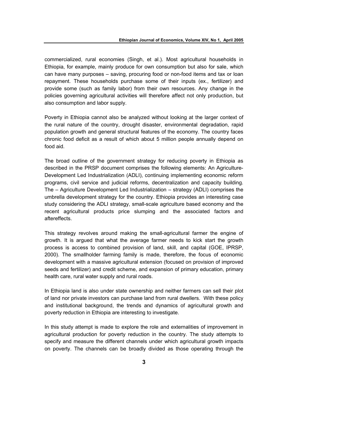commercialized, rural economies (Singh, et al.). Most agricultural households in Ethiopia, for example, mainly produce for own consumption but also for sale, which can have many purposes – saving, procuring food or non-food items and tax or loan repayment. These households purchase some of their inputs (ex., fertilizer) and provide some (such as family labor) from their own resources. Any change in the policies governing agricultural activities will therefore affect not only production, but also consumption and labor supply.

Poverty in Ethiopia cannot also be analyzed without looking at the larger context of the rural nature of the country, drought disaster, environmental degradation, rapid population growth and general structural features of the economy. The country faces chronic food deficit as a result of which about 5 million people annually depend on food aid.

The broad outline of the government strategy for reducing poverty in Ethiopia as described in the PRSP document comprises the following elements: An Agriculture-Development Led Industrialization (ADLI), continuing implementing economic reform programs, civil service and judicial reforms, decentralization and capacity building. The – Agriculture Development Led Industrialization – strategy (ADLI) comprises the umbrella development strategy for the country. Ethiopia provides an interesting case study considering the ADLI strategy, small-scale agriculture based economy and the recent agricultural products price slumping and the associated factors and aftereffects.

This strategy revolves around making the small-agricultural farmer the engine of growth. It is argued that what the average farmer needs to kick start the growth process is access to combined provision of land, skill, and capital (GOE, IPRSP, 2000). The smallholder farming family is made, therefore, the focus of economic development with a massive agricultural extension (focused on provision of improved seeds and fertilizer) and credit scheme, and expansion of primary education, primary health care, rural water supply and rural roads.

In Ethiopia land is also under state ownership and neither farmers can sell their plot of land nor private investors can purchase land from rural dwellers. With these policy and institutional background, the trends and dynamics of agricultural growth and poverty reduction in Ethiopia are interesting to investigate.

In this study attempt is made to explore the role and externalities of improvement in agricultural production for poverty reduction in the country. The study attempts to specify and measure the different channels under which agricultural growth impacts on poverty. The channels can be broadly divided as those operating through the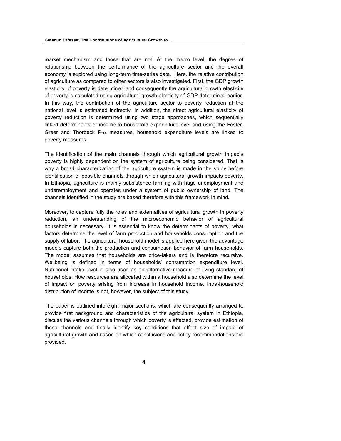market mechanism and those that are not. At the macro level, the degree of relationship between the performance of the agriculture sector and the overall economy is explored using long-term time-series data. Here, the relative contribution of agriculture as compared to other sectors is also investigated. First, the GDP growth elasticity of poverty is determined and consequently the agricultural growth elasticity of poverty is calculated using agricultural growth elasticity of GDP determined earlier. In this way, the contribution of the agriculture sector to poverty reduction at the national level is estimated indirectly. In addition, the direct agricultural elasticity of poverty reduction is determined using two stage approaches, which sequentially linked determinants of income to household expenditure level and using the Foster, Greer and Thorbeck P- $\alpha$  measures, household expenditure levels are linked to poverty measures.

The identification of the main channels through which agricultural growth impacts poverty is highly dependent on the system of agriculture being considered. That is why a broad characterization of the agriculture system is made in the study before identification of possible channels through which agricultural growth impacts poverty. In Ethiopia, agriculture is mainly subsistence farming with huge unemployment and underemployment and operates under a system of public ownership of land. The channels identified in the study are based therefore with this framework in mind.

Moreover, to capture fully the roles and externalities of agricultural growth in poverty reduction, an understanding of the microeconomic behavior of agricultural households is necessary. It is essential to know the determinants of poverty, what factors determine the level of farm production and households consumption and the supply of labor. The agricultural household model is applied here given the advantage models capture both the production and consumption behavior of farm households. The model assumes that households are price-takers and is therefore recursive. Wellbeing is defined in terms of households' consumption expenditure level. Nutritional intake level is also used as an alternative measure of living standard of households. How resources are allocated within a household also determine the level of impact on poverty arising from increase in household income. Intra-household distribution of income is not, however, the subject of this study.

The paper is outlined into eight major sections, which are consequently arranged to provide first background and characteristics of the agricultural system in Ethiopia, discuss the various channels through which poverty is affected, provide estimation of these channels and finally identify key conditions that affect size of impact of agricultural growth and based on which conclusions and policy recommendations are provided.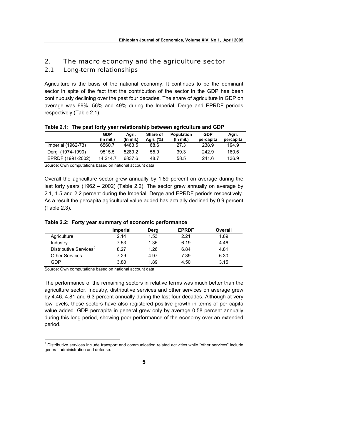## 2. The macro economy and the agriculture sector 2.1 Long-term relationships

Agriculture is the basis of the national economy. It continues to be the dominant sector in spite of the fact that the contribution of the sector in the GDP has been continuously declining over the past four decades. The share of agriculture in GDP on average was 69%, 56% and 49% during the Imperial, Derge and EPRDF periods respectively (Table 2.1).

|                    | <b>GDP</b><br>$(ln \text{ mil.})$ | Aari.<br>$(ln \text{ mil.})$ | Share of<br>Agri. (%) | <b>Population</b><br>$(ln \text{ mil.})$ | <b>GDP</b><br>percapita | Aari.<br>percapita |
|--------------------|-----------------------------------|------------------------------|-----------------------|------------------------------------------|-------------------------|--------------------|
| Imperial (1962-73) | 6560.7                            | 4463.5                       | 68.6                  | 27.3                                     | 238.9                   | 194.9              |
| Derg (1974-1990)   | 9515.5                            | 5289.2                       | 55.9                  | 39.3                                     | 242.9                   | 160.6              |
| EPRDF (1991-2002)  | 14.214.7                          | 6837.6                       | 48.7                  | 58.5                                     | 241.6                   | 136.9              |
|                    |                                   |                              |                       |                                          |                         |                    |

**Table 2.1: The past forty year relationship between agriculture and GDP** 

Source: Own computations based on national account data

Overall the agriculture sector grew annually by 1.89 percent on average during the last forty years (1962 – 2002) (Table 2.2). The sector grew annually on average by 2.1, 1.5 and 2.2 percent during the Imperial, Derge and EPRDF periods respectively. As a result the percapita agricultural value added has actually declined by 0.9 percent (Table 2.3).

|  |  |  | Table 2.2: Forty year summary of economic performance |  |
|--|--|--|-------------------------------------------------------|--|
|--|--|--|-------------------------------------------------------|--|

|                                    | <b>Imperial</b> | Dera | <b>EPRDF</b> | Overall |
|------------------------------------|-----------------|------|--------------|---------|
| Agriculture                        | 2.14            | 1.53 | 2.21         | 1.89    |
| Industry                           | 7.53            | 1.35 | 6.19         | 4.46    |
| Distributive Services <sup>5</sup> | 8.27            | 1.26 | 6.84         | 4.81    |
| <b>Other Services</b>              | 7.29            | 4.97 | 7.39         | 6.30    |
| GDP                                | 3.80            | 1.89 | 4.50         | 3.15    |

Source: Own computations based on national account data

l

The performance of the remaining sectors in relative terms was much better than the agriculture sector. Industry, distributive services and other services on average grew by 4.46, 4.81 and 6.3 percent annually during the last four decades. Although at very low levels, these sectors have also registered positive growth in terms of per capita value added. GDP percapita in general grew only by average 0.58 percent annually during this long period, showing poor performance of the economy over an extended period.

<sup>&</sup>lt;sup>5</sup> Distributive services include transport and communication related activities while "other services" include general administration and defense.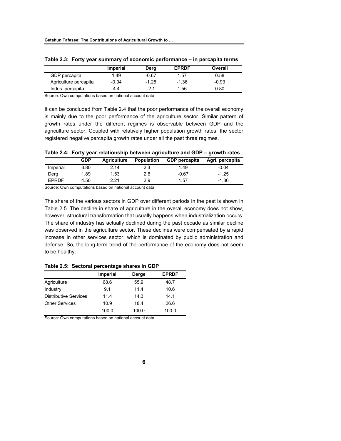|                       | <b>Imperial</b> | Derg    | <b>EPRDF</b> | Overall |
|-----------------------|-----------------|---------|--------------|---------|
| GDP percapita         | 1.49            | $-0.67$ | 1.57         | 0.58    |
| Agriculture percapita | $-0.04$         | $-1.25$ | $-1.36$      | $-0.93$ |
| Indus. percapita      | 4.4             | $-2.1$  | 1.56         | 0.80    |

**Table 2.3: Forty year summary of economic performance – in percapita terms** 

Source: Own computations based on national account data

It can be concluded from Table 2.4 that the poor performance of the overall economy is mainly due to the poor performance of the agriculture sector. Similar pattern of growth rates under the different regimes is observable between GDP and the agriculture sector. Coupled with relatively higher population growth rates, the sector registered negative percapita growth rates under all the past three regimes.

**Table 2.4: Forty year relationship between agriculture and GDP – growth rates**

|          | <b>GDP</b> | <b>Agriculture</b> | <b>Population</b> | <b>GDP</b> percapita | Agri. percapita |
|----------|------------|--------------------|-------------------|----------------------|-----------------|
| Imperial | 3.80       | 2.14               | 2.3               | 1.49                 | $-0.04$         |
| Derg     | 1.89       | 1.53               | 2.6               | $-0.67$              | $-1.25$         |
| FPRDF    | 4.50       | 221                | 2.9               | 1.57                 | $-1.36$         |

Source: Own computations based on national account data

The share of the various sectors in GDP over different periods in the past is shown in Table 2.5. The decline in share of agriculture in the overall economy does not show, however, structural transformation that usually happens when industrialization occurs. The share of industry has actually declined during the past decade as similar decline was observed in the agriculture sector. These declines were compensated by a rapid increase in other services sector, which is dominated by public administration and defense. So, the long-term trend of the performance of the economy does not seem to be healthy.

|  |  | Table 2.5: Sectoral percentage shares in GDP |  |  |
|--|--|----------------------------------------------|--|--|
|--|--|----------------------------------------------|--|--|

|                              | <b>Imperial</b> | Derge | <b>EPRDF</b> |
|------------------------------|-----------------|-------|--------------|
| Agriculture                  | 68.6            | 55.9  | 48.7         |
| Industry                     | 9.1             | 11.4  | 10.6         |
| <b>Distributive Services</b> | 11.4            | 14.3  | 14.1         |
| <b>Other Services</b>        | 10.9            | 18.4  | 26.6         |
|                              | 100.0           | 100.0 | 100.0        |

Source: Own computations based on national account data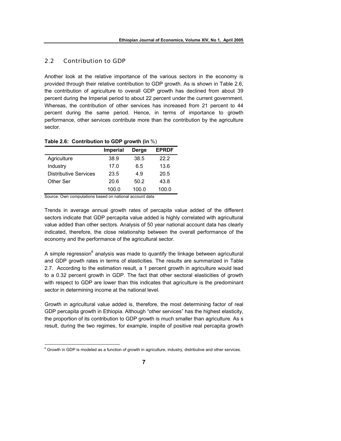## 2.2 Contribution to GDP

Another look at the relative importance of the various sectors in the economy is provided through their relative contribution to GDP growth. As is shown in Table 2.6, the contribution of agriculture to overall GDP growth has declined from about 39 percent during the Imperial period to about 22 percent under the current government. Whereas, the contribution of other services has increased from 21 percent to 44 percent during the same period. Hence, in terms of importance to growth performance, other services contribute more than the contribution by the agriculture sector.

|                              | <b>Imperial</b> | Derge | <b>EPRDF</b> |
|------------------------------|-----------------|-------|--------------|
| Agriculture                  | 38.9            | 38.5  | 22.2         |
| Industry                     | 17.0            | 6.5   | 13.6         |
| <b>Distributive Services</b> | 23.5            | 4.9   | 20.5         |
| Other Ser                    | 20.6            | 50.2  | 43.8         |
|                              | 100.0           | 100.0 | 100.0        |

#### **Table 2.6: Contribution to GDP growth (in** %)

Source: Own computations based on national account data

Trends in average annual growth rates of percapita value added of the different sectors indicate that GDP percapita value added is highly correlated with agricultural value added than other sectors. Analysis of 50 year national account data has clearly indicated, therefore, the close relationship between the overall performance of the economy and the performance of the agricultural sector.

A simple regression<sup>6</sup> analysis was made to quantify the linkage between agricultural and GDP growth rates in terms of elasticities. The results are summarized in Table 2.7. According to the estimation result, a 1 percent growth in agriculture would lead to a 0.32 percent growth in GDP. The fact that other sectoral elasticities of growth with respect to GDP are lower than this indicates that agriculture is the predominant sector in determining income at the national level.

Growth in agricultural value added is, therefore, the most determining factor of real GDP percapita growth in Ethiopia. Although "other services" has the highest elasticity, the proportion of its contribution to GDP growth is much smaller than agriculture. As s result, during the two regimes, for example, inspite of positive real percapita growth

 6 Growth in GDP is modeled as a function of growth in agriculture, industry, distributive and other services.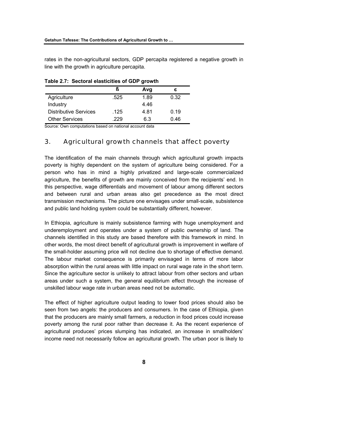rates in the non-agricultural sectors, GDP percapita registered a negative growth in line with the growth in agriculture percapita.

|  |  | Table 2.7: Sectoral elasticities of GDP growth |  |  |  |
|--|--|------------------------------------------------|--|--|--|
|--|--|------------------------------------------------|--|--|--|

|                              |      | Avg  | E    |
|------------------------------|------|------|------|
| Agriculture                  | .525 | 1.89 | 0.32 |
| Industry                     |      | 4.46 |      |
| <b>Distributive Services</b> | .125 | 4.81 | 0.19 |
| <b>Other Services</b>        | 229  | 6.3  | 0.46 |

Source: Own computations based on national account data

## 3. Agricultural growth channels that affect poverty

The identification of the main channels through which agricultural growth impacts poverty is highly dependent on the system of agriculture being considered. For a person who has in mind a highly privatized and large-scale commercialized agriculture, the benefits of growth are mainly conceived from the recipients' end. In this perspective, wage differentials and movement of labour among different sectors and between rural and urban areas also get precedence as the most direct transmission mechanisms. The picture one envisages under small-scale, subsistence and public land holding system could be substantially different, however.

In Ethiopia, agriculture is mainly subsistence farming with huge unemployment and underemployment and operates under a system of public ownership of land. The channels identified in this study are based therefore with this framework in mind. In other words, the most direct benefit of agricultural growth is improvement in welfare of the small-holder assuming price will not decline due to shortage of effective demand. The labour market consequence is primarily envisaged in terms of more labor absorption within the rural areas with little impact on rural wage rate in the short term. Since the agriculture sector is unlikely to attract labour from other sectors and urban areas under such a system, the general equilibrium effect through the increase of unskilled labour wage rate in urban areas need not be automatic.

The effect of higher agriculture output leading to lower food prices should also be seen from two angels: the producers and consumers. In the case of Ethiopia, given that the producers are mainly small farmers, a reduction in food prices could increase poverty among the rural poor rather than decrease it. As the recent experience of agricultural produces' prices slumping has indicated, an increase in smallholders' income need not necessarily follow an agricultural growth. The urban poor is likely to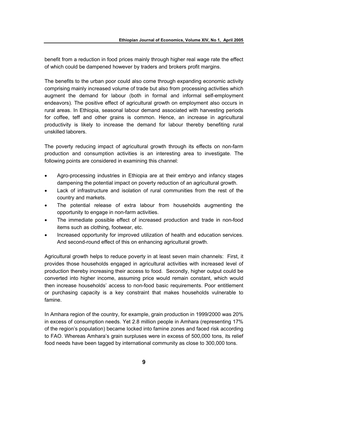benefit from a reduction in food prices mainly through higher real wage rate the effect of which could be dampened however by traders and brokers profit margins.

The benefits to the urban poor could also come through expanding economic activity comprising mainly increased volume of trade but also from processing activities which augment the demand for labour (both in formal and informal self-employment endeavors). The positive effect of agricultural growth on employment also occurs in rural areas. In Ethiopia, seasonal labour demand associated with harvesting periods for coffee, teff and other grains is common. Hence, an increase in agricultural productivity is likely to increase the demand for labour thereby benefiting rural unskilled laborers.

The poverty reducing impact of agricultural growth through its effects on non-farm production and consumption activities is an interesting area to investigate. The following points are considered in examining this channel:

- Agro-processing industries in Ethiopia are at their embryo and infancy stages dampening the potential impact on poverty reduction of an agricultural growth.
- Lack of infrastructure and isolation of rural communities from the rest of the country and markets.
- The potential release of extra labour from households augmenting the opportunity to engage in non-farm activities.
- The immediate possible effect of increased production and trade in non-food items such as clothing, footwear, etc.
- Increased opportunity for improved utilization of health and education services. And second-round effect of this on enhancing agricultural growth.

Agricultural growth helps to reduce poverty in at least seven main channels: First, it provides those households engaged in agricultural activities with increased level of production thereby increasing their access to food. Secondly, higher output could be converted into higher income, assuming price would remain constant, which would then increase households' access to non-food basic requirements. Poor entitlement or purchasing capacity is a key constraint that makes households vulnerable to famine.

In Amhara region of the country, for example, grain production in 1999/2000 was 20% in excess of consumption needs. Yet 2.8 million people in Amhara (representing 17% of the region's population) became locked into famine zones and faced risk according to FAO. Whereas Amhara's grain surpluses were in excess of 500,000 tons, its relief food needs have been tagged by international community as close to 300,000 tons.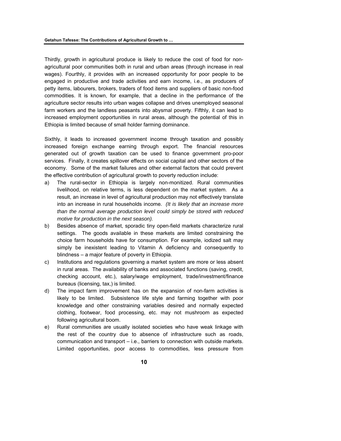Thirdly, growth in agricultural produce is likely to reduce the cost of food for nonagricultural poor communities both in rural and urban areas (through increase in real wages). Fourthly, it provides with an increased opportunity for poor people to be engaged in productive and trade activities and earn income, i.e., as producers of petty items, labourers, brokers, traders of food items and suppliers of basic non-food commodities. It is known, for example, that a decline in the performance of the agriculture sector results into urban wages collapse and drives unemployed seasonal farm workers and the landless peasants into abysmal poverty. Fifthly, it can lead to increased employment opportunities in rural areas, although the potential of this in Ethiopia is limited because of small holder farming dominance.

Sixthly, it leads to increased government income through taxation and possibly increased foreign exchange earning through export. The financial resources generated out of growth taxation can be used to finance government pro-poor services. Finally, it creates spillover effects on social capital and other sectors of the economy. Some of the market failures and other external factors that could prevent the effective contribution of agricultural growth to poverty reduction include:

- a) The rural-sector in Ethiopia is largely non-monitized. Rural communities livelihood, on relative terms, is less dependent on the market system. As a result, an increase in level of agricultural production may not effectively translate into an increase in rural households income. *(It is likely that an increase more than the normal average production level could simply be stored with reduced motive for production in the next season).*
- b) Besides absence of market, sporadic tiny open-field markets characterize rural settings. The goods available in these markets are limited constraining the choice farm households have for consumption. For example, iodized salt may simply be inexistent leading to Vitamin A deficiency and consequently to blindness – a major feature of poverty in Ethiopia.
- c) Institutions and regulations governing a market system are more or less absent in rural areas. The availability of banks and associated functions (saving, credit, checking account, etc.), salary/wage employment, trade/investment/finance bureaus (licensing, tax,) is limited.
- d) The impact farm improvement has on the expansion of non-farm activities is likely to be limited. Subsistence life style and farming together with poor knowledge and other constraining variables desired and normally expected clothing, footwear, food processing, etc. may not mushroom as expected following agricultural boom.
- e) Rural communities are usually isolated societies who have weak linkage with the rest of the country due to absence of infrastructure such as roads, communication and transport – i.e., barriers to connection with outside markets. Limited opportunities, poor access to commodities, less pressure from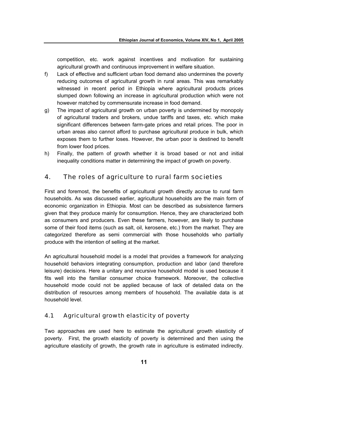competition, etc. work against incentives and motivation for sustaining agricultural growth and continuous improvement in welfare situation.

- f) Lack of effective and sufficient urban food demand also undermines the poverty reducing outcomes of agricultural growth in rural areas. This was remarkably witnessed in recent period in Ethiopia where agricultural products prices slumped down following an increase in agricultural production which were not however matched by commensurate increase in food demand.
- g) The impact of agricultural growth on urban poverty is undermined by monopoly of agricultural traders and brokers, undue tariffs and taxes, etc. which make significant differences between farm-gate prices and retail prices. The poor in urban areas also cannot afford to purchase agricultural produce in bulk, which exposes them to further loses. However, the urban poor is destined to benefit from lower food prices.
- h) Finally, the pattern of growth whether it is broad based or not and initial inequality conditions matter in determining the impact of growth on poverty.

## 4. The roles of agriculture to rural farm societies

First and foremost, the benefits of agricultural growth directly accrue to rural farm households. As was discussed earlier, agricultural households are the main form of economic organization in Ethiopia. Most can be described as subsistence farmers given that they produce mainly for consumption. Hence, they are characterized both as consumers and producers. Even these farmers, however, are likely to purchase some of their food items (such as salt, oil, kerosene, etc.) from the market. They are categorized therefore as semi commercial with those households who partially produce with the intention of selling at the market.

An agricultural household model is a model that provides a framework for analyzing household behaviors integrating consumption, production and labor (and therefore leisure) decisions. Here a unitary and recursive household model is used because it fits well into the familiar consumer choice framework. Moreover, the collective household mode could not be applied because of lack of detailed data on the distribution of resources among members of household. The available data is at household level.

## 4.1 Agricultural growth elasticity of poverty

Two approaches are used here to estimate the agricultural growth elasticity of poverty. First, the growth elasticity of poverty is determined and then using the agriculture elasticity of growth, the growth rate in agriculture is estimated indirectly.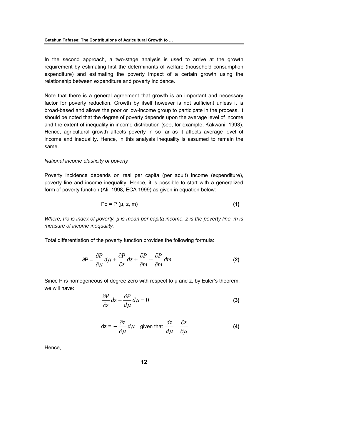In the second approach, a two-stage analysis is used to arrive at the growth requirement by estimating first the determinants of welfare (household consumption expenditure) and estimating the poverty impact of a certain growth using the relationship between expenditure and poverty incidence.

Note that there is a general agreement that growth is an important and necessary factor for poverty reduction. Growth by itself however is not sufficient unless it is broad-based and allows the poor or low-income group to participate in the process. It should be noted that the degree of poverty depends upon the average level of income and the extent of inequality in income distribution (see, for example, Kakwani, 1993). Hence, agricultural growth affects poverty in so far as it affects average level of income and inequality. Hence, in this analysis inequality is assumed to remain the same.

#### *National income elasticity of poverty*

Poverty incidence depends on real per capita (per adult) income (expenditure), poverty line and income inequality. Hence, it is possible to start with a generalized form of poverty function (Ali, 1998, ECA 1999) as given in equation below:

$$
Po = P(\mu, z, m) \tag{1}
$$

*Where, Po is index of poverty, µ is mean per capita income, z is the poverty line, m is measure of income inequality.* 

Total differentiation of the poverty function provides the following formula:

$$
\partial P = \frac{\partial P}{\partial \mu} d\mu + \frac{\partial P}{\partial z} dz + \frac{\partial P}{\partial m} + \frac{\partial P}{\partial m} dm
$$
 (2)

Since P is homogeneous of degree zero with respect to  $\mu$  and  $z$ , by Euler's theorem, we will have:

$$
\frac{\partial P}{\partial z} dz + \frac{\partial P}{\partial \mu} d\mu = 0
$$
 (3)

$$
dz = -\frac{\partial z}{\partial \mu} d\mu \quad \text{given that } \frac{dz}{d\mu} = \frac{\partial z}{\partial \mu} \tag{4}
$$

Hence,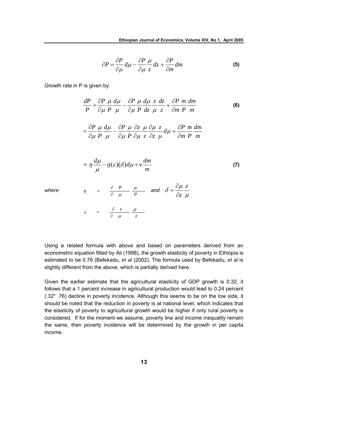$$
\partial P = \frac{\partial P}{\partial \mu} d\mu - \frac{\partial P}{\partial \mu} \frac{\mu}{z} dz + \frac{\partial P}{\partial m} dm
$$
 (5)

Growth rate in P is given by:

$$
\frac{dP}{P} = \frac{\partial P}{\partial \mu} \frac{\mu}{P} \frac{d\mu}{\mu} - \frac{\partial P}{\partial \mu} \frac{\mu}{P} \frac{d\mu}{dz} \frac{z}{\mu} \frac{dz}{z} + \frac{\partial P}{\partial m} \frac{m}{P} \frac{dm}{m}
$$
(6)

$$
= \frac{\partial P}{\partial \mu} \frac{\mu}{P} \frac{d\mu}{\mu} - \frac{\partial P}{\partial \mu} \frac{\mu}{P} \frac{\partial z}{\partial \mu} \frac{\mu}{z} \frac{\partial \mu}{\partial z} \frac{z}{\mu} d\mu + \frac{\partial P}{\partial m} \frac{m}{P} \frac{dm}{m}
$$

$$
= \eta \frac{d\mu}{\mu} - \eta(\varepsilon)(\delta) d\mu + v \frac{dm}{m}
$$
 (7)

*where* 

$$
\eta = \frac{\partial P}{\partial \mu} \frac{\mu}{P} \quad \text{and} \quad \delta = \frac{\partial \mu}{\partial z} \frac{z}{\mu}
$$
\n
$$
\varepsilon = \frac{\partial z}{\partial \mu} \frac{\mu}{z}
$$

Using a related formula with above and based on parameters derived from an econometric equation fitted by Ali (1998), the growth elasticity of poverty in Ethiopia is estimated to be 0.76 (Befekadu, *et al* (2002). The formula used by Befekadu, *et al* is slightly different from the above, which is partially derived here.

Given the earlier estimate that the agricultural elasticity of GDP growth is 0.32, it follows that a 1 percent increase in agricultural production would lead to 0.24 percent (.32\* .76) decline in poverty incidence. Although this seems to be on the low side, it should be noted that the reduction in poverty is at national level, which indicates that the elasticity of poverty to agricultural growth would be higher if only rural poverty is considered. If for the moment we assume, poverty line and income inequality remain the same, then poverty incidence will be determined by the growth in per capita income.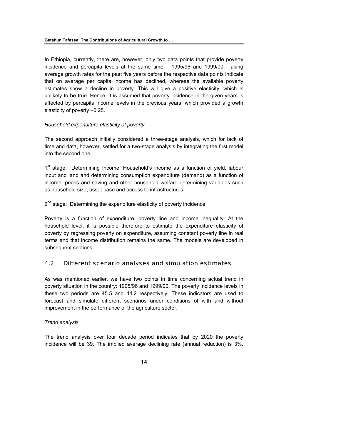In Ethiopia, currently, there are, however, only two data points that provide poverty incidence and percapita levels at the same time – 1995/96 and 1999/00. Taking average growth rates for the past five years before the respective data points indicate that on average per capita income has declined, whereas the available poverty estimates show a decline in poverty. This will give a positive elasticity, which is unlikely to be true. Hence, it is assumed that poverty incidence in the given years is affected by percapita income levels in the previous years, which provided a growth elasticity of poverty –0.25.

#### *Household expenditure elasticity of poverty*

The second approach initially considered a three-stage analysis, which for lack of time and data, however, settled for a two-stage analysis by integrating the first model into the second one.

1<sup>st</sup> stage: Determining Income: Household's income as a function of yield, labour input and land and determining consumption expenditure (demand) as a function of income, prices and saving and other household welfare determining variables such as household size, asset base and access to infrastructures.

 $2^{nd}$  stage: Determining the expenditure elasticity of poverty incidence

Poverty is a function of expenditure, poverty line and income inequality. At the household level, it is possible therefore to estimate the expenditure elasticity of poverty by regressing poverty on expenditure, assuming constant poverty line in real terms and that income distribution remains the same. The models are developed in subsequent sections.

### 4.2 Different scenario analyses and simulation estimates

As was mentioned earlier, we have two points in time concerning actual trend in poverty situation in the country: 1995/96 and 1999/00. The poverty incidence levels in these two periods are 45.5 and 44.2 respectively. These indicators are used to forecast and simulate different scenarios under conditions of with and without improvement in the performance of the agriculture sector.

#### *Trend analysis*

The trend analysis over four decade period indicates that by 2020 the poverty incidence will be 39. The implied average declining rate (annual reduction) is 3%.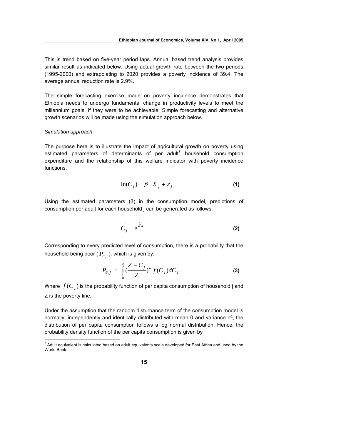This is trend based on five-year period laps. Annual based trend analysis provides similar result as indicated below. Using actual growth rate between the two periods (1995-2000) and extrapolating to 2020 provides a poverty incidence of 39.4. The average annual reduction rate is 2.9%.

The simple forecasting exercise made on poverty incidence demonstrates that Ethiopia needs to undergo fundamental change in productivity levels to meet the millennium goals, if they were to be achievable. Simple forecasting and alternative growth scenarios will be made using the simulation approach below.

#### *Simulation approach*

l

The purpose here is to illustrate the impact of agricultural growth on poverty using estimated parameters of determinants of per adult<sup>7</sup> household consumption expenditure and the relationship of this welfare indicator with poverty incidence functions.

$$
\ln(C_j) = \beta^{\top} X_j + \varepsilon_j \tag{1}
$$

Using the estimated parameters (β) in the consumption model, predictions of consumption per adult for each household j can be generated as follows:

$$
\hat{C}_j = e^{\hat{\beta} x_j}
$$
 (2)

Corresponding to every predicted level of consumption, there is a probability that the household being poor ( $P_{\theta, i}$ ), which is given by:

$$
P_{\theta,j} = \int_{0}^{z} \left(\frac{Z - C_j}{Z}\right)^{\theta} f(C_j) dC_j
$$
 (3)

Where  $f(C_i)$  is the probability function of per capita consumption of household j and Z is the poverty line.

Under the assumption that the random disturbance term of the consumption model is normally, independently and identically distributed with mean 0 and variance  $\sigma^2$ , the distribution of per capita consumption follows a log normal distribution. Hence, the probability density function of the per capita consumption is given by

 $^7$  Adult equivalent is calculated based on adult equivalents scale developed for East Africa and used by the World Bank.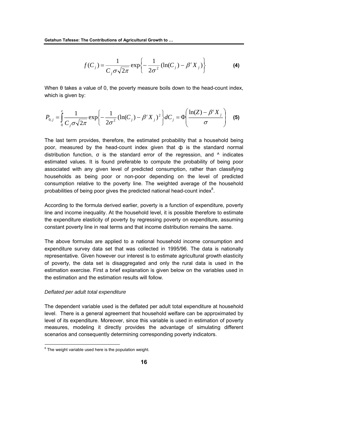$$
f(C_j) = \frac{1}{C_j \sigma \sqrt{2\pi}} \exp\left\{-\frac{1}{2\sigma^2} (\ln(C_j) - \beta' X_j)\right\}
$$
 (4)

When θ takes a value of 0, the poverty measure boils down to the head-count index, which is given by:

$$
P_{0,j} = \int_{0}^{z} \frac{1}{C_j \sigma \sqrt{2\pi}} \exp\left\{-\frac{1}{2\sigma^2} (\ln(C_j) - \beta' X_j)^2\right\} dC_j = \Phi\left(\frac{\ln(Z) - \beta' X_j}{\sigma}\right)
$$
 (5)

The last term provides, therefore, the estimated probability that a household being poor, measured by the head-count index given that ф is the standard normal distribution function,  $\sigma$  is the standard error of the regression, and  $\land$  indicates estimated values. It is found preferable to compute the probability of being poor associated with any given level of predicted consumption, rather than classifying households as being poor or non-poor depending on the level of predicted consumption relative to the poverty line. The weighted average of the household probabilities of being poor gives the predicted national head-count index $8$ .

According to the formula derived earlier, poverty is a function of expenditure, poverty line and income inequality. At the household level, it is possible therefore to estimate the expenditure elasticity of poverty by regressing poverty on expenditure, assuming constant poverty line in real terms and that income distribution remains the same.

The above formulas are applied to a national household income consumption and expenditure survey data set that was collected in 1995/96. The data is nationally representative. Given however our interest is to estimate agricultural growth elasticity of poverty, the data set is disaggregated and only the rural data is used in the estimation exercise. First a brief explanation is given below on the variables used in the estimation and the estimation results will follow.

#### *Deflated per adult total expenditure*

The dependent variable used is the deflated per adult total expenditure at household level. There is a general agreement that household welfare can be approximated by level of its expenditure. Moreover, since this variable is used in estimation of poverty measures, modeling it directly provides the advantage of simulating different scenarios and consequently determining corresponding poverty indicators.

 $\overline{\phantom{a}}^8$  The weight variable used here is the population weight.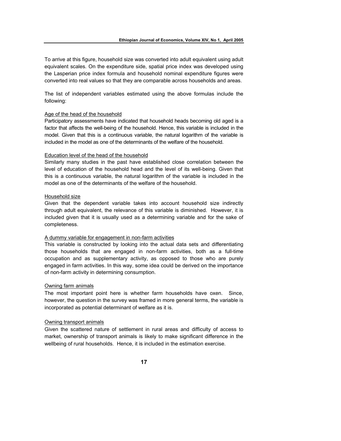To arrive at this figure, household size was converted into adult equivalent using adult equivalent scales. On the expenditure side, spatial price index was developed using the Lasperian price index formula and household nominal expenditure figures were converted into real values so that they are comparable across households and areas.

The list of independent variables estimated using the above formulas include the following:

#### Age of the head of the household

Participatory assessments have indicated that household heads becoming old aged is a factor that affects the well-being of the household. Hence, this variable is included in the model. Given that this is a continuous variable, the natural logarithm of the variable is included in the model as one of the determinants of the welfare of the household.

#### Education level of the head of the household

Similarly many studies in the past have established close correlation between the level of education of the household head and the level of its well-being. Given that this is a continuous variable, the natural logarithm of the variable is included in the model as one of the determinants of the welfare of the household.

#### Household size

Given that the dependent variable takes into account household size indirectly through adult equivalent, the relevance of this variable is diminished. However, it is included given that it is usually used as a determining variable and for the sake of completeness.

#### A dummy variable for engagement in non-farm activities

This variable is constructed by looking into the actual data sets and differentiating those households that are engaged in non-farm activities, both as a full-time occupation and as supplementary activity, as opposed to those who are purely engaged in farm activities. In this way, some idea could be derived on the importance of non-farm activity in determining consumption.

#### Owning farm animals

The most important point here is whether farm households have oxen. Since, however, the question in the survey was framed in more general terms, the variable is incorporated as potential determinant of welfare as it is.

#### Owning transport animals

Given the scattered nature of settlement in rural areas and difficulty of access to market, ownership of transport animals is likely to make significant difference in the wellbeing of rural households. Hence, it is included in the estimation exercise.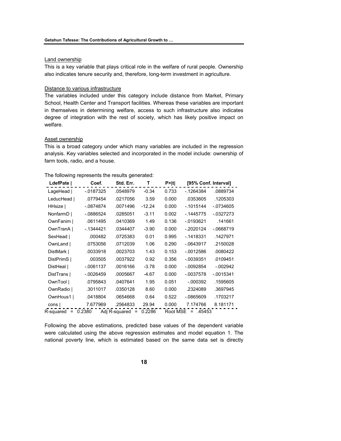#### Land ownership

This is a key variable that plays critical role in the welfare of rural people. Ownership also indicates tenure security and, therefore, long-term investment in agriculture.

#### Distance to various infrastructure

The variables included under this category include distance from Market, Primary School, Health Center and Transport facilities. Whereas these variables are important in themselves in determining welfare, access to such infrastructure also indicates degree of integration with the rest of society, which has likely positive impact on welfare.

#### Asset ownership

This is a broad category under which many variables are included in the regression analysis. Key variables selected and incorporated in the model include: ownership of farm tools, radio, and a house.

| The following represents the results generated: |  |  |
|-------------------------------------------------|--|--|
|                                                 |  |  |

| LdefPate         | Coef.      | Std. Err.            | т        | P >  t   | [95% Conf. Interval] |            |
|------------------|------------|----------------------|----------|----------|----------------------|------------|
| LageHead         | $-0187325$ | .0548979             | $-0.34$  | 0.733    | $-1264384$           | .0889734   |
| LeducHead        | .0779454   | .0217056             | 3.59     | 0.000    | .0353605             | .1205303   |
| HHsize I         | $-0874874$ | .0071496             | $-12.24$ | 0.000    | $-1015144$           | -.0734605  |
| NonfarmD         | $-0886524$ | .0285051             | $-3.11$  | 0.002    | $-1445775$           | - 0327273  |
| OwnFanim         | .0611495   | .0410369             | 1.49     | 0.136    | $-0193621$           | .141661    |
| OwnTranA         | - 1344421  | .0344407             | $-3.90$  | 0.000    | $-.2020124$          | -.0668719  |
| SexHead          | .000482    | .0725383             | 0.01     | 0.995    | $-1418331$           | .1427971   |
| OwnLand          | .0753056   | .0712039             | 1.06     | 0.290    | $-0643917$           | .2150028   |
| DistMark         | .0033918   | .0023703             | 1.43     | 0.153    | $-0012586$           | .0080422   |
| DistPrimS        | .003505    | .0037922             | 0.92     | 0.356    | $-0039351$           | .0109451   |
| DistHeal         | $-0061137$ | .0016166             | $-3.78$  | 0.000    | -.0092854            | $-002942$  |
| DistTrans        | $-0026459$ | .0005667             | $-4.67$  | 0.000    | $-.0037578$          | $-0015341$ |
| OwnTool          | .0795843   | .0407641             | 1.95     | 0.051    | $-000392$            | .1595605   |
| OwnRadio         | .3011017   | .0350128             | 8.60     | 0.000    | .2324089             | .3697945   |
| OwnHous1         | .0418804   | .0654668             | 0.64     | 0.522    | $-0865609$           | .1703217   |
| cons             | 7.677969   | .2564833             | 29.94    | 0.000    | 7.174766             | 8.181171   |
| R-squared<br>$=$ | 0.2380     | Adj R-squared<br>$=$ | 0.2286   | Root MSE | $=.45453$            |            |

Following the above estimations, predicted base values of the dependent variable were calculated using the above regression estimates and model equation 1. The national poverty line, which is estimated based on the same data set is directly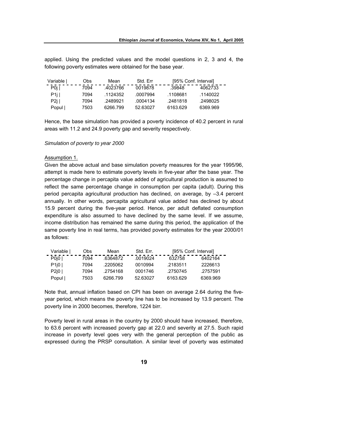applied. Using the predicted values and the model questions in 2, 3 and 4, the following poverty estimates were obtained for the base year.

| Variable | Obs  | Mean     | Std. Err | [95% Conf. Interval] |          |  |
|----------|------|----------|----------|----------------------|----------|--|
| P0i      | 7094 | 4023766  | 0019878  | .39848               | 4062733  |  |
| P1i I    | 7094 | 1124352  | .0007994 | 1108681              | .1140022 |  |
| P2i I    | 7094 | .2489921 | 0004134  | 2481818              | .2498025 |  |
| Popul    | 7503 | 6266.799 | 52.63027 | 6163.629             | 6369.969 |  |

Hence, the base simulation has provided a poverty incidence of 40.2 percent in rural areas with 11.2 and 24.9 poverty gap and severity respectively.

#### *Simulation of poverty to year 2000*

#### Assumption 1.

Given the above actual and base simulation poverty measures for the year 1995/96, attempt is made here to estimate poverty levels in five-year after the base year. The percentage change in percapita value added of agricultural production is assumed to reflect the same percentage change in consumption per capita (adult). During this period percapita agricultural production has declined, on average, by –3.4 percent annually. In other words, percapita agricultural value added has declined by about 15.9 percent during the five-year period. Hence, per adult deflated consumption expenditure is also assumed to have declined by the same level. If we assume, income distribution has remained the same during this period, the application of the same poverty line in real terms, has provided poverty estimates for the year 2000/01 as follows:

| Variable          | Obs  | Mean     | Std. Err. | [95% Conf. Interval] |          |
|-------------------|------|----------|-----------|----------------------|----------|
| P0i0              | 7094 | 6364872  | .0019024  | 632758               | 6402164  |
| P <sub>1i</sub> 0 | 7094 | .2205062 | 0010994   | .2183511             | 2226613  |
| P <sub>2i</sub> 0 | 7094 | .2754168 | 0001746   | 2750745              | .2757591 |
| Popul I           | 7503 | 6266.799 | 52.63027  | 6163.629             | 6369.969 |

Note that, annual inflation based on CPI has been on average 2.64 during the fiveyear period, which means the poverty line has to be increased by 13.9 percent. The poverty line in 2000 becomes, therefore, 1224 birr.

Poverty level in rural areas in the country by 2000 should have increased, therefore, to 63.6 percent with increased poverty gap at 22.0 and severity at 27.5. Such rapid increase in poverty level goes very with the general perception of the public as expressed during the PRSP consultation. A similar level of poverty was estimated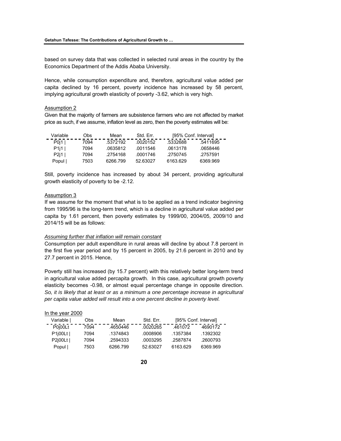based on survey data that was collected in selected rural areas in the country by the Economics Department of the Addis Ababa University.

Hence, while consumption expenditure and, therefore, agricultural value added per capita declined by 16 percent, poverty incidence has increased by 58 percent, implying agricultural growth elasticity of poverty -3.62, which is very high.

#### Assumption 2

Given that the majority of farmers are subsistence farmers who are not affected by market price as such, if we assume, inflation level as zero, then the poverty estimates will be:

| Variable | Obs  | Mean     | Std. Err. | [95% Conf. Interval] |          |
|----------|------|----------|-----------|----------------------|----------|
| P0i1     | 7094 | 5372192  | 0020152   | .5332688             | 5411695  |
| P1i1 I   | 7094 | .0635812 | .0011546  | .0613178             | .0658446 |
| P2i1 I   | 7094 | 2754168  | .0001746  | .2750745             | .2757591 |
| Popul I  | 7503 | 6266.799 | 52 63027  | 6163.629             | 6369.969 |

Still, poverty incidence has increased by about 34 percent, providing agricultural growth elasticity of poverty to be -2.12.

#### Assumption 3

If we assume for the moment that what is to be applied as a trend indicator beginning from 1995/96 is the long-term trend, which is a decline in agricultural value added per capita by 1.61 percent, then poverty estimates by 1999/00, 2004/05, 2009/10 and 2014/15 will be as follows:

#### *Assuming further that inflation will remain constant*

Consumption per adult expenditure in rural areas will decline by about 7.8 percent in the first five year period and by 15 percent in 2005, by 21.6 percent in 2010 and by 27.7 percent in 2015. Hence,

Poverty still has increased (by 15.7 percent) with this relatively better long-term trend in agricultural value added percapita growth. In this case, agricultural growth poverty elasticity becomes -0.98, or almost equal percentage change in opposite direction. *So, it is likely that at least or as a minimum a one percentage increase in agricultural per capita value added will result into a one percent decline in poverty level.*

#### In the year 2000

| Variable               | Obs  | Mean     | Std. Err. | [95% Conf. Interval] |          |  |
|------------------------|------|----------|-----------|----------------------|----------|--|
| P0i00Lt                | 7094 | 4650446  | .0020265  | 461072               | 4690172  |  |
| $P1$ <sub>i</sub> 00Lt | 7094 | .1374843 | .0008906  | .1357384             | .1392302 |  |
| <b>P2i00Lt</b>         | 7094 | 2594333  | .0003295  | .2587874             | .2600793 |  |
| Popul I                | 7503 | 6266.799 | 52 63027  | 6163.629             | 6369.969 |  |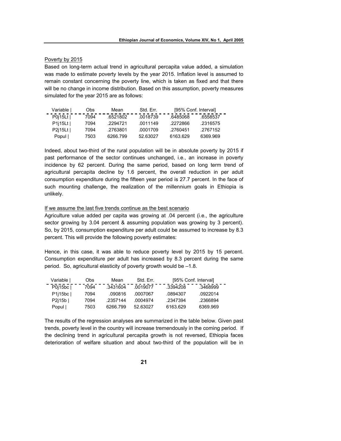#### Poverty by 2015

Based on long-term actual trend in agricultural percapita value added, a simulation was made to estimate poverty levels by the year 2015. Inflation level is assumed to remain constant concerning the poverty line, which is taken as fixed and that there will be no change in income distribution. Based on this assumption, poverty measures simulated for the year 2015 are as follows:

| Variable        | Obs  | Mean     | Std. Err. | [95% Conf. Interval] |          |
|-----------------|------|----------|-----------|----------------------|----------|
| P0i15Lt I       | 7094 | .6521802 | .0018739  | .6485068             | .6558537 |
| <b>P1i15Lt1</b> | 7094 | 2294721  | 0011149   | 2272866              | .2316575 |
| P2i15Lt         | 7094 | .2763801 | .0001709  | .2760451             | 2767152  |
| Popul I         | 7503 | 6266.799 | 52.63027  | 6163.629             | 6369.969 |

Indeed, about two-third of the rural population will be in absolute poverty by 2015 if past performance of the sector continues unchanged, i.e., an increase in poverty incidence by 62 percent. During the same period, based on long term trend of agricultural percapita decline by 1.6 percent, the overall reduction in per adult consumption expenditure during the fifteen year period is 27.7 percent. In the face of such mounting challenge, the realization of the millennium goals in Ethiopia is unlikely.

#### If we assume the last five trends continue as the best scenario

Agriculture value added per capita was growing at .04 percent (i.e., the agriculture sector growing by 3.04 percent & assuming population was growing by 3 percent). So, by 2015, consumption expenditure per adult could be assumed to increase by 8.3 percent. This will provide the following poverty estimates:

Hence, in this case, it was able to reduce poverty level by 2015 by 15 percent. Consumption expenditure per adult has increased by 8.3 percent during the same period. So, agricultural elasticity of poverty growth would be –1.8.

| Variable  | Obs  | Mean     | Std. Err. | [95% Conf. Interval] |          |
|-----------|------|----------|-----------|----------------------|----------|
| P0i15bc   | 7094 | .3431604 | 0019077   | 3394208              | .3468999 |
| $P1$ 15bc | 7094 | .090816  | .0007067  | .0894307             | .0922014 |
| P2i15b    | 7094 | 2357144  | 0004974   | 2347394              | -2366894 |
| Popul I   | 7503 | 6266.799 | 52 63027  | 6163.629             | 6369.969 |

The results of the regression analyses are summarized in the table below. Given past trends, poverty level in the country will increase tremendously in the coming period. If the declining trend in agricultural percapita growth is not reversed, Ethiopia faces deterioration of welfare situation and about two-third of the population will be in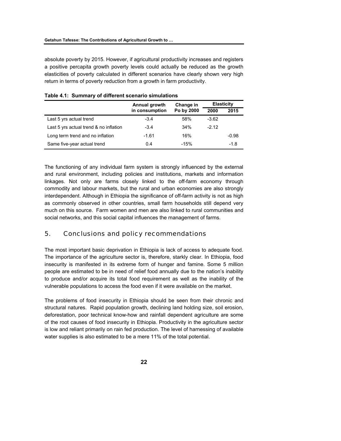absolute poverty by 2015. However, if agricultural productivity increases and registers a positive percapita growth poverty levels could actually be reduced as the growth elasticities of poverty calculated in different scenarios have clearly shown very high return in terms of poverty reduction from a growth in farm productivity.

|                                        | Annual growth  | Change in  | <b>Elasticity</b> |         |
|----------------------------------------|----------------|------------|-------------------|---------|
|                                        | in consumption | Po by 2000 | 2000              | 2015    |
| Last 5 yrs actual trend                | $-3.4$         | 58%        | $-3.62$           |         |
| Last 5 yrs actual trend & no inflation | $-3.4$         | 34%        | $-2.12$           |         |
| Long term trend and no inflation       | $-1.61$        | 16%        |                   | $-0.98$ |
| Same five-year actual trend            | 0.4            | $-15%$     |                   | $-1.8$  |

#### **Table 4.1: Summary of different scenario simulations**

The functioning of any individual farm system is strongly influenced by the external and rural environment, including policies and institutions, markets and information linkages. Not only are farms closely linked to the off-farm economy through commodity and labour markets, but the rural and urban economies are also strongly interdependent. Although in Ethiopia the significance of off-farm activity is not as high as commonly observed in other countries, small farm households still depend very much on this source. Farm women and men are also linked to rural communities and social networks, and this social capital influences the management of farms.

## 5. Conclusions and policy recommendations

The most important basic deprivation in Ethiopia is lack of access to adequate food. The importance of the agriculture sector is, therefore, starkly clear. In Ethiopia, food insecurity is manifested in its extreme form of hunger and famine. Some 5 million people are estimated to be in need of relief food annually due to the nation's inability to produce and/or acquire its total food requirement as well as the inability of the vulnerable populations to access the food even if it were available on the market.

The problems of food insecurity in Ethiopia should be seen from their chronic and structural natures. Rapid population growth, declining land holding size, soil erosion, deforestation, poor technical know-how and rainfall dependent agriculture are some of the root causes of food insecurity in Ethiopia. Productivity in the agriculture sector is low and reliant primarily on rain fed production. The level of harnessing of available water supplies is also estimated to be a mere 11% of the total potential.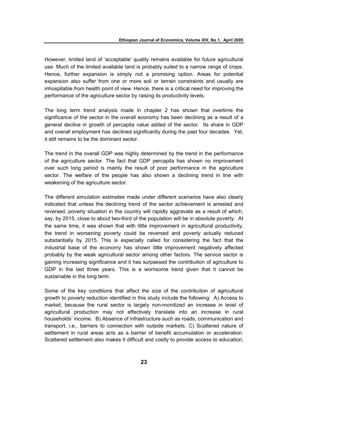However, limited land of 'acceptable' quality remains available for future agricultural use. Much of the limited available land is probably suited to a narrow range of crops. Hence, further expansion is simply not a promising option. Areas for potential expansion also suffer from one or more soil or terrain constraints and usually are inhospitable from health point of view. Hence, there is a critical need for improving the performance of the agriculture sector by raising its productivity levels.

The long term trend analysis made in chapter 2 has shown that overtime the significance of the sector in the overall economy has been declining as a result of a general decline in growth of percapita value added of the sector. Its share in GDP and overall employment has declined significantly during the past four decades. Yet, it still remains to be the dominant sector.

The trend in the overall GDP was highly determined by the trend in the performance of the agriculture sector. The fact that GDP percapita has shown no improvement over such long period is mainly the result of poor performance in the agriculture sector. The welfare of the people has also shown a declining trend in line with weakening of the agriculture sector.

The different simulation estimates made under different scenarios have also clearly indicated that unless the declining trend of the sector achievement is arrested and reversed, poverty situation in the country will rapidly aggravate as a result of which, say, by 2015, close to about two-third of the population will be in absolute poverty. At the same time, it was shown that with little improvement in agricultural productivity, the trend in worsening poverty could be reversed and poverty actually reduced substantially by 2015. This is especially called for considering the fact that the industrial base of the economy has shown little improvement negatively affected probably by the weak agricultural sector among other factors. The service sector is gaining increasing significance and it has surpassed the contribution of agriculture to GDP in the last three years. This is a worrisome trend given that it cannot be sustainable in the long term.

Some of the key conditions that affect the size of the contribution of agricultural growth to poverty reduction identified in this study include the following: A) Access to market; because the rural sector is largely non-monitized an increase in level of agricultural production may not effectively translate into an increase in rural households' income. B) Absence of infrastructure such as roads, communication and transport, i.e., barriers to connection with outside markets. C) Scattered nature of settlement in rural areas acts as a barrier of benefit accumulation or acceleration. Scattered settlement also makes it difficult and costly to provide access to education,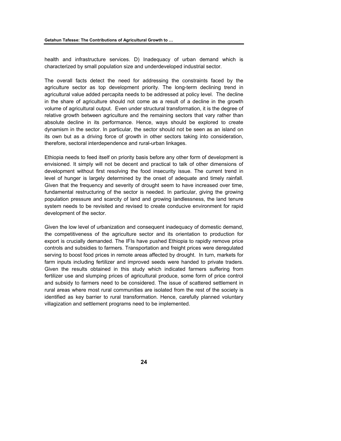health and infrastructure services. D) Inadequacy of urban demand which is characterized by small population size and underdeveloped industrial sector.

The overall facts detect the need for addressing the constraints faced by the agriculture sector as top development priority. The long-term declining trend in agricultural value added percapita needs to be addressed at policy level. The decline in the share of agriculture should not come as a result of a decline in the growth volume of agricultural output. Even under structural transformation, it is the degree of relative growth between agriculture and the remaining sectors that vary rather than absolute decline in its performance. Hence, ways should be explored to create dynamism in the sector. In particular, the sector should not be seen as an island on its own but as a driving force of growth in other sectors taking into consideration, therefore, sectoral interdependence and rural-urban linkages.

Ethiopia needs to feed itself on priority basis before any other form of development is envisioned. It simply will not be decent and practical to talk of other dimensions of development without first resolving the food insecurity issue. The current trend in level of hunger is largely determined by the onset of adequate and timely rainfall. Given that the frequency and severity of drought seem to have increased over time, fundamental restructuring of the sector is needed. In particular, giving the growing population pressure and scarcity of land and growing landlessness, the land tenure system needs to be revisited and revised to create conducive environment for rapid development of the sector.

Given the low level of urbanization and consequent inadequacy of domestic demand, the competitiveness of the agriculture sector and its orientation to production for export is crucially demanded. The IFIs have pushed Ethiopia to rapidly remove price controls and subsidies to farmers. Transportation and freight prices were deregulated serving to boost food prices in remote areas affected by drought. In turn, markets for farm inputs including fertilizer and improved seeds were handed to private traders. Given the results obtained in this study which indicated farmers suffering from fertilizer use and slumping prices of agricultural produce, some form of price control and subsidy to farmers need to be considered. The issue of scattered settlement in rural areas where most rural communities are isolated from the rest of the society is identified as key barrier to rural transformation. Hence, carefully planned voluntary villagization and settlement programs need to be implemented.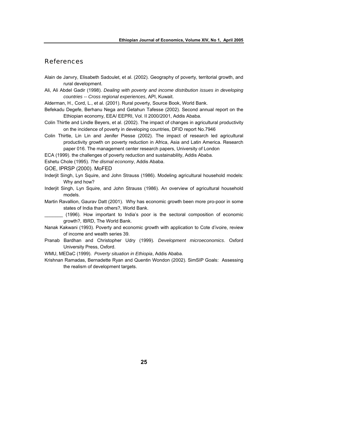## References

Alain de Janvry, Elisabeth Sadoulet, et al. (2002). Geography of poverty, territorial growth, and rural development.

Ali, Ali Abdel Gadir (1998). *Dealing with poverty and income distribution issues in developing countries -- Cross regional experiences*, API, Kuwait.

Alderman, H., Cord, L., et al. (2001). Rural poverty, Source Book, World Bank.

Befekadu Degefe, Berhanu Nega and Getahun Tafesse (2002). Second annual report on the Ethiopian economy, EEA/ EEPRI, Vol. II 2000/2001, Addis Ababa.

Colin Thirtle and Lindle Beyers, et al. (2002). The impact of changes in agricultural productivity on the incidence of poverty in developing countries, DFID report No.7946

Colin Thirtle, Lin Lin and Jenifer Piesse (2002). The impact of research led agricultural productivity growth on poverty reduction in Africa, Asia and Latin America. Research paper 016. The management center research papers, University of London

ECA (1999). the challenges of poverty reduction and sustainability, Addis Ababa.

Eshetu Chole (1995). *The dismal economy*, Addis Ababa.

GOE, IPRSP (2000). MoFED

Inderjit Singh, Lyn Squire, and John Strauss (1986). Modeling agricultural household models: Why and how?

Inderjit Singh, Lyn Squire, and John Strauss (1986). An overview of agricultural household models.

Martin Ravallion, Gaurav Datt (2001). Why has economic growth been more pro-poor in some states of India than others?, World Bank.

\_\_\_\_\_\_\_ (1996). How important to India's poor is the sectoral composition of economic growth?, IBRD, The World Bank.

Nanak Kakwani (1993). Poverty and economic growth with application to Cote d'ivoire, review of income and wealth series 39.

Pranab Bardhan and Christopher Udry (1999). *Development microeconomics*. Oxford University Press, Oxford.

WMU, MEDaC (1999). *Poverty situation in Ethiopia*, Addis Ababa.

Krishnan Ramadas, Bernadette Ryan and Quentin Wondon (2002). SimSIP Goals: Assessing the realism of development targets.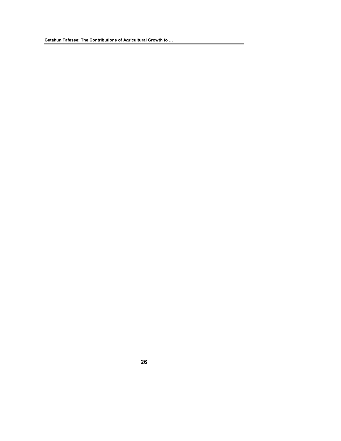**Getahun Tafesse: The Contributions of Agricultural Growth to …**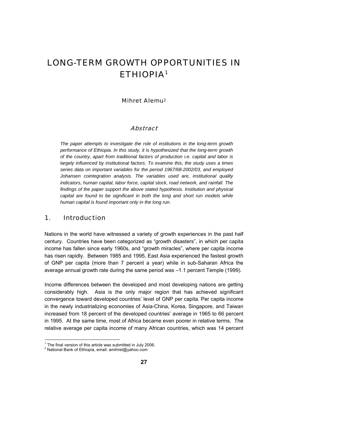## LONG-TERM GROWTH OPPORTUNITIES IN ETHIOPIA<sup>1</sup>

## Mihret Alemu2

#### **Abstract**

*The paper attempts to investigate the role of institutions in the long-term growth performance of Ethiopia. In this study, it is hypothesized that the long-term growth of the country, apart from traditional factors of production i.e. capital and labor is largely influenced by institutional factors. To examine this, the study uses a times series data on important variables for the period 1967/68-2002/03, and employed Johansen cointegration analysis. The variables used are, institutional quality indicators, human capital, labor force, capital stock, road network, and rainfall. The findings of the paper support the above stated hypothesis. Institution and physical capital are found to be significant in both the long and short run models while human capital is found important only in the long run.* 

## 1. Introduction

Nations in the world have witnessed a variety of growth experiences in the past half century. Countries have been categorized as "growth disasters", in which per capita income has fallen since early 1960s, and "growth miracles", where per capita income has risen rapidly. Between 1985 and 1995, East Asia experienced the fastest growth of GNP per capita (more than 7 percent a year) while in sub-Saharan Africa the average annual growth rate during the same period was –1.1 percent Temple (1999).

Income differences between the developed and most developing nations are getting considerably high. Asia is the only major region that has achieved significant convergence toward developed countries' level of GNP per capita. Per capita income in the newly industrializing economies of Asia-China, Korea, Singapore, and Taiwan increased from 18 percent of the developed countries' average in 1965 to 66 percent in 1995. At the same time, most of Africa became even poorer in relative terms. The relative average per capita income of many African countries, which was 14 percent

l

 $1$  The final version of this article was submitted in July 2006.

<sup>&</sup>lt;sup>2</sup> National Bank of Ethiopia, email: amihret@yahoo.com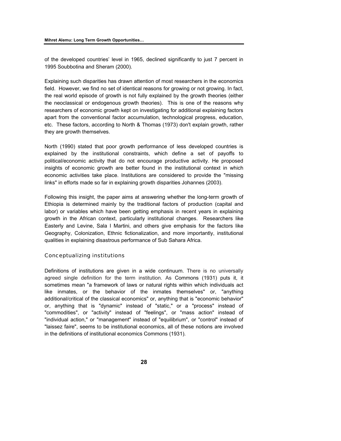of the developed countries' level in 1965, declined significantly to just 7 percent in 1995 Soubbotina and Sheram (2000).

Explaining such disparities has drawn attention of most researchers in the economics field. However, we find no set of identical reasons for growing or not growing. In fact, the real world episode of growth is not fully explained by the growth theories (either the neoclassical or endogenous growth theories). This is one of the reasons why researchers of economic growth kept on investigating for additional explaining factors apart from the conventional factor accumulation, technological progress, education, etc. These factors, according to North & Thomas (1973) don't explain growth, rather they are growth themselves.

North (1990) stated that poor growth performance of less developed countries is explained by the institutional constraints, which define a set of payoffs to political/economic activity that do not encourage productive activity. He proposed insights of economic growth are better found in the institutional context in which economic activities take place. Institutions are considered to provide the "missing links" in efforts made so far in explaining growth disparities Johannes (2003).

Following this insight, the paper aims at answering whether the long-term growth of Ethiopia is determined mainly by the traditional factors of production (capital and labor) or variables which have been getting emphasis in recent years in explaining growth in the African context, particularly institutional changes. Researchers like Easterly and Levine, Sala I Martini, and others give emphasis for the factors like Geography, Colonization, Ethnic fictionalization, and more importantly, institutional qualities in explaining disastrous performance of Sub Sahara Africa.

#### Conceptualizing institutions

Definitions of institutions are given in a wide continuum. There is no universally agreed single definition for the term institution. As Commons (1931) puts it, it sometimes mean "a framework of laws or natural rights within which individuals act like inmates, or the behavior of the inmates themselves" or, "anything additional/critical of the classical economics" or, anything that is "economic behavior" or, anything that is "dynamic" instead of "static," or a "process" instead of "commodities", or "activity" instead of "feelings", or "mass action" instead of "individual action," or "management" instead of "equilibrium", or "control" instead of "laissez faire", seems to be institutional economics, all of these notions are involved in the definitions of institutional economics Commons (1931).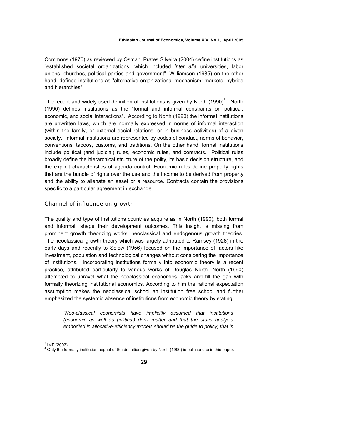Commons (1970) as reviewed by Osmani Prates Silveira (2004) define institutions as "established societal organizations, which included *inter alia* universities, labor unions, churches, political parties and government". Williamson (1985) on the other hand, defined institutions as "alternative organizational mechanism: markets, hybrids and hierarchies".

The recent and widely used definition of institutions is given by North  $(1990)^3$ . North (1990) defines institutions as the "formal and informal constraints on political, economic, and social interactions". According to North (1990) the informal institutions are unwritten laws, which are normally expressed in norms of informal interaction (within the family, or external social relations, or in business activities) of a given society. Informal institutions are represented by codes of conduct, norms of behavior, conventions, taboos, customs, and traditions. On the other hand, formal institutions include political (and judicial) rules, economic rules, and contracts. Political rules broadly define the hierarchical structure of the polity, its basic decision structure, and the explicit characteristics of agenda control. Economic rules define property rights that are the bundle of rights over the use and the income to be derived from property and the ability to alienate an asset or a resource. Contracts contain the provisions specific to a particular agreement in exchange. $4$ 

#### Channel of influence on growth

The quality and type of institutions countries acquire as in North (1990), both formal and informal, shape their development outcomes. This insight is missing from prominent growth theorizing works, neoclassical and endogenous growth theories. The neoclassical growth theory which was largely attributed to Ramsey (1928) in the early days and recently to Solow (1956) focused on the importance of factors like investment, population and technological changes without considering the importance of institutions. Incorporating institutions formally into economic theory is a recent practice, attributed particularly to various works of Douglas North. North (1990) attempted to unravel what the neoclassical economics lacks and fill the gap with formally theorizing institutional economics. According to him the rational expectation assumption makes the neoclassical school an institution free school and further emphasized the systemic absence of institutions from economic theory by stating:

*"Neo-classical economists have implicitly assumed that institutions (economic as well as political) don't matter and that the static analysis embodied in allocative-efficiency models should be the guide to policy; that is* 

l

 $3$  IMF (2003)

<sup>&</sup>lt;sup>4</sup> Only the formally institution aspect of the definition given by North (1990) is put into use in this paper.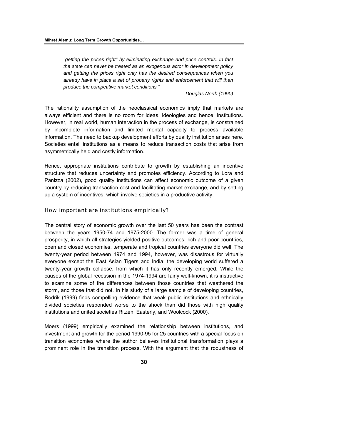*"getting the prices right" by eliminating exchange and price controls. In fact the state can never be treated as an exogenous actor in development policy and getting the prices right only has the desired consequences when you already have in place a set of property rights and enforcement that will then produce the competitive market conditions."* 

#### *Douglas North (1990)*

The rationality assumption of the neoclassical economics imply that markets are always efficient and there is no room for ideas, ideologies and hence, institutions. However, in real world, human interaction in the process of exchange, is constrained by incomplete information and limited mental capacity to process available information. The need to backup development efforts by quality institution arises here. Societies entail institutions as a means to reduce transaction costs that arise from asymmetrically held and costly information.

Hence, appropriate institutions contribute to growth by establishing an incentive structure that reduces uncertainty and promotes efficiency. According to Lora and Panizza (2002), good quality institutions can affect economic outcome of a given country by reducing transaction cost and facilitating market exchange, and by setting up a system of incentives, which involve societies in a productive activity.

#### How important are institutions empirically?

The central story of economic growth over the last 50 years has been the contrast between the years 1950-74 and 1975-2000. The former was a time of general prosperity, in which all strategies yielded positive outcomes; rich and poor countries, open and closed economies, temperate and tropical countries everyone did well. The twenty-year period between 1974 and 1994, however, was disastrous for virtually everyone except the East Asian Tigers and India; the developing world suffered a twenty-year growth collapse, from which it has only recently emerged. While the causes of the global recession in the 1974-1994 are fairly well-known, it is instructive to examine some of the differences between those countries that weathered the storm, and those that did not. In his study of a large sample of developing countries, Rodrik (1999) finds compelling evidence that weak public institutions and ethnically divided societies responded worse to the shock than did those with high quality institutions and united societies Ritzen, Easterly, and Woolcock (2000).

Moers (1999) empirically examined the relationship between institutions, and investment and growth for the period 1990-95 for 25 countries with a special focus on transition economies where the author believes institutional transformation plays a prominent role in the transition process. With the argument that the robustness of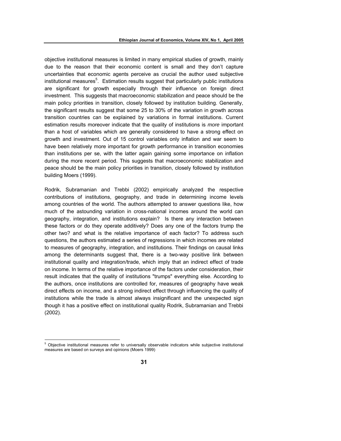objective institutional measures is limited in many empirical studies of growth, mainly due to the reason that their economic content is small and they don't capture uncertainties that economic agents perceive as crucial the author used subjective institutional measures<sup>5</sup>. Estimation results suggest that particularly public institutions are significant for growth especially through their influence on foreign direct investment. This suggests that macroeconomic stabilization and peace should be the main policy priorities in transition, closely followed by institution building. Generally, the significant results suggest that some 25 to 30% of the variation in growth across transition countries can be explained by variations in formal institutions. Current estimation results moreover indicate that the quality of institutions is *more* important than a host of variables which are generally considered to have a strong effect on growth and investment. Out of 15 control variables only inflation and war seem to have been relatively more important for growth performance in transition economies than institutions per se, with the latter again gaining some importance on inflation during the more recent period. This suggests that macroeconomic stabilization and peace should be the main policy priorities in transition, closely followed by institution building Moers (1999).

Rodrik, Subramanian and Trebbi (2002) empirically analyzed the respective contributions of institutions, geography, and trade in determining income levels among countries of the world. The authors attempted to answer questions like, how much of the astounding variation in cross-national incomes around the world can geography, integration, and institutions explain? Is there any interaction between these factors or do they operate additively? Does any one of the factors trump the other two? and what is the relative importance of each factor? To address such questions, the authors estimated a series of regressions in which incomes are related to measures of geography, integration, and institutions. Their findings on causal links among the determinants suggest that, there is a two-way positive link between institutional quality and integration/trade, which imply that an indirect effect of trade on income. In terms of the relative importance of the factors under consideration, their result indicates that the quality of institutions "trumps" everything else. According to the authors, once institutions are controlled for, measures of geography have weak direct effects on income, and a strong indirect effect through influencing the quality of institutions while the trade is almost always insignificant and the unexpected sign though it has a positive effect on institutional quality Rodrik, Subramanian and Trebbi (2002).

l

<sup>&</sup>lt;sup>5</sup> Objective institutional measures refer to universally observable indicators while subjective institutional measures are based on surveys and opinions (Moers 1999)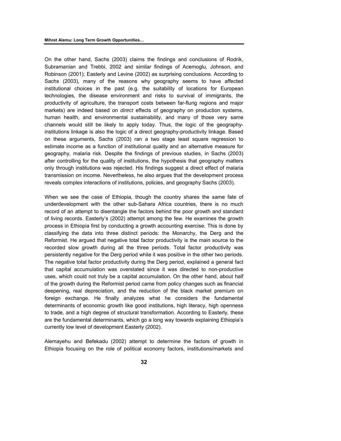On the other hand, Sachs (2003) claims the findings and conclusions of Rodrik, Subramanian and Trebbi, 2002 and similar findings of Acemoglu, Johnson, and Robinson (2001); Easterly and Levine (2002) as surprising conclusions. According to Sachs (2003), many of the reasons why geography seems to have affected institutional choices in the past (e.g. the suitability of locations for European technologies, the disease environment and risks to survival of immigrants, the productivity of agriculture, the transport costs between far-flung regions and major markets) are indeed based on *direct* effects of geography on production systems, human health, and environmental sustainability, and many of those very same channels would still be likely to apply today. Thus, the logic of the geographyinstitutions linkage is also the logic of a direct geography-productivity linkage. Based on these arguments, Sachs (2003) ran a two stage least square regression to estimate income as a function of institutional quality and an alternative measure for geography, malaria risk. Despite the findings of previous studies, in Sachs (2003) after controlling for the quality of institutions, the hypothesis that geography matters only through institutions was rejected. His findings suggest a direct effect of malaria transmission on income. Nevertheless, he also argues that the development process reveals complex interactions of institutions, policies, and geography Sachs (2003).

When we see the case of Ethiopia, though the country shares the same fate of underdevelopment with the other sub-Sahara Africa countries, there is no much record of an attempt to disentangle the factors behind the poor growth and standard of living records. Easterly's (2002) attempt among the few. He examines the growth process in Ethiopia first by conducting a growth accounting exercise. This is done by classifying the data into three distinct periods: the Monarchy, the Derg and the Reformist. He argued that negative total factor productivity is the main source to the recorded slow growth during all the three periods. Total factor productivity was persistently negative for the Derg period while it was positive in the other two periods. The negative total factor productivity during the Derg period, explained a general fact that capital accumulation was overstated since it was directed to non-productive uses, which could not truly be a capital accumulation. On the other hand, about half of the growth during the Reformist period came from policy changes such as financial deepening, real depreciation, and the reduction of the black market premium on foreign exchange. He finally analyzes what he considers the fundamental determinants of economic growth like good institutions, high literacy, high openness to trade, and a high degree of structural transformation. According to Easterly, these are the fundamental determinants, which go a long way towards explaining Ethiopia's currently low level of development Easterly (2002).

Alemayehu and Befekadu (2002) attempt to determine the factors of growth in Ethiopia focusing on the role of political economy factors, institutions/markets and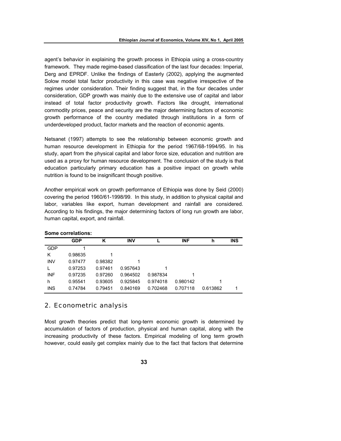agent's behavior in explaining the growth process in Ethiopia using a cross-country framework. They made regime-based classification of the last four decades: Imperial, Derg and EPRDF. Unlike the findings of Easterly (2002), applying the augmented Solow model total factor productivity in this case was negative irrespective of the regimes under consideration. Their finding suggest that, in the four decades under consideration, GDP growth was mainly due to the extensive use of capital and labor instead of total factor productivity growth. Factors like drought, international commodity prices, peace and security are the major determining factors of economic growth performance of the country mediated through institutions in a form of underdeveloped product, factor markets and the reaction of economic agents.

Netsanet (1997) attempts to see the relationship between economic growth and human resource development in Ethiopia for the period 1967/68-1994/95. In his study, apart from the physical capital and labor force size, education and nutrition are used as a proxy for human resource development. The conclusion of the study is that education particularly primary education has a positive impact on growth while nutrition is found to be insignificant though positive.

Another empirical work on growth performance of Ethiopia was done by Seid (2000) covering the period 1960/61-1998/99. In this study, in addition to physical capital and labor, variables like export, human development and rainfall are considered. According to his findings, the major determining factors of long run growth are labor, human capital, export, and rainfall.

|            | <b>GDP</b> | κ       | <b>INV</b> |          | <b>INF</b> | h        | <b>INS</b> |
|------------|------------|---------|------------|----------|------------|----------|------------|
| <b>GDP</b> |            |         |            |          |            |          |            |
| κ          | 0.98635    |         |            |          |            |          |            |
| <b>INV</b> | 0.97477    | 0.98382 |            |          |            |          |            |
|            | 0.97253    | 0.97461 | 0.957643   |          |            |          |            |
| <b>INF</b> | 0.97235    | 0.97260 | 0.964502   | 0.987834 |            |          |            |
| h          | 0.95541    | 0.93605 | 0.925845   | 0.974018 | 0.980142   |          |            |
| <b>INS</b> | 0.74784    | 0.79451 | 0.840169   | 0.702468 | 0.707118   | 0.613862 |            |

#### **Some correlations:**

## 2. Econometric analysis

Most growth theories predict that long-term economic growth is determined by accumulation of factors of production, physical and human capital, along with the increasing productivity of these factors. Empirical modeling of long term growth however, could easily get complex mainly due to the fact that factors that determine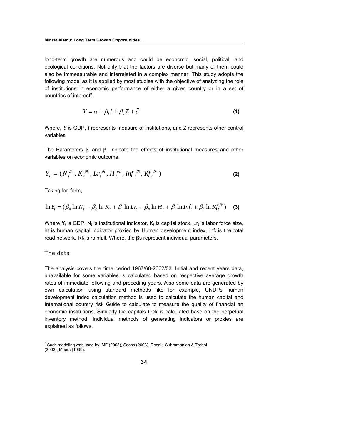long-term growth are numerous and could be economic, social, political, and ecological conditions. Not only that the factors are diverse but many of them could also be immeasurable and interrelated in a complex manner. This study adopts the following model as it is applied by most studies with the objective of analyzing the role of institutions in economic performance of either a given country or in a set of countries of interest<sup>6</sup>.

$$
Y = \alpha + \beta_i I + \beta_z Z + \bar{\varepsilon}
$$
 (1)

Where, *Y* is GDP, *I* represents measure of institutions, and *Z* represents other control variables

The Parameters  $\beta_i$  and  $\beta_z$  indicate the effects of institutional measures and other variables on economic outcome.

$$
Y_{t} = (N_{t}^{\beta n}, K_{t}^{\beta k}, L_{t}^{\beta l}, H_{t}^{\beta h}, Inf_{t}^{\beta i}, Rf_{t}^{\beta r})
$$
\n(2)

Taking log form,

$$
\ln Y_t = (\beta_n \ln N_t + \beta_k \ln K_t + \beta_l \ln L_r + \beta_h \ln H_t + \beta_i \ln \ln f_t + \beta_r \ln R f_t^{\beta r})
$$
 (3)

Where  $Y_t$  is GDP,  $N_t$  is institutional indicator,  $K_t$  is capital stock,  $Lr_t$  is labor force size, ht is human capital indicator proxied by Human development index,  $Inf_t$  is the total road network, Rf<sub>t</sub> is rainfall. Where, the **β**s represent individual parameters.

#### The data

 $\overline{\phantom{a}}$ 

The analysis covers the time period 1967/68-2002/03. Initial and recent years data, unavailable for some variables is calculated based on respective average growth rates of immediate following and preceding years. Also some data are generated by own calculation using standard methods like for example, UNDPs human development index calculation method is used to calculate the human capital and International country risk Guide to calculate to measure the quality of financial an economic institutions. Similarly the capitals tock is calculated base on the perpetual inventory method. Individual methods of generating indicators or proxies are explained as follows.

 $^6$  Such modeling was used by IMF (2003), Sachs (2003), Rodrik, Subramanian & Trebbi (2002), Moers (1999).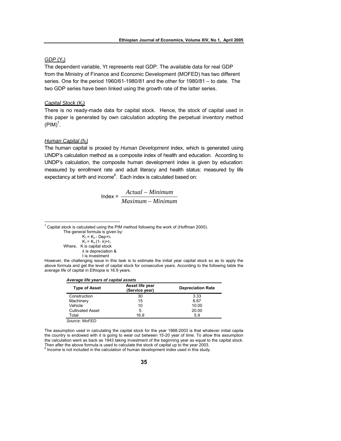#### *GDP* (Y<sub>t</sub>)

The dependent variable, Yt represents real GDP. The available data for real GDP from the Ministry of Finance and Economic Development (MOFED) has two different series. One for the period 1960/61-1980/81 and the other for 1980/81 – to date. The two GDP series have been linked using the growth rate of the latter series.

#### **Capital Stock (Kt)**

There is no ready-made data for capital stock. Hence, the stock of capital used in this paper is generated by own calculation adopting the perpetual inventory method  $(PIM)^7$ .

#### **Human Capital (ht)**

The human capital is proxied by *Human Development* index, which is generated using UNDP's calculation method as a composite index of health and education. According to UNDP's calculation, the composite human development index is given by education: measured by enrollment rate and adult literacy and health status: measured by life expectancy at birth and income<sup>8</sup>. Each index is calculated based on:

 Index = *Maximum Minimum Actual Minimum* − −

7 Capital stock is calculated using the PIM method following the work of (Hoffman 2000).

The general formula is given by:  $K_1 = K_0 - Dep+I_1$  $K_1 = K_0 (1 - \lambda) + I_1$ Where, K is capital stock λ is depreciation & I is investment

*Average life years of capital assets*

However, the challenging issue in this task is to estimate the initial year capital stock so as to apply the above formula and get the level of capital stock for consecutive years. According to the following table the average life of capital in Ethiopia is 16.9 years.

| Average me years or capital assets |                                   |                          |  |  |  |  |  |
|------------------------------------|-----------------------------------|--------------------------|--|--|--|--|--|
| <b>Type of Asset</b>               | Asset life year<br>(Service year) | <b>Depreciation Rate</b> |  |  |  |  |  |
| Construction                       | 30                                | 3.33                     |  |  |  |  |  |
| Machinery                          | 15                                | 6.67                     |  |  |  |  |  |
| Vehicle                            | 10                                | 10.00                    |  |  |  |  |  |
| <b>Cultivated Asset</b>            | 5                                 | 20.00                    |  |  |  |  |  |
| Total                              | 16.9                              | 5.9                      |  |  |  |  |  |
| Source: MoFED                      |                                   |                          |  |  |  |  |  |

The assumption used in calculating the capital stock for the year 1968-2003 is that whatever initial capita the country is endowed with it is going to wear out between 15-20 year of time. To allow this assumption the calculation went as back as 1943 taking investment of the beginning year as equal to the capital stock. Then after the above formula is used to calculate the stock of capital up to the year 2003.<br><sup>8</sup> Income is not included in the calculation of human development index used in this study.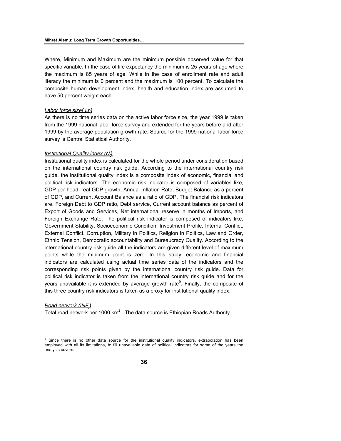Where, Minimum and Maximum are the minimum possible observed value for that specific variable. In the case of life expectancy the minimum is 25 years of age where the maximum is 85 years of age. While in the case of enrollment rate and adult literacy the minimum is 0 percent and the maximum is 100 percent. To calculate the composite human development index, health and education index are assumed to have 50 percent weight each.

#### *Labor force size( Lr<sub>t</sub>)*

As there is no time series data on the active labor force size, the year 1999 is taken from the 1999 national labor force survey and extended for the years before and after 1999 by the average population growth rate. Source for the 1999 national labor force survey is Central Statistical Authority.

#### *Institutional Quality index (N<sub>t</sub>)</sub>*

Institutional quality index is calculated for the whole period under consideration based on the international country risk guide. According to the international country risk guide, the institutional quality index is a composite index of economic, financial and political risk indicators. The economic risk indicator is composed of variables like, GDP per head, real GDP growth, Annual Inflation Rate, Budget Balance as a percent of GDP, and Current Account Balance as a ratio of GDP. The financial risk indicators are, Foreign Debt to GDP ratio, Debt service, Current account balance as percent of Export of Goods and Services, Net international reserve in months of Imports, and Foreign Exchange Rate. The political risk indicator is composed of indicators like, Government Stability, Socioeconomic Condition, Investment Profile, Internal Conflict, External Conflict, Corruption, Military in Politics, Religion in Politics, Law and Order, Ethnic Tension, Democratic accountability and Bureaucracy Quality. According to the international country risk guide all the indicators are given different level of maximum points while the minimum point is zero. In this study, economic and financial indicators are calculated using actual time series data of the indicators and the corresponding risk points given by the international country risk guide. Data for political risk indicator is taken from the international country risk guide and for the years unavailable it is extended by average growth rate<sup>9</sup>. Finally, the composite of this three country risk indicators is taken as a proxy for institutional quality index.

#### *Road network (INFt)*

 $\overline{\phantom{a}}$ 

Total road network per 1000 km<sup>2</sup>. The data source is Ethiopian Roads Authority.

<sup>9</sup> Since there is no other data source for the institutional quality indicators, extrapolation has been employed with all its limitations, to fill unavailable data of political indicators for some of the years the analysis covers.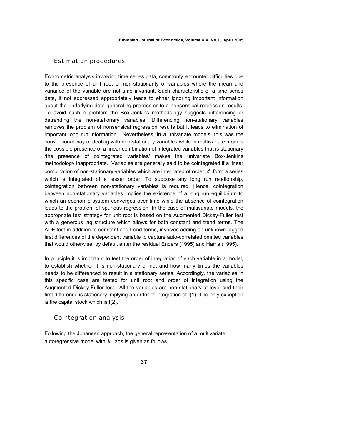#### Estimation procedures

Econometric analysis involving time series data, commonly encounter difficulties due to the presence of unit root or non-stationarity of variables where the mean and variance of the variable are not time invariant. Such characteristic of a time series data, if not addressed appropriately leads to either ignoring important information about the underlying data generating process or to a nonsensical regression results. To avoid such a problem the Box-Jenkins methodology suggests differencing or detrending the non-stationary variables. Differencing non-stationary variables removes the problem of nonsensical regression results but it leads to elimination of important long run information. Nevertheless, in a univariate models, this was the conventional way of dealing with non-stationary variables while in multivariate models the possible presence of a linear combination of integrated variables that is stationary /the presence of cointegrated variables/ makes the univariate Box-Jenkins methodology inappropriate. Variables are generally said to be cointegrated if a linear combination of non-stationary variables which are integrated of order *d* form a series which is integrated of a lesser order. To suppose any long run relationship, cointegration between non-stationary variables is required. Hence, cointegration between non-stationary variables implies the existence of a long run equilibrium to which an economic system converges over time while the absence of cointegration leads to the problem of spurious regression. In the case of multivariate models, the appropriate test strategy for unit root is based on the Augmented Dickey-Fuller test with a generous lag structure which allows for both constant and trend terms. The ADF test in addition to constant and trend terms, involves adding an unknown lagged first differences of the dependent variable to capture auto-correlated omitted variables that would otherwise, by default enter the residual Enders (1995) and Harris (1995).

In principle it is important to test the order of integration of each variable in a model, to establish whether it is non-stationary or not and how many times the variables needs to be differenced to result in a stationary series. Accordingly, the variables in this specific case are tested for unit root and order of integration using the Augmented Dickey-Fuller test. All the variables are non-stationary at level and their first difference is stationary implying an order of integration of I(1). The only exception is the capital stock which is I(2).

## Cointegration analysis

Following the Johansen approach, the general representation of a multivariate autoregressive model with *k* lags is given as follows.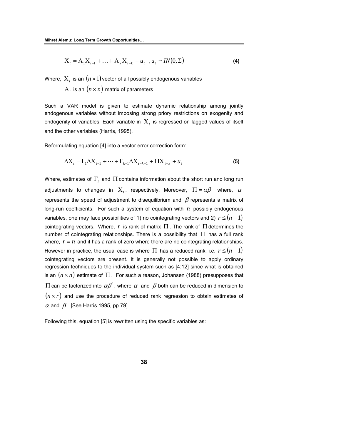$$
X_{t} = A_{1}X_{t-1} + ... + A_{k}X_{t-k} + u_{t} \quad u_{t} \sim IN(0, \Sigma)
$$
 (4)

Where,  $X_t$  is an  $(n \times 1)$  vector of all possibly endogenous variables

 $A_i$  is an  $(n \times n)$  matrix of parameters

Such a VAR model is given to estimate dynamic relationship among jointly endogenous variables without imposing strong priory restrictions on exogenity and endogenity of variables. Each variable in  $X_t$ , is regressed on lagged values of itself and the other variables (Harris, 1995).

Reformulating equation [4] into a vector error correction form:

$$
\Delta X_t = \Gamma_1 \Delta X_{t-1} + \dots + \Gamma_{k-1} \Delta X_{t-k+1} + \Pi X_{t-k} + u_t
$$
\n
$$
\tag{5}
$$

Where, estimates of Γ*i* and Π contains information about the short run and long run adjustments to changes in  $X_t$ , respectively. Moreover,  $\Pi = \alpha \beta'$  where,  $\alpha$ represents the speed of adjustment to disequilibrium and  $\beta$  represents a matrix of long-run coefficients. For such a system of equation with *n* possibly endogenous variables, one may face possibilities of 1) no cointegrating vectors and 2)  $r \leq (n-1)$ cointegrating vectors. Where,  $r$  is rank of matrix  $\Pi$ . The rank of  $\Pi$  determines the number of cointegrating relationships. There is a possibility that  $\Pi$  has a full rank where,  $r = n$  and it has a rank of zero where there are no cointegrating relationships. However in practice, the usual case is where  $\Pi$  has a reduced rank, i.e.  $r \leq (n-1)$ cointegrating vectors are present. It is generally not possible to apply ordinary regression techniques to the individual system such as [4:12] since what is obtained is an  $(n \times n)$  estimate of  $\Pi$ . For such a reason, Johansen (1988) presupposes that  $\Pi$  can be factorized into  $\alpha\beta$ <sup>'</sup>, where  $\alpha$  and  $\beta$  both can be reduced in dimension to  $(n \times r)$  and use the procedure of reduced rank regression to obtain estimates of  $\alpha$  and  $\beta$  [See Harris 1995, pp 79].

Following this, equation [5] is rewritten using the specific variables as: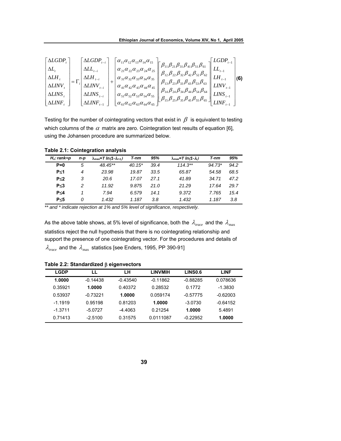| $\triangle LGDP$ , | $\triangle LGDP_{t-i}$                                                        | $\alpha_{11}\alpha_{12}\alpha_{13}\alpha_{14}\alpha_{15}$ |                                                                                      | $LGDP_{t-1}$ |  |
|--------------------|-------------------------------------------------------------------------------|-----------------------------------------------------------|--------------------------------------------------------------------------------------|--------------|--|
| $\Delta L$         | $\Delta L_{t-i}$                                                              | $\alpha_{21}\alpha_{22}\alpha_{23}\alpha_{24}\alpha_{25}$ | $\n  \  \left[ \beta_{11}\beta_{21}\beta_{31}\beta_{41}\beta_{51}\beta_{61} \right]$ | $LL_{i-1}$   |  |
| $\Delta LH$ .      |                                                                               | $\alpha_{31}\alpha_{32}\alpha_{33}\alpha_{34}\alpha_{35}$ | $\beta_{12}\beta_{22}\beta_{32}\beta_{42}\beta_{52}\beta_{62}$                       |              |  |
| ∆LINV              | $\bigg  = \Gamma_i \left  \frac{\Delta L H_{t-i}}{\Delta LINV_{t-i}} \right $ | $\alpha_{41}\alpha_{42}\alpha_{43}\alpha_{44}\alpha_{45}$ | $\beta_{13}\beta_{23}\beta_{33}\beta_{43}\beta_{53}\beta_{63}$                       | LINV.        |  |
| ΔLINS.             | $\Delta LINS$ <sub>t-i</sub>                                                  | $\alpha_{51}\alpha_{52}\alpha_{53}\alpha_{54}\alpha_{55}$ | $\beta_{14}\beta_{24}\beta_{34}\beta_{44}\beta_{54}\beta_{64}$                       | $LINS_{t-1}$ |  |
| ALINF.             | $\Delta LINF_{t-1}$                                                           | $\alpha_{61}\alpha_{62}\alpha_{63}\alpha_{64}\alpha_{65}$ | $\beta_{15}\beta_{25}\beta_{35}\beta_{45}\beta_{55}\beta_{65}$                       |              |  |

Testing for the number of cointegrating vectors that exist in  $\beta$  is equivalent to testing which columns of the  $\alpha$  matrix are zero. Cointegration test results of equation [6], using the Johansen procedure are summarized below.

| $H_0$ : rank=p | n-p | $\lambda_{\text{max}} = T \ln(1-\lambda_{r+1})$ | T-nm     | 95%  | $\lambda_{\text{max}} = T \ln(1-\lambda_i)$ | T-nm     | 95%  |
|----------------|-----|-------------------------------------------------|----------|------|---------------------------------------------|----------|------|
| $P=0$          | 5   | 48.45**                                         | $40.15*$ | 39.4 | $114.3**$                                   | $94.73*$ | 94.2 |
| P<1            | 4   | 23.98                                           | 19.87    | 33.5 | 65.87                                       | 54.58    | 68.5 |
| $P\leq 2$      | 3   | 20.6                                            | 17.07    | 27.1 | 41.89                                       | 34.71    | 47.2 |
| $P\leq 3$      | 2   | 11.92                                           | 9.875    | 21.0 | 21.29                                       | 17.64    | 29.7 |
| $P \leq 4$     |     | 7.94                                            | 6.579    | 14.1 | 9.372                                       | 7.765    | 15.4 |
| <b>P≤5</b>     | 0   | 1.432                                           | 1.187    | 3.8  | 1.432                                       | 1.187    | 3.8  |

*\*\* and \* indicate rejection at 1% and 5% level of significance, respectively.* 

As the above table shows, at 5% level of significance, both the  $\lambda_{\text{trace}}$  and the  $\lambda_{\text{max}}$ statistics reject the null hypothesis that there is no cointegrating relationship and support the presence of one cointegrating vector. For the procedures and details of  $\lambda_{\text{trace}}$  and the  $\lambda_{\text{max}}$  statistics [see Enders, 1995, PP 390-91]

|             |            | . .        |                |            |             |
|-------------|------------|------------|----------------|------------|-------------|
| <b>LGDP</b> | LL         | LН         | <b>LINVMIH</b> | LINS0.6    | <b>LINF</b> |
| 1.0000      | $-0.14438$ | $-0.43540$ | $-0.11862$     | $-0.88285$ | 0.078636    |
| 0.35921     | 1.0000     | 0.40372    | 0.28532        | 0.1772     | $-1.3830$   |
| 0.53937     | $-0.73221$ | 1.0000     | 0.059174       | $-0.57775$ | $-0.62003$  |
| $-1.1919$   | 0.95198    | 0.81203    | 1.0000         | $-3.0730$  | $-0.64152$  |
| $-1.3711$   | $-5.0727$  | $-4.4063$  | 0.21254        | 1.0000     | 5.4891      |
| 0.71413     | $-2.5100$  | 0.31575    | 0.0111087      | $-0.22952$ | 1.0000      |

**Table 2.2: Standardized** β **eigenvectors**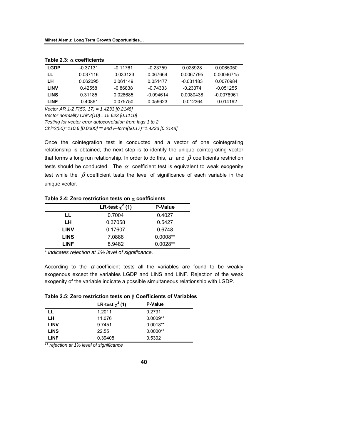| <b>LGDP</b> | $-0.37131$ | $-0.11761$  | $-0.23759$ | 0.028928    | 0.0065050   |
|-------------|------------|-------------|------------|-------------|-------------|
| LL          | 0.037116   | $-0.033123$ | 0.067664   | 0.0067795   | 0.00046715  |
| LΗ          | 0.062095   | 0.061149    | 0.051477   | $-0.031183$ | 0.0070984   |
| LINV        | 0.42558    | -0.86838    | $-0.74333$ | $-0.23374$  | $-0.051255$ |
| <b>LINS</b> | 0.31185    | 0.028685    | -0.094614  | 0.0080438   | -0.0078961  |
| LINF        | $-0.40861$ | 0.075750    | 0.059623   | -0.012364   | $-0.014192$ |

#### **Table 2.3:** α **coefficients**

*Vector AR 1-2 F(50, 17) = 1.4233 [0.2148]* 

*Vector normality Chi^2(10)= 15.623 [0.1110]* 

*Testing for vector error autocorrelation from lags 1 to 2* 

*Chi^2(50)=110.6 [0.0000] \*\* and F-form(50,17)=1.4233 [0.2148]* 

Once the cointegration test is conducted and a vector of one cointegrating relationship is obtained, the next step is to identify the unique cointegrating vector that forms a long run relationship. In order to do this,  $\alpha$  and  $\beta$  coefficients restriction tests should be conducted. The  $\alpha$  coefficient test is equivalent to weak exogenity test while the  $\beta$  coefficient tests the level of significance of each variable in the unique vector.

#### **Table 2.4: Zero restriction tests on** α **coefficients**

|             | LR-test $\chi^2$ (1) | <b>P-Value</b> |
|-------------|----------------------|----------------|
| LL          | 0.7004               | 0.4027         |
| LН          | 0.37058              | 0.5427         |
| <b>LINV</b> | 0.17607              | 0.6748         |
| <b>LINS</b> | 7.0888               | $0.0008**$     |
| <b>LINF</b> | 8.9482               | $0.0028**$     |

*\* indicates rejection at 1% level of significance.* 

According to the  $\alpha$  coefficient tests all the variables are found to be weakly exogenous except the variables LGDP and LINS and LINF. Rejection of the weak exogenity of the variable indicate a possible simultaneous relationship with LGDP.

**Table 2.5: Zero restriction tests on** β **Coefficients of Variables** 

|             | LR-test $\chi^2$ (1) | <b>P-Value</b> |
|-------------|----------------------|----------------|
| LL          | 1.2011               | 0.2731         |
| LH          | 11.076               | $0.0009**$     |
| <b>LINV</b> | 9.7451               | $0.0018**$     |
| <b>LINS</b> | 22.55                | $0.0000**$     |
| <b>LINF</b> | 0.39408              | 0.5302         |

*\*\* rejection at 1% level of significance*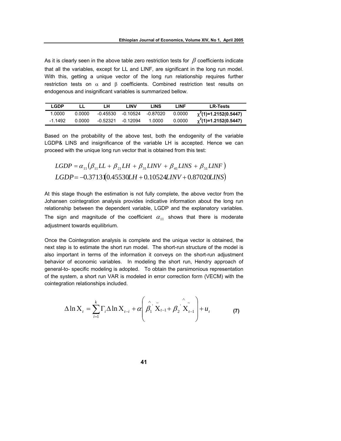As it is clearly seen in the above table zero restriction tests for  $\beta$  coefficients indicate that all the variables, except for LL and LINF, are significant in the long run model. With this, getting a unique vector of the long run relationship requires further restriction tests on  $\alpha$  and  $\beta$  coefficients. Combined restriction test results on endogenous and insignificant variables is summarized bellow.

| <b>LR-Tests</b>             | LINF   | LINS     | I INV    | 1 H      |        | LGDP      |
|-----------------------------|--------|----------|----------|----------|--------|-----------|
| $\chi^2(1)$ =1.2152(0.5447) | 0.0000 | -0.87020 | -0.10524 | -0.45530 | 0.0000 | 1.0000    |
| $\chi^2(1)$ =1.2152(0.5447) | 0.0000 | 1.0000   | -0.12094 | -0.52321 | 0.0000 | $-1.1492$ |

Based on the probability of the above test, both the endogenity of the variable LGDP& LINS and insignificance of the variable LH is accepted. Hence we can proceed with the unique long run vector that is obtained from this test:

$$
LGDP = \alpha_{11} (\beta_{11} LL + \beta_{21} LH + \beta_{31} LINV + \beta_{41} LINS + \beta_{51} LINF)
$$
  
\n
$$
LGDP = -0.3713 [(0.45530 LH + 0.10524 LINV + 0.87020 LINS)]
$$

At this stage though the estimation is not fully complete, the above vector from the Johansen cointegration analysis provides indicative information about the long run relationship between the dependent variable, LGDP and the explanatory variables. The sign and magnitude of the coefficient  $\alpha_{11}$  shows that there is moderate adjustment towards equilibrium.

Once the Cointegration analysis is complete and the unique vector is obtained, the next step is to estimate the short run model. The short-run structure of the model is also important in terms of the information it conveys on the short-run adjustment behavior of economic variables. In modeling the short run, Hendry approach of general-to- specific modeling is adopted. To obtain the parsimonious representation of the system, a short run VAR is modeled in error correction form (VECM) with the cointegration relationships included.

$$
\Delta \ln X_t = \sum_{i=1}^k \Gamma_i \Delta \ln X_{t-i} + \alpha \left( \hat{\beta_1} \tilde{X}_{t-1} + \beta_2 \tilde{X}_{t-1} \right) + u_t
$$
 (7)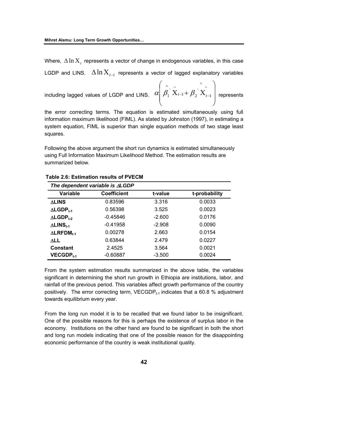Where,  $\Delta \ln X$ , represents a vector of change in endogenous variables, in this case LGDP and LINS.  $\Delta \ln X_{i-i}$  represents a vector of lagged explanatory variables

including lagged values of LGDP and LINS.

$$
\alpha \left( \stackrel{\wedge}{\beta_1} \tilde{\mathbf{X}}_{t-1} + \beta_2 \tilde{\mathbf{X}}_{t-1} \right)
$$
 represents

the error correcting terms. The equation is estimated simultaneously using full information maximum likelihood (FIML). As stated by Johnston (1997), in estimating a system equation, FIML is superior than single equation methods of two stage least squares.

Following the above argument the short run dynamics is estimated simultaneously using Full Information Maximum Likelihood Method. The estimation results are summarized below.

| The dependent variable is $\triangle$ LGDP |                    |          |               |  |  |  |  |
|--------------------------------------------|--------------------|----------|---------------|--|--|--|--|
| Variable                                   | <b>Coefficient</b> | t-value  | t-probability |  |  |  |  |
| <b>ALINS</b>                               | 0.83596            | 3.316    | 0.0033        |  |  |  |  |
| $\Delta$ LGDP <sub>t-1</sub>               | 0.56398            | 3.525    | 0.0023        |  |  |  |  |
| $\Delta$ LGDP <sub>t-2</sub>               | $-0.45846$         | $-2.600$ | 0.0176        |  |  |  |  |
| $\Delta$ LINS <sub>t-1</sub>               | $-0.41958$         | $-2.908$ | 0.0090        |  |  |  |  |
| $\Delta$ LRFDM <sub>t-1</sub>              | 0.00278            | 2.663    | 0.0154        |  |  |  |  |
| ΔLL                                        | 0.63844            | 2.479    | 0.0227        |  |  |  |  |
| Constant                                   | 2.4525             | 3.564    | 0.0021        |  |  |  |  |
| <b>VECGDP</b> <sub>1-1</sub>               | $-0.60887$         | $-3.500$ | 0.0024        |  |  |  |  |

**Table 2.6: Estimation results of PVECM** 

From the system estimation results summarized in the above table, the variables significant in determining the short run growth in Ethiopia are institutions, labor, and rainfall of the previous period. This variables affect growth performance of the country positively. The error correcting term, VECGDP $_{t-1}$  indicates that a 60.8 % adjustment towards equilibrium every year.

From the long run model it is to be recalled that we found labor to be insignificant. One of the possible reasons for this is perhaps the existence of surplus labor in the economy. Institutions on the other hand are found to be significant in both the short and long run models indicating that one of the possible reason for the disappointing economic performance of the country is weak institutional quality.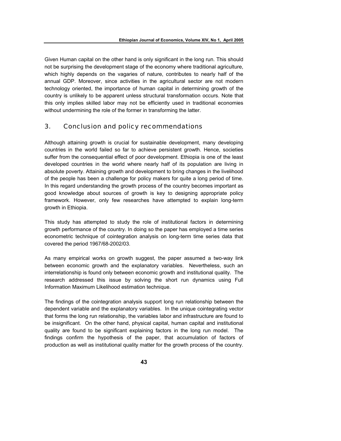Given Human capital on the other hand is only significant in the long run. This should not be surprising the development stage of the economy where traditional agriculture, which highly depends on the vagaries of nature, contributes to nearly half of the annual GDP. Moreover, since activities in the agricultural sector are not modern technology oriented, the importance of human capital in determining growth of the country is unlikely to be apparent unless structural transformation occurs. Note that this only implies skilled labor may not be efficiently used in traditional economies without undermining the role of the former in transforming the latter.

## 3. Conclusion and policy recommendations

Although attaining growth is crucial for sustainable development, many developing countries in the world failed so far to achieve persistent growth. Hence, societies suffer from the consequential effect of poor development. Ethiopia is one of the least developed countries in the world where nearly half of its population are living in absolute poverty. Attaining growth and development to bring changes in the livelihood of the people has been a challenge for policy makers for quite a long period of time. In this regard understanding the growth process of the country becomes important as good knowledge about sources of growth is key to designing appropriate policy framework. However, only few researches have attempted to explain long-term growth in Ethiopia.

This study has attempted to study the role of institutional factors in determining growth performance of the country. In doing so the paper has employed a time series econometric technique of cointegration analysis on long-term time series data that covered the period 1967/68-2002/03.

As many empirical works on growth suggest, the paper assumed a two-way link between economic growth and the explanatory variables. Nevertheless, such an interrelationship is found only between economic growth and institutional quality. The research addressed this issue by solving the short run dynamics using Full Information Maximum Likelihood estimation technique.

The findings of the cointegration analysis support long run relationship between the dependent variable and the explanatory variables. In the unique cointegrating vector that forms the long run relationship, the variables labor and infrastructure are found to be insignificant. On the other hand, physical capital, human capital and institutional quality are found to be significant explaining factors in the long run model. The findings confirm the hypothesis of the paper, that accumulation of factors of production as well as institutional quality matter for the growth process of the country.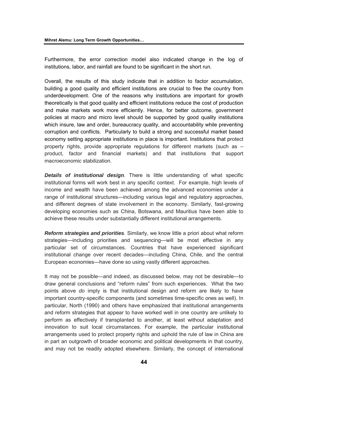Furthermore, the error correction model also indicated change in the log of institutions, labor, and rainfall are found to be significant in the short run.

Overall, the results of this study indicate that in addition to factor accumulation, building a good quality and efficient institutions are crucial to free the country from underdevelopment. One of the reasons why institutions are important for growth theoretically is that good quality and efficient institutions reduce the cost of production and make markets work more efficiently. Hence, for better outcome, government policies at macro and micro level should be supported by good quality institutions which insure, law and order, bureaucracy quality, and accountability while preventing corruption and conflicts. Particularly to build a strong and successful market based economy setting appropriate institutions in place is important. Institutions that protect property rights, provide appropriate regulations for different markets (such as – product, factor and financial markets) and that institutions that support macroeconomic stabilization.

*Details of institutional design.* There is little understanding of what specific institutional forms will work best in any specific context. For example, high levels of income and wealth have been achieved among the advanced economies under a range of institutional structures—including various legal and regulatory approaches, and different degrees of state involvement in the economy. Similarly, fast-growing developing economies such as China, Botswana, and Mauritius have been able to achieve these results under substantially different institutional arrangements.

*Reform strategies and priorities.* Similarly, we know little a priori about what reform strategies—including priorities and sequencing—will be most effective in any particular set of circumstances. Countries that have experienced significant institutional change over recent decades—including China, Chile, and the central European economies—have done so using vastly different approaches.

It may not be possible—and indeed, as discussed below, may not be desirable—to draw general conclusions and "reform rules" from such experiences. What the two points above *do* imply is that institutional design and reform are likely to have important country-specific components (and sometimes time-specific ones as well). In particular, North (1990) and others have emphasized that institutional arrangements and reform strategies that appear to have worked well in one country are unlikely to perform as effectively if transplanted to another, at least without adaptation and innovation to suit local circumstances. For example, the particular institutional arrangements used to protect property rights and uphold the rule of law in China are in part an outgrowth of broader economic and political developments in that country, and may not be readily adopted elsewhere. Similarly, the concept of international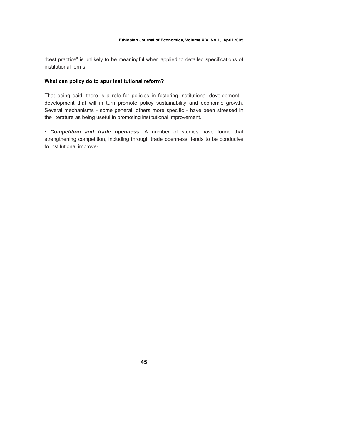"best practice" is unlikely to be meaningful when applied to detailed specifications of institutional forms.

### **What can policy do to spur institutional reform?**

That being said, there is a role for policies in fostering institutional development development that will in turn promote policy sustainability and economic growth. Several mechanisms - some general, others more specific - have been stressed in the literature as being useful in promoting institutional improvement.

• *Competition and trade openness.* A number of studies have found that strengthening competition, including through trade openness, tends to be conducive to institutional improve-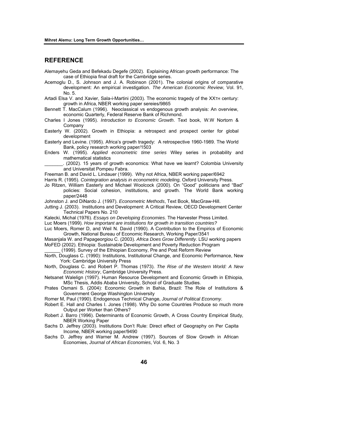#### **REFERENCE**

Alemayehu Geda and Befekadu Degefe (2002). Explaining African growth performance: The case of Ethiopia final draft for the Cambridge series.

Acemoglu D., S. Johnson and J. A. Robinson (2001). The colonial origins of comparative development: An empirical investigation. *The American Economic Review*, Vol. 91, No. 5.

Artadi Elsa V. and Xavier, Sala-i-Martini (2003). The economic tragedy of the XXTH century: growth in Africa, NBER working paper sereies/9865

Bennett T. MacCalum (1996). Neoclassical vs endogenous growth analysis: An overview, economic Quarterly, Federal Reserve Bank of Richmond.

Charles I Jones (1995). *Introduction to Economic Growth*. Text book, W.W Nortorn & Company

Easterly W. (2002). Growth in Ethiopia: a retrospect and prospect center for global development

Easterly and Levine. (1995). Africa's growth tragedy: A retrospective 1960-1989. The World Bank, policy research working paper/1503

- Enders W. (1995). *Applied econometric time series* Wiley series in probability and mathematical statistics
	- \_\_\_\_\_\_\_. (2002). 15 years of growth economics: What have we learnt? Colombia University and Universitat Pompeu Fabra.

Freeman B. and David L. Lindauer (1999). Why not Africa, NBER working paper/6942

Harris R. (1995). *Cointegration analysis in econometric modeling,* Oxford University Press.

Jo Ritzen, William Easterly and Michael Woolcock (2000). On "Good" politicians and "Bad" policies: Social cohesion, institutions, and growth. The World Bank working paper/2448

Johnston J. and DiNardo J. (1997). *Econometric Methods*, Text Book, MacGraw-Hill.

- Jutting J. (2003). Institutions and Development: A Critical Review, OECD Development Center Technical Papers No. 210
- Kalecki, Michal (1976). *Essays on Developing Economies.* The Harvester Press Limited.

Luc Moers (1999). *How important are institutions for growth in transition countries?*

Luc Moers, Romer D, and Weil N. David (1990). A Contribution to the Empirics of Economic Growth, National Bureau of Economic Research, Working Paper/3541

Masanjala W. and Papageorgiou C. (2003). *Africa Does Grow Differently*. LSU working papers MoFED (2002). Ethiopia: Sustainable Development and Poverty Reduction Program

(1999). Survey of the Ethiopian Economy, Pre and Post Reform Review

North, Douglass C. (1990): Institutions, Institutional Change, and Economic Performance, New York: Cambridge University Press

North, Douglass C. and Robert P. Thomas (1973). *The Rise of the Western World: A New Economic History*, Cambridge University Press.

Netsanet Walelign (1997). Human Resource Development and Economic Growth in Ethiopia, MSc Thesis, Addis Ababa University, School of Graduate Studies.

Prates Osmani S. (2004): Economic Growth in Bahia, Brazil: The Role of Institutions & Government George Washington University

Romer M, Paul (1990). Endogenous Technical Change, *Journal of Political Economy.* 

Robert E. Hall and Charles I. Jones (1998). Why Do some Countries Produce so much more Output per Worker than Others?

Robert J. Barro (1996). Determinants of Economic Growth, A Cross Country Empirical Study, NBER Working Paper

Sachs D. Jeffrey (2003). Institutions Don't Rule: Direct effect of Geography on Per Capita Income, NBER working paper/9490

Sachs D. Jeffrey and Warner M. Andrew (1997). Sources of Slow Growth in African Economies, *Journal of African Economies*, Vol. 6, No. 3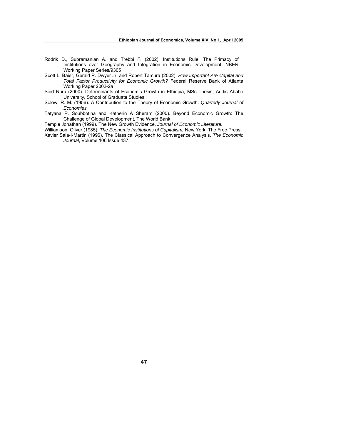- Rodrik D., Subramanian A. and Trebbi F. (2002). Institutions Rule: The Primacy of Institutions over Geography and Integration in Economic Development, NBER Working Paper Series/9305
- Scott L. Baier, Gerald P. Dwyer Jr. and Robert Tamura (2002). *How Important Are Capital and Total Factor Productivity for Economic Growth?* Federal Reserve Bank of Atlanta Working Paper 2002-2a
- Seid Nuru (2000). Determinants of Economic Growth in Ethiopia, MSc Thesis, Addis Ababa University, School of Graduate Studies.
- Solow, R. M. (1956). A Contribution to the Theory of Economic Growth. *Quarterly Journal of Economies*
- Tatyana P. Soubbotina and Katherin A Sheram (2000). Beyond Economic Growth: The Challenge of Global Development, The World Bank.

Temple Jonathan (1999). The New Growth Evidence, *Journal of Economic Literature.*

- Williamson, Oliver (1985): *The Economic Institutions of Capitalism,* New York: The Free Press.
- Xavier Sala-I-Martin (1996). The Classical Approach to Convergence Analysis, *The Economic Journal*, Volume 106 Issue 437,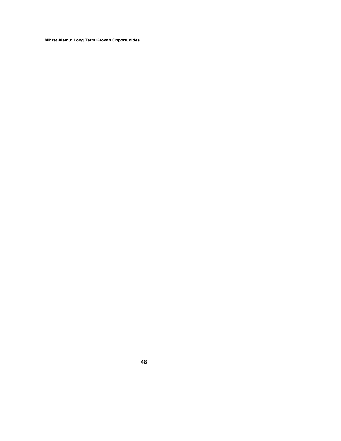**Mihret Alemu: Long Term Growth Opportunities…**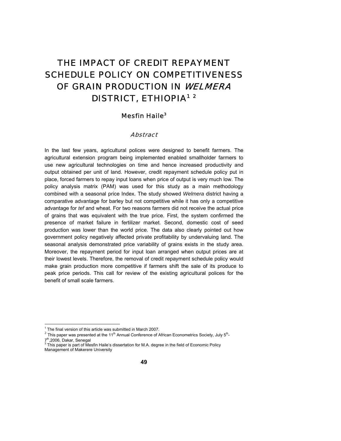# THE IMPACT OF CREDIT REPAYMENT SCHEDULE POLICY ON COMPETITIVENESS OF GRAIN PRODUCTION IN WELMERA DISTRICT, ETHIOPIA<sup>12</sup>

## Mesfin Haile $^3$

#### Abstract

In the last few years, agricultural polices were designed to benefit farmers. The agricultural extension program being implemented enabled smallholder farmers to use new agricultural technologies on time and hence increased productivity and output obtained per unit of land. However, credit repayment schedule policy put in place, forced farmers to repay input loans when price of output is very much low. The policy analysis matrix (PAM) was used for this study as a main methodology combined with a seasonal price Index. The study showed *Welmera* district having a comparative advantage for barley but not competitive while it has only a competitive advantage for *tef* and wheat. For two reasons farmers did not receive the actual price of grains that was equivalent with the true price. First, the system confirmed the presence of market failure in fertilizer market. Second, domestic cost of seed production was lower than the world price. The data also clearly pointed out how government policy negatively affected private profitability by undervaluing land. The seasonal analysis demonstrated price variability of grains exists in the study area. Moreover, the repayment period for input loan arranged when output prices are at their lowest levels. Therefore, the removal of credit repayment schedule policy would make grain production more competitive if farmers shift the sale of its produce to peak price periods. This call for review of the existing agricultural polices for the benefit of small scale farmers.

 $\overline{\phantom{a}}$ 

<sup>&</sup>lt;sup>1</sup> The final version of this article was submitted in March 2007.

 $^{2}$  This paper was presented at the 11<sup>th</sup> Annual Conference of African Econometrics Society, July 5<sup>th</sup>-7<sup>th</sup>,2006, Dakar, Senegal

This paper is part of Mesfin Haile's dissertation for M.A. degree in the field of Economic Policy Management of Makerere University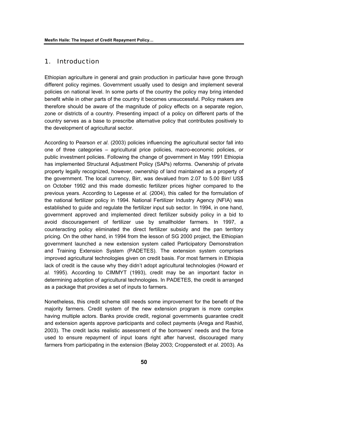## 1. Introduction

Ethiopian agriculture in general and grain production in particular have gone through different policy regimes. Government usually used to design and implement several policies on national level. In some parts of the country the policy may bring intended benefit while in other parts of the country it becomes unsuccessful. Policy makers are therefore should be aware of the magnitude of policy effects on a separate region, zone or districts of a country. Presenting impact of a policy on different parts of the country serves as a base to prescribe alternative policy that contributes positively to the development of agricultural sector.

According to Pearson *et al*. (2003) policies influencing the agricultural sector fall into one of three categories – agricultural price policies, macro-economic policies, or public investment policies. Following the change of government in May 1991 Ethiopia has implemented Structural Adjustment Policy (SAPs) reforms. Ownership of private property legally recognized, however, ownership of land maintained as a property of the government. The local currency, Birr, was devalued from 2.07 to 5.00 Birr/ US\$ on October 1992 and this made domestic fertilizer prices higher compared to the previous years. According to Legesse *et al.* (2004), this called for the formulation of the national fertilizer policy in 1994. National Fertilizer Industry Agency (NFIA) was established to guide and regulate the fertilizer input sub sector. In 1994, in one hand, government approved and implemented direct fertilizer subsidy policy in a bid to avoid discouragement of fertilizer use by smallholder farmers. In 1997, a counteracting policy eliminated the direct fertilizer subsidy and the pan territory pricing. On the other hand, in 1994 from the lesson of SG 2000 project, the Ethiopian government launched a new extension system called Participatory Demonstration and Training Extension System (PADETES). The extension system comprises improved agricultural technologies given on credit basis. For most farmers in Ethiopia lack of credit is the cause why they didn't adopt agricultural technologies (Howard *et al.* 1995). According to CIMMYT (1993), credit may be an important factor in determining adoption of agricultural technologies. In PADETES, the credit is arranged as a package that provides a set of inputs to farmers.

Nonetheless, this credit scheme still needs some improvement for the benefit of the majority farmers. Credit system of the new extension program is more complex having multiple actors. Banks provide credit, regional governments guarantee credit and extension agents approve participants and collect payments (Arega and Rashid, 2003). The credit lacks realistic assessment of the borrowers' needs and the force used to ensure repayment of input loans right after harvest, discouraged many farmers from participating in the extension (Belay 2003; Croppenstedt *et al*. 2003). As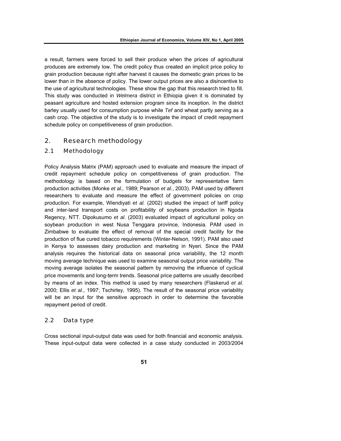a result, farmers were forced to sell their produce when the prices of agricultural produces are extremely low. The credit policy thus created an implicit price policy to grain production because right after harvest it causes the domestic grain prices to be lower than in the absence of policy. The lower output prices are also a disincentive to the use of agricultural technologies. These show the gap that this research tried to fill. This study was conducted in *Welmera* district in Ethiopia given it is dominated by peasant agriculture and hosted extension program since its inception. In the district barley usually used for consumption purpose while *Tef* and wheat partly serving as a cash crop. The objective of the study is to investigate the impact of credit repayment schedule policy on competitiveness of grain production.

## 2. Research methodology

## 2.1 Methodology

Policy Analysis Matrix (PAM) approach used to evaluate and measure the impact of credit repayment schedule policy on competitiveness of grain production. The methodology is based on the formulation of budgets for representative farm production activities (Monke *et al.,* 1989; Pearson *et al.*, 2003). PAM used by different researchers to evaluate and measure the effect of government policies on crop production. For example, Wiendiyati *et al.* (2002) studied the impact of tariff policy and inter-land transport costs on profitability of soybeans production in Ngoda Regency, NTT. Dipokusumo *et al*. (2003) evaluated impact of agricultural policy on soybean production in west Nusa Tenggara province, Indonesia. PAM used in Zimbabwe to evaluate the effect of removal of the special credit facility for the production of flue cured tobacco requirements (Winter-Nelson, 1991). PAM also used in Kenya to assesses dairy production and marketing in Nyeri. Since the PAM analysis requires the historical data on seasonal price variability, the 12 month moving average technique was used to examine seasonal output price variability. The moving average isolates the seasonal pattern by removing the influence of cyclical price movements and long-term trends. Seasonal price patterns are usually described by means of an index. This method is used by many researchers (Flaskerud *et al*. 2000; Ellis *et al*., 1997; Tschirley, 1995). The result of the seasonal price variability will be an input for the sensitive approach in order to determine the favorable repayment period of credit.

## 2.2 Data type

Cross sectional input-output data was used for both financial and economic analysis. These input-output data were collected in a case study conducted in 2003/2004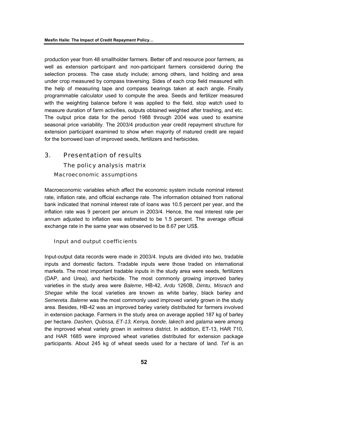production year from 48 smallholder farmers. Better off and resource poor farmers, as well as extension participant and non-participant farmers considered during the selection process. The case study include; among others, land holding and area under crop measured by compass traversing. Sides of each crop field measured with the help of measuring tape and compass bearings taken at each angle. Finally programmable calculator used to compute the area. Seeds and fertilizer measured with the weighting balance before it was applied to the field, stop watch used to measure duration of farm activities, outputs obtained weighted after trashing, and etc. The output price data for the period 1988 through 2004 was used to examine seasonal price variability. The 2003/4 production year credit repayment structure for extension participant examined to show when majority of matured credit are repaid for the borrowed loan of improved seeds, fertilizers and herbicides.

## 3. Presentation of results The policy analysis matrix Macroeconomic assumptions

Macroeconomic variables which affect the economic system include nominal interest rate, inflation rate, and official exchange rate. The information obtained from national bank indicated that nominal interest rate of loans was 10.5 percent per year, and the inflation rate was 9 percent per annum in 2003/4. Hence, the real interest rate per annum adjusted to inflation was estimated to be 1.5 percent. The average official exchange rate in the same year was observed to be 8.67 per US\$.

#### Input and output coefficients

Input-output data records were made in 2003/4. Inputs are divided into two, tradable inputs and domestic factors. Tradable inputs were those traded on international markets. The most important tradable inputs in the study area were seeds, fertilizers (DAP, and Urea), and herbicide. The most commonly growing improved barley varieties in the study area were *Baleme*, HB-42, *Ardu* 1260B, *Dimtu*, *Misrach* and *Shegae* while the local varieties are known as white barley, black barley and *Semereta*. *Baleme* was the most commonly used improved variety grown in the study area. Besides, HB-42 was an improved barley variety distributed for farmers involved in extension package. Farmers in the study area on average applied 187 kg of barley per hectare. *Dashen, Qubssa, ET-13, Kenya, bonde, lakech* and *galama* were among the improved wheat variety grown in *welmera* district. In addition, ET-13, HAR 710, and HAR 1685 were improved wheat varieties distributed for extension package participants. About 245 kg of wheat seeds used for a hectare of land. *Tef* is an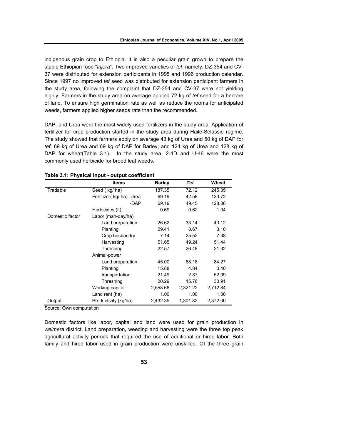indigenous grain crop to Ethiopia. It is also a peculiar grain grown to prepare the staple Ethiopian food "*Injera*". Two improved varieties of *tef*, namely, DZ-354 and CV-37 were distributed for extension participants in 1995 and 1996 production calendar. Since 1997 no improved *tef* seed was distributed for extension participant farmers in the study area, following the complaint that DZ-354 and CV-37 were not yielding highly. Farmers in the study area on average applied 72 kg of *tef* seed for a hectare of land. To ensure high germination rate as well as reduce the rooms for anticipated weeds, farmers applied higher seeds rate than the recommended.

DAP, and Urea were the most widely used fertilizers in the study area. Application of fertilizer for crop production started in the study area during Haile-Selassie regime. The study showed that farmers apply on average 43 kg of Urea and 50 kg of DAP for *tef*; 69 kg of Urea and 69 kg of DAP for Barley; and 124 kg of Urea and 128 kg of DAP for wheat(Table 3.1). In the study area, 2-4D and U-46 were the most commonly used herbicide for brood leaf weeds.

|                 | <b>Items</b>           | <b>Barley</b> | Tef      | Wheat    |
|-----------------|------------------------|---------------|----------|----------|
| Tradable        | Seed (kg/ha)           | 187.35        | 72.12    | 245.35   |
|                 | Fertilizer(kg/ha)-Urea | 69.19         | 42.58    | 123.72   |
|                 | -DAP                   | 69.19         | 49.45    | 128.06   |
|                 | Herbicides (It)        | 0.69          | 0.62     | 1.04     |
| Domestic factor | Labor (man-day/ha)     |               |          |          |
|                 | Land preparation       | 26.62         | 33.14    | 40.12    |
|                 | Planting               | 29.41         | 8.67     | 3.10     |
|                 | Crop husbandry         | 7.14          | 25.52    | 7.38     |
|                 | Harvesting             | 51.65         | 49.24    | 51.44    |
|                 | Threshing              | 22.57         | 26.48    | 21.32    |
|                 | Animal-power           |               |          |          |
|                 | Land preparation       | 45.00         | 68.18    | 84.27    |
|                 | Planting               | 15.88         | 4.84     | 0.40     |
|                 | transportation         | 21.49         | 2.87     | 52.09    |
|                 | Threshing              | 20.29         | 15.76    | 30.91    |
|                 | Working capital        | 2,558.66      | 2,321.22 | 2,712.84 |
|                 | Land rent (ha)         | 1.00          | 1.00     | 1.00     |
| Output          | Productivity (kg/ha)   | 2,432.35      | 1,301.82 | 2,372.00 |

#### **Table 3.1: Physical input - output coefficient**

Source: Own computation

Domestic factors like labor, capital and land were used for grain production in *welmera* district. Land preparation, weeding and harvesting were the three top peak agricultural activity periods that required the use of additional or hired labor. Both family and hired labor used in grain production were unskilled. Of the three grain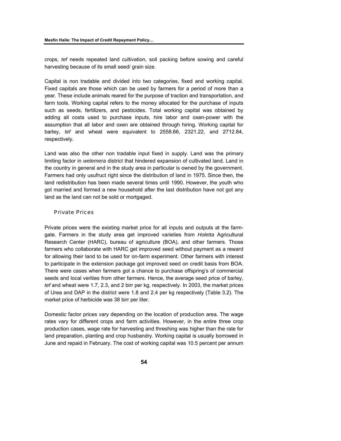crops, *tef* needs repeated land cultivation, soil packing before sowing and careful harvesting because of its small seed/ grain size.

Capital is non tradable and divided into two categories, fixed and working capital. Fixed capitals are those which can be used by farmers for a period of more than a year. These include animals reared for the purpose of traction and transportation, and farm tools. Working capital refers to the money allocated for the purchase of inputs such as seeds, fertilizers, and pesticides. Total working capital was obtained by adding all costs used to purchase inputs, hire labor and oxen-power with the assumption that all labor and oxen are obtained through hiring. Working capital for barley, *tef* and wheat were equivalent to 2558.66, 2321.22, and 2712.84, respectively.

Land was also the other non tradable input fixed in supply. Land was the primary limiting factor in *welemera* district that hindered expansion of cultivated land. Land in the country in general and in the study area in particular is owned by the government. Farmers had only usufruct right since the distribution of land in 1975. Since then, the land redistribution has been made several times until 1990. However, the youth who got married and formed a new household after the last distribution have not got any land as the land can not be sold or mortgaged.

#### Private Prices

Private prices were the existing market price for all inputs and outputs at the farmgate. Farmers in the study area get improved varieties from *Holetta* Agricultural Research Center (HARC), bureau of agriculture (BOA), and other farmers. Those farmers who collaborate with HARC get improved seed without payment as a reward for allowing their land to be used for on-farm experiment. Other farmers with interest to participate in the extension package got improved seed on credit basis from BOA. There were cases when farmers got a chance to purchase offspring's of commercial seeds and local verities from other farmers. Hence, the average seed price of barley, *tef* and wheat were 1.7, 2.3, and 2 birr per kg, respectively. In 2003, the market prices of Urea and DAP in the district were 1.8 and 2.4 per kg respectively (Table 3.2). The market price of herbicide was 38 birr per liter.

Domestic factor prices vary depending on the location of production area. The wage rates vary for different crops and farm activities. However, in the entire three crop production cases, wage rate for harvesting and threshing was higher than the rate for land preparation, planting and crop husbandry. Working capital is usually borrowed in June and repaid in February. The cost of working capital was 10.5 percent per annum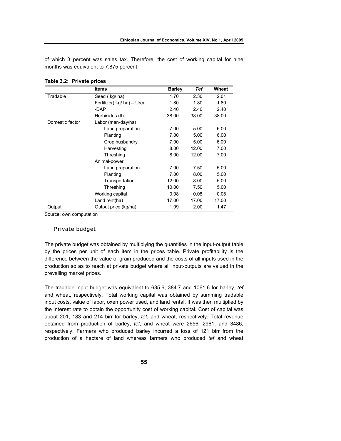of which 3 percent was sales tax. Therefore, the cost of working capital for nine months was equivalent to 7.875 percent.

|                 | <b>Items</b>             | <b>Barley</b> | Tef   | Wheat |
|-----------------|--------------------------|---------------|-------|-------|
| Tradable        | Seed (kg/ha)             | 1.70          | 2.30  | 2.01  |
|                 | Fertilizer(kg/ha) - Urea | 1.80          | 1.80  | 1.80  |
|                 | -DAP                     |               | 2.40  | 2.40  |
|                 | Herbicides (It)          | 38.00         | 38.00 | 38.00 |
| Domestic factor | Labor (man-day/ha)       |               |       |       |
|                 | Land preparation         | 7.00          | 5.00  | 6.00  |
|                 | Planting                 | 7.00          | 5.00  | 6.00  |
|                 | Crop husbandry           | 7.00          | 5.00  | 6.00  |
|                 | Harvesting               | 8.00          | 12.00 | 7.00  |
|                 | Threshing                | 8.00          | 12.00 | 7.00  |
|                 | Animal-power             |               |       |       |
|                 | Land preparation         | 7.00          | 7.50  | 5.00  |
|                 | Planting                 | 7.00          | 8.00  | 5.00  |
|                 | Transportation           | 12.00         | 8.00  | 5.00  |
|                 | Threshing                | 10.00         | 7.50  | 5.00  |
|                 | Working capital          | 0.08          | 0.08  | 0.08  |
|                 | Land rent(ha)            | 17.00         | 17.00 | 17.00 |
| Output          | Output price (kg/ha)     | 1.09          | 2.00  | 1.47  |

**Table 3.2: Private prices** 

Source: own computation

#### Private budget

The private budget was obtained by multiplying the quantities in the input-output table by the prices per unit of each item in the prices table. Private profitability is the difference between the value of grain produced and the costs of all inputs used in the production so as to reach at private budget where all input-outputs are valued in the prevailing market prices.

The tradable input budget was equivalent to 635.6, 384.7 and 1061.6 for barley, *tef* and wheat, respectively. Total working capital was obtained by summing tradable input costs, value of labor, oxen power used, and land rental. It was then multiplied by the interest rate to obtain the opportunity cost of working capital. Cost of capital was about 201, 183 and 214 birr for barley, *tef*, and wheat, respectively. Total revenue obtained from production of barley, *tef*, and wheat were 2656, 2961, and 3486, respectively. Farmers who produced barley incurred a loss of 121 birr from the production of a hectare of land whereas farmers who produced *tef* and wheat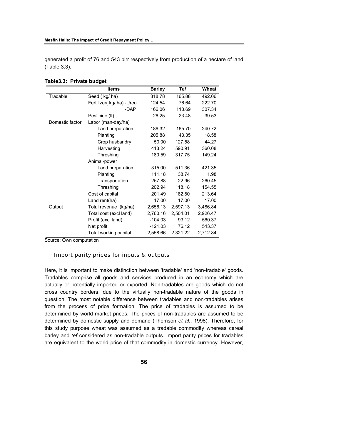generated a profit of 76 and 543 birr respectively from production of a hectare of land (Table 3.3).

|                 | <b>Items</b>              | <b>Barley</b> | Tef      | Wheat    |
|-----------------|---------------------------|---------------|----------|----------|
| Tradable        | Seed (kg/ha)              | 318.78        | 165.88   | 492.06   |
|                 | Fertilizer( kg/ ha) -Urea | 124.54        | 76.64    | 222.70   |
|                 | -DAP                      | 166.06        | 118.69   | 307.34   |
|                 | Pesticide (It)            | 26.25         | 23.48    | 39.53    |
| Domestic factor | Labor (man-day/ha)        |               |          |          |
|                 | Land preparation          | 186.32        | 165.70   | 240.72   |
|                 | Planting                  | 205.88        | 43.35    | 18.58    |
|                 | Crop husbandry            | 50.00         | 127.58   | 44.27    |
|                 | Harvesting                | 413.24        | 590.91   | 360.08   |
|                 | Threshing                 | 180.59        | 317.75   | 149.24   |
|                 | Animal-power              |               |          |          |
|                 | Land preparation          | 315.00        | 511.36   | 421.35   |
|                 | Planting                  | 111.18        | 38.74    | 1.98     |
|                 | Transportation            | 257.88        | 22.96    | 260.45   |
|                 | Threshing                 | 202.94        | 118.18   | 154.55   |
|                 | Cost of capital           | 201.49        | 182.80   | 213.64   |
|                 | Land rent(ha)             | 17.00         | 17.00    | 17.00    |
| Output          | Total revenue (kg/ha)     | 2,656.13      | 2,597.13 | 3,486.84 |
|                 | Total cost (excl land)    | 2,760.16      | 2,504.01 | 2,926.47 |
|                 | Profit (excl land)        | $-104.03$     | 93.12    | 560.37   |
|                 | Net profit                | $-121.03$     | 76.12    | 543.37   |
|                 | Total working capital     | 2,558.66      | 2,321.22 | 2,712.84 |

#### **Table3.3: Private budget**

Source: Own computation

### Import parity prices for inputs & outputs

Here, it is important to make distinction between 'tradable' and 'non-tradable' goods. Tradables comprise all goods and services produced in an economy which are actually or potentially imported or exported. Non-tradables are goods which do not cross country borders, due to the virtually non-tradable nature of the goods in question. The most notable difference between tradables and non-tradables arises from the process of price formation. The price of tradables is assumed to be determined by world market prices. The prices of non-tradables are assumed to be determined by domestic supply and demand (Thomson *et al*., 1998). Therefore, for this study purpose wheat was assumed as a tradable commodity whereas cereal barley and *tef* considered as non-tradable outputs. Import parity prices for tradables are equivalent to the world price of that commodity in domestic currency. However,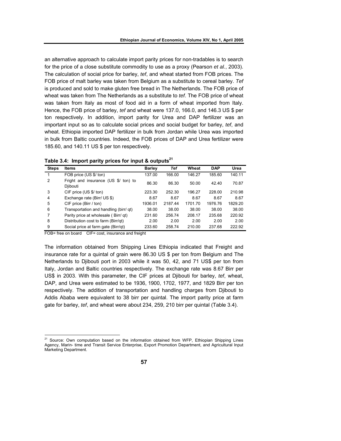an alternative approach to calculate import parity prices for non-tradables is to search for the price of a close substitute commodity to use as a proxy (Pearson *et al.*, 2003). The calculation of social price for barley, *tef*, and wheat started from FOB prices. The FOB price of malt barley was taken from Belgium as a substitute to cereal barley. *Tef* is produced and sold to make gluten free bread in The Netherlands. The FOB price of wheat was taken from The Netherlands as a substitute to *tef*. The FOB price of wheat was taken from Italy as most of food aid in a form of wheat imported from Italy. Hence, the FOB price of barley, *tef* and wheat were 137.0, 166.0, and 146.3 US \$ per ton respectively. In addition, import parity for Urea and DAP fertilizer was an important input so as to calculate social prices and social budget for barley, *tef*, and wheat. Ethiopia imported DAP fertilizer in bulk from Jordan while Urea was imported in bulk from Baltic countries. Indeed, the FOB prices of DAP and Urea fertilizer were 185.60, and 140.11 US \$ per ton respectively.

| <b>Steps</b> | Items                                            | <b>Barley</b> | Tef     | Wheat   | <b>DAP</b> | Urea    |
|--------------|--------------------------------------------------|---------------|---------|---------|------------|---------|
|              | FOB price (US \$/ ton)                           | 137.00        | 166.00  | 146.27  | 185.60     | 140.11  |
| 2            | Fright and insurance (US \$/ ton) to<br>Djibouti | 86.30         | 86.30   | 50.00   | 42.40      | 70.87   |
| 3            | CIF price (US \$/ ton)                           | 223.30        | 252.30  | 196.27  | 228.00     | 210.98  |
| 4            | Exchange rate (Birr/ US \$)                      | 8.67          | 8.67    | 8.67    | 8.67       | 8.67    |
| 5            | CIF price (Birr / ton)                           | 1936.01       | 2187.44 | 1701.70 | 1976.76    | 1829.20 |
| 6            | Transportation and handling (birr/ gt)           | 38.00         | 38.00   | 38.00   | 38.00      | 38.00   |
| 7            | Parity price at wholesale (Birr/ qt)             | 231.60        | 256.74  | 208.17  | 235.68     | 220.92  |
| 8            | Distribution cost to farm (Birr/gt)              | 2.00          | 2.00    | 2.00    | 2.00       | 2.00    |
| 9            | Social price at farm gate (Birr/gt)              | 233.60        | 258.74  | 210.00  | 237.68     | 222.92  |

Table 3.4: Import parity prices for input & outputs<sup>21</sup>

FOB= free on board CIF= cost, insurance and freight

 $\overline{\phantom{a}}$ 

The information obtained from Shipping Lines Ethiopia indicated that Freight and insurance rate for a quintal of grain were 86.30 US \$ per ton from Belgium and The Netherlands to Djibouti port in 2003 while it was 50, 42, and 71 US\$ per ton from Italy, Jordan and Baltic countries respectively. The exchange rate was 8.67 Birr per US\$ in 2003. With this parameter, the CIF prices at Djibouti for barley, *tef*, wheat, DAP, and Urea were estimated to be 1936, 1900, 1702, 1977, and 1829 Birr per ton respectively. The addition of transportation and handling charges from Djibouti to Addis Ababa were equivalent to 38 birr per quintal. The import parity price at farm gate for barley, *tef*, and wheat were about 234, 259, 210 birr per quintal (Table 3.4).

 $21$  Source: Own computation based on the information obtained from WFP, Ethiopian Shipping Lines Agency, Marin- time and Transit Service Enterprise, Export Promotion Department, and Agricultural Input Marketing Department.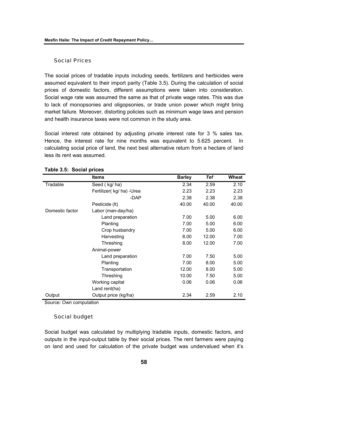#### Social Prices

The social prices of tradable inputs including seeds, fertilizers and herbicides were assumed equivalent to their import parity (Table 3.5). During the calculation of social prices of domestic factors, different assumptions were taken into consideration. Social wage rate was assumed the same as that of private wage rates. This was due to lack of monopsonies and oligopsonies, or trade union power which might bring market failure. Moreover, distorting policies such as minimum wage laws and pension and health insurance taxes were not common in the study area.

Social interest rate obtained by adjusting private interest rate for 3 % sales tax. Hence, the interest rate for nine months was equivalent to 5.625 percent. In calculating social price of land, the next best alternative return from a hectare of land less its rent was assumed.

|                  | <b>Items</b>                            | <b>Barley</b> | Tef   | Wheat |
|------------------|-----------------------------------------|---------------|-------|-------|
| Tradable         | Seed (kg/ha)                            | 2.34          | 2.59  | 2.10  |
|                  | Fertilizer( kg/ ha) -Urea               | 2.23          | 2.23  | 2.23  |
|                  | -DAP                                    | 2.38          | 2.38  | 2.38  |
|                  | Pesticide (It)                          | 40.00         | 40.00 | 40.00 |
| Domestic factor  | Labor (man-day/ha)                      |               |       |       |
|                  | Land preparation                        | 7.00          | 5.00  | 6.00  |
|                  | Planting                                | 7.00          | 5.00  | 6.00  |
|                  | Crop husbandry                          |               | 5.00  | 6.00  |
|                  | Harvesting                              | 8.00          | 12.00 | 7.00  |
|                  | Threshing                               | 8.00          | 12.00 | 7.00  |
|                  | Animal-power                            |               |       |       |
| Land preparation |                                         | 7.00          | 7.50  | 5.00  |
| Planting         |                                         | 7.00          | 8.00  | 5.00  |
|                  | Transportation                          | 12.00         | 8.00  | 5.00  |
|                  | Threshing                               | 10.00         | 7.50  | 5.00  |
|                  | Working capital                         | 0.06          | 0.06  | 0.06  |
|                  | Land rent(ha)                           |               |       |       |
| Output           | Output price (kg/ha)<br>$\cdot$ $\cdot$ | 2.34          | 2.59  | 2.10  |

| Table 3.5: Social prices |
|--------------------------|
|--------------------------|

Source: Own computation

#### Social budget

Social budget was calculated by multiplying tradable inputs, domestic factors, and outputs in the input-output table by their social prices. The rent farmers were paying on land and used for calculation of the private budget was undervalued when it's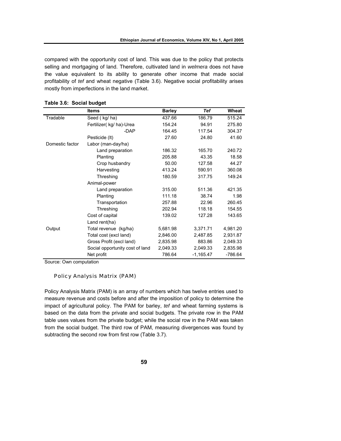compared with the opportunity cost of land. This was due to the policy that protects selling and mortgaging of land. Therefore, cultivated land in *welmera* does not have the value equivalent to its ability to generate other income that made social profitability of *tef* and wheat negative (Table 3.6). Negative social profitability arises mostly from imperfections in the land market.

|                 | <b>Items</b>                    | <b>Barley</b> | Tef         | Wheat     |
|-----------------|---------------------------------|---------------|-------------|-----------|
| Tradable        | Seed (kg/ha)                    | 437.66        | 186.79      | 515.24    |
|                 | Fertilizer( kg/ ha)-Urea        | 154.24        | 94.91       | 275.80    |
|                 | -DAP                            | 164.45        | 117.54      | 304.37    |
|                 | Pesticide (It)                  | 27.60         | 24.80       | 41.60     |
| Domestic factor | Labor (man-day/ha)              |               |             |           |
|                 | Land preparation                | 186.32        | 165.70      | 240.72    |
|                 | Planting                        | 205.88        | 43.35       | 18.58     |
|                 | Crop husbandry                  | 50.00         | 127.58      | 44.27     |
|                 | Harvesting                      | 413.24        | 590.91      | 360.08    |
|                 | Threshing                       | 180.59        | 317.75      | 149.24    |
|                 | Animal-power                    |               |             |           |
|                 | Land preparation                | 315.00        | 511.36      | 421.35    |
|                 | Planting                        | 111.18        | 38.74       | 1.98      |
|                 | Transportation                  | 257.88        | 22.96       | 260.45    |
|                 | Threshing                       | 202.94        | 118.18      | 154.55    |
|                 | Cost of capital                 | 139.02        | 127.28      | 143.65    |
|                 | Land rent(ha)                   |               |             |           |
| Output          | Total revenue (kg/ha)           | 5,681.98      | 3,371.71    | 4,981.20  |
|                 | Total cost (excl land)          | 2,846.00      | 2,487.85    | 2,931.87  |
|                 | Gross Profit (excl land)        | 2,835.98      | 883.86      | 2,049.33  |
|                 | Social opportunity cost of land | 2,049.33      | 2,049.33    | 2,835.98  |
|                 | Net profit                      | 786.64        | $-1,165.47$ | $-786.64$ |

#### **Table 3.6: Social budget**

Source: Own computation

#### Policy Analysis Matrix (PAM)

Policy Analysis Matrix (PAM) is an array of numbers which has twelve entries used to measure revenue and costs before and after the imposition of policy to determine the impact of agricultural policy. The PAM for barley, *tef* and wheat farming systems is based on the data from the private and social budgets. The private row in the PAM table uses values from the private budget; while the social row in the PAM was taken from the social budget. The third row of PAM, measuring divergences was found by subtracting the second row from first row (Table 3.7).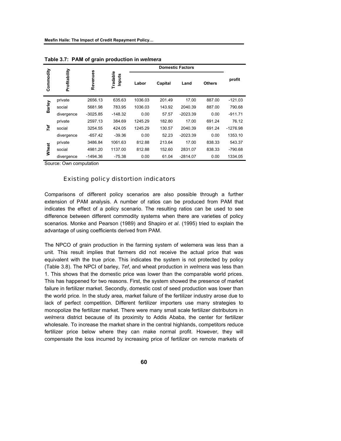| Commodity    | Profitability | Revenues   | Tradable<br>Inputs | Labor   | Capital | Land       | <b>Others</b> | profit     |
|--------------|---------------|------------|--------------------|---------|---------|------------|---------------|------------|
|              | private       | 2656.13    | 635.63             | 1036.03 | 201.49  | 17.00      | 887.00        | $-121.03$  |
| Barley       | social        | 5681.98    | 783.95             | 1036.03 | 143.92  | 2040.39    | 887.00        | 790.68     |
|              | divergence    | $-3025.85$ | $-148.32$          | 0.00    | 57.57   | $-2023.39$ | 0.00          | $-911.71$  |
|              | private       | 2597.13    | 384.69             | 1245.29 | 182.80  | 17.00      | 691.24        | 76.12      |
| Tef          | social        | 3254.55    | 424.05             | 1245.29 | 130.57  | 2040.39    | 691.24        | $-1276.98$ |
|              | divergence    | $-657.42$  | $-39.36$           | 0.00    | 52.23   | $-2023.39$ | 0.00          | 1353.10    |
|              | private       | 3486.84    | 1061.63            | 812.88  | 213.64  | 17.00      | 838.33        | 543.37     |
| <b>Mheat</b> | social        | 4981.20    | 1137.00            | 812.88  | 152.60  | 2831.07    | 838.33        | $-790.68$  |
|              | divergence    | $-1494.36$ | $-75.38$           | 0.00    | 61.04   | $-2814.07$ | 0.00          | 1334.05    |

**Table 3.7: PAM of grain production in** *welmera*

Source: Own computation

#### Existing policy distortion indicators

Comparisons of different policy scenarios are also possible through a further extension of PAM analysis. A number of ratios can be produced from PAM that indicates the effect of a policy scenario. The resulting ratios can be used to see difference between different commodity systems when there are varieties of policy scenarios. Monke and Pearson (1989) and Shapiro *et al*. (1995) tried to explain the advantage of using coefficients derived from PAM.

The NPCO of grain production in the farming system of welemera was less than a unit. This result implies that farmers did not receive the actual price that was equivalent with the true price. This indicates the system is not protected by policy (Table 3.8). The NPCI of barley, *Tef*, and wheat production in *welmera* was less than 1. This shows that the domestic price was lower than the comparable world prices. This has happened for two reasons. First, the system showed the presence of market failure in fertilizer market. Secondly, domestic cost of seed production was lower than the world price. In the study area, market failure of the fertilizer industry arose due to lack of perfect competition. Different fertilizer importers use many strategies to monopolize the fertilizer market. There were many small scale fertilizer distributors in *welmera* district because of its proximity to Addis Ababa, the center for fertilizer wholesale. To increase the market share in the central highlands, competitors reduce fertilizer price below where they can make normal profit. However, they will compensate the loss incurred by increasing price of fertilizer on remote markets of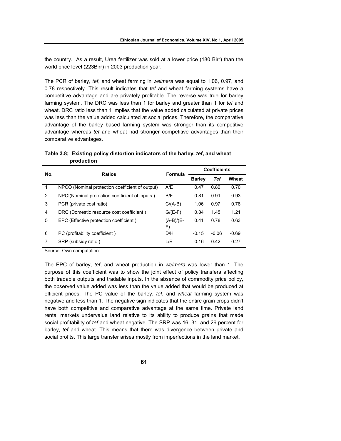the country. As a result, Urea fertilizer was sold at a lower price (180 Birr) than the world price level (223Birr) in 2003 production year.

The PCR of barley, *tef*, and wheat farming in *welmera* was equal to 1.06, 0.97, and 0.78 respectively. This result indicates that *tef* and wheat farming systems have a competitive advantage and are privately profitable. The reverse was true for barley farming system. The DRC was less than 1 for barley and greater than 1 for *tef* and wheat. DRC ratio less than 1 implies that the value added calculated at private prices was less than the value added calculated at social prices. Therefore, the comparative advantage of the barley based farming system was stronger than its competitive advantage whereas *tef* and wheat had stronger competitive advantages than their comparative advantages.

**Table 3.8; Existing policy distortion indicators of the barley,** *tef***, and wheat production**

| No. | <b>Ratios</b>                                   | Formula           | <b>Coefficients</b> |         |         |
|-----|-------------------------------------------------|-------------------|---------------------|---------|---------|
|     |                                                 |                   | <b>Barley</b>       | Tef     | Wheat   |
| 1   | NPCO (Nominal protection coefficient of output) | A/E               | 0.47                | 0.80    | 0.70    |
| 2   | NPCI(Nominal protection coefficient of inputs)  | B/F               | 0.81                | 0.91    | 0.93    |
| 3   | PCR (private cost ratio)                        | $C/(A-B)$         | 1.06                | 0.97    | 0.78    |
| 4   | DRC (Domestic resource cost coefficient)        | $G/(E-F)$         | 0.84                | 1.45    | 1.21    |
| 5   | EPC (Effective protection coefficient)          | $(A-B)/(E-$<br>F) | 0.41                | 0.78    | 0.63    |
| 6   | PC (profitability coefficient)                  | D/H               | $-0.15$             | $-0.06$ | $-0.69$ |
|     | SRP (subsidy ratio)                             | L/E               | $-0.16$             | 0.42    | 0.27    |

Source: Own computation

The EPC of barley, *tef*, and wheat production in *welmera* was lower than 1. The purpose of this coefficient was to show the joint effect of policy transfers affecting both tradable outputs and tradable inputs. In the absence of commodity price policy, the observed value added was less than the value added that would be produced at efficient prices. The PC value of the barley, *tef*, and *wheat* farming system was negative and less than 1. The negative sign indicates that the entire grain crops didn't have both competitive and comparative advantage at the same time. Private land rental markets undervalue land relative to its ability to produce grains that made social profitability of *tef* and wheat negative. The SRP was 16, 31, and 26 percent for barley, *tef* and wheat. This means that there was divergence between private and social profits. This large transfer arises mostly from imperfections in the land market.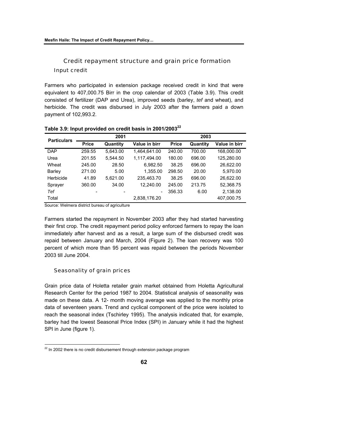## Credit repayment structure and grain price formation Input credit

Farmers who participated in extension package received credit in kind that were equivalent to 407,000.75 Birr in the crop calendar of 2003 (Table 3.9). This credit consisted of fertilizer (DAP and Urea), improved seeds (barley, *tef* and wheat), and herbicide. The credit was disbursed in July 2003 after the farmers paid a down payment of 102,993.2.

| <b>Particulars</b> | 2001         |                          |               | 2003         |          |               |  |
|--------------------|--------------|--------------------------|---------------|--------------|----------|---------------|--|
|                    | <b>Price</b> | Quantity                 | Value in birr | <b>Price</b> | Quantity | Value in birr |  |
| <b>DAP</b>         | 259.55       | 5.643.00                 | 1.464.641.00  | 240.00       | 700.00   | 168.000.00    |  |
| Urea               | 201.55       | 5.544.50                 | 1,117,494.00  | 180.00       | 696.00   | 125,280.00    |  |
| Wheat              | 245.00       | 28.50                    | 6.982.50      | 38.25        | 696.00   | 26.622.00     |  |
| Barley             | 271.00       | 5.00                     | 1.355.00      | 298.50       | 20.00    | 5.970.00      |  |
| Herbicide          | 41.89        | 5,621.00                 | 235,463.70    | 38.25        | 696.00   | 26,622.00     |  |
| Sprayer            | 360.00       | 34.00                    | 12.240.00     | 245.00       | 213.75   | 52,368.75     |  |
| Tef                | -            | $\overline{\phantom{a}}$ | -             | 356.33       | 6.00     | 2,138.00      |  |
| Total              |              |                          | 2.838.176.20  |              |          | 407.000.75    |  |

Table 3.9: Input provided on credit basis in 2001/2003<sup>22</sup>

Source: Welmera district bureau of agriculture

Farmers started the repayment in November 2003 after they had started harvesting their first crop. The credit repayment period policy enforced farmers to repay the loan immediately after harvest and as a result, a large sum of the disbursed credit was repaid between January and March, 2004 (Figure 2). The loan recovery was 100 percent of which more than 95 percent was repaid between the periods November 2003 till June 2004.

#### Seasonality of grain prices

Grain price data of Holetta retailer grain market obtained from Holetta Agricultural Research Center for the period 1987 to 2004. Statistical analysis of seasonality was made on these data. A 12- month moving average was applied to the monthly price data of seventeen years. Trend and cyclical component of the price were isolated to reach the seasonal index (Tschirley 1995). The analysis indicated that, for example, barley had the lowest Seasonal Price Index (SPI) in January while it had the highest SPI in June (figure 1).

 $\overline{\phantom{a}}$  $22$  In 2002 there is no credit disbursement through extension package program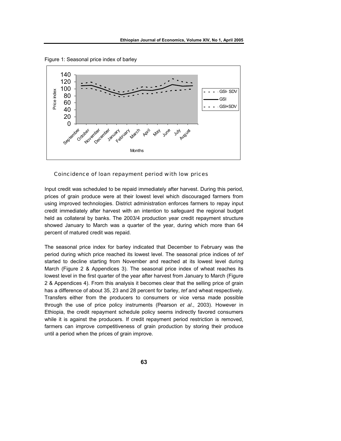



#### Coincidence of loan repayment period with low prices

Input credit was scheduled to be repaid immediately after harvest. During this period, prices of grain produce were at their lowest level which discouraged farmers from using improved technologies. District administration enforces farmers to repay input credit immediately after harvest with an intention to safeguard the regional budget held as collateral by banks. The 2003/4 production year credit repayment structure showed January to March was a quarter of the year, during which more than 64 percent of matured credit was repaid.

The seasonal price index for barley indicated that December to February was the period during which price reached its lowest level. The seasonal price indices of *tef* started to decline starting from November and reached at its lowest level during March (Figure 2 & Appendices 3). The seasonal price index of wheat reaches its lowest level in the first quarter of the year after harvest from January to March (Figure 2 & Appendices 4). From this analysis it becomes clear that the selling price of grain has a difference of about 35, 23 and 28 percent for barley, *tef* and wheat respectively. Transfers either from the producers to consumers or vice versa made possible through the use of price policy instruments (Pearson *et al*., 2003). However in Ethiopia, the credit repayment schedule policy seems indirectly favored consumers while it is against the producers. If credit repayment period restriction is removed, farmers can improve competitiveness of grain production by storing their produce until a period when the prices of grain improve.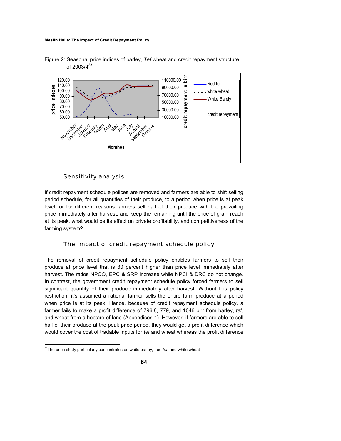

Figure 2: Seasonal price indices of barley, *Tef* wheat and credit repayment structure of  $2003/4^{23}$ 

#### Sensitivity analysis

If credit repayment schedule polices are removed and farmers are able to shift selling period schedule, for all quantities of their produce, to a period when price is at peak level, or for different reasons farmers sell half of their produce with the prevailing price immediately after harvest, and keep the remaining until the price of grain reach at its peak, what would be its effect on private profitability, and competitiveness of the farming system?

### The Impact of credit repayment schedule policy

The removal of credit repayment schedule policy enables farmers to sell their produce at price level that is 30 percent higher than price level immediately after harvest. The ratios NPCO, EPC & SRP increase while NPCI & DRC do not change. In contrast, the government credit repayment schedule policy forced farmers to sell significant quantity of their produce immediately after harvest. Without this policy restriction, it's assumed a rational farmer sells the entire farm produce at a period when price is at its peak. Hence, because of credit repayment schedule policy, a farmer fails to make a profit difference of 796.8, 779, and 1046 birr from barley, *tef*, and wheat from a hectare of land (Appendices 1). However, if farmers are able to sell half of their produce at the peak price period, they would get a profit difference which would cover the cost of tradable inputs for *tef* and wheat whereas the profit difference

 $\overline{\phantom{a}}$ 

<sup>23</sup>The price study particularly concentrates on white barley, red *tef*, and white wheat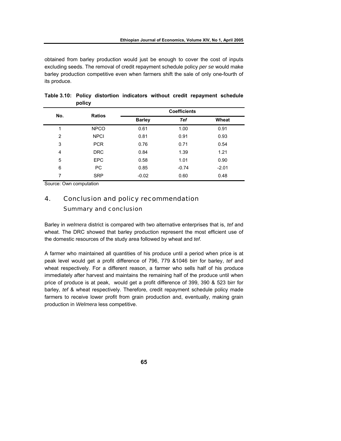obtained from barley production would just be enough to cover the cost of inputs excluding seeds. The removal of credit repayment schedule policy *per se* would make barley production competitive even when farmers shift the sale of only one-fourth of its produce.

| No. | <b>Ratios</b> |               |         |         |
|-----|---------------|---------------|---------|---------|
|     |               | <b>Barley</b> | Tef     | Wheat   |
| 1   | <b>NPCO</b>   | 0.61          | 1.00    | 0.91    |
| 2   | <b>NPCI</b>   | 0.81          | 0.91    | 0.93    |
| 3   | <b>PCR</b>    | 0.76          | 0.71    | 0.54    |
| 4   | <b>DRC</b>    | 0.84          | 1.39    | 1.21    |
| 5   | <b>EPC</b>    | 0.58          | 1.01    | 0.90    |
| 6   | <b>PC</b>     | 0.85          | $-0.74$ | $-2.01$ |
| 7   | <b>SRP</b>    | $-0.02$       | 0.60    | 0.48    |

**Table 3.10: Policy distortion indicators without credit repayment schedule policy** 

Source: Own computation

## 4. Conclusion and policy recommendation Summary and conclusion

Barley in *welmera* district is compared with two alternative enterprises that is, *tef* and wheat. The DRC showed that barley production represent the most efficient use of the domestic resources of the study area followed by wheat and *tef*.

A farmer who maintained all quantities of his produce until a period when price is at peak level would get a profit difference of 796, 779 &1046 birr for barley, *tef* and wheat respectively. For a different reason, a farmer who sells half of his produce immediately after harvest and maintains the remaining half of the produce until when price of produce is at peak, would get a profit difference of 399, 390 & 523 birr for barley, *tef* & wheat respectively. Therefore, credit repayment schedule policy made farmers to receive lower profit from grain production and, eventually, making grain production in *Welmera* less competitive.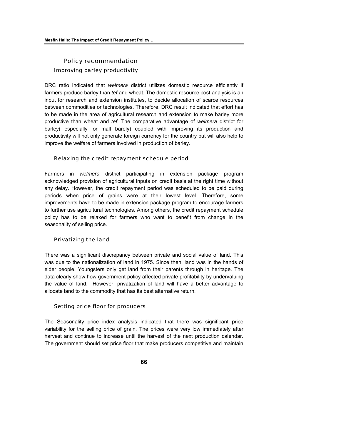## Policy recommendation Improving barley productivity

DRC ratio indicated that *welmera* district utilizes domestic resource efficiently if farmers produce barley than *tef* and wheat. The domestic resource cost analysis is an input for research and extension institutes, to decide allocation of scarce resources between commodities or technologies. Therefore, DRC result indicated that effort has to be made in the area of agricultural research and extension to make barley more productive than wheat and *tef*. The comparative advantage of *welmera* district for barley( especially for malt barely) coupled with improving its production and productivity will not only generate foreign currency for the country but will also help to improve the welfare of farmers involved in production of barley.

#### Relaxing the credit repayment schedule period

Farmers in *welmera* district participating in extension package program acknowledged provision of agricultural inputs on credit basis at the right time without any delay. However, the credit repayment period was scheduled to be paid during periods when price of grains were at their lowest level. Therefore, some improvements have to be made in extension package program to encourage farmers to further use agricultural technologies. Among others, the credit repayment schedule policy has to be relaxed for farmers who want to benefit from change in the seasonality of selling price.

## Privatizing the land

There was a significant discrepancy between private and social value of land. This was due to the nationalization of land in 1975. Since then, land was in the hands of elder people. Youngsters only get land from their parents through in heritage. The data clearly show how government policy affected private profitability by undervaluing the value of land. However, privatization of land will have a better advantage to allocate land to the commodity that has its best alternative return.

## Setting price floor for producers

The Seasonality price index analysis indicated that there was significant price variability for the selling price of grain. The prices were very low immediately after harvest and continue to increase until the harvest of the next production calendar. The government should set price floor that make producers competitive and maintain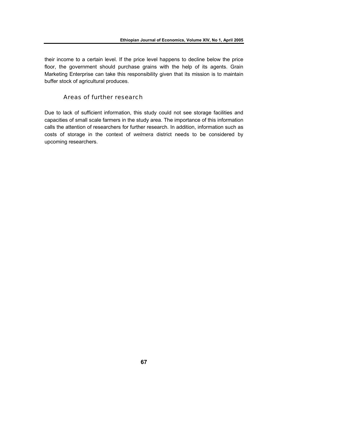their income to a certain level. If the price level happens to decline below the price floor, the government should purchase grains with the help of its agents. Grain Marketing Enterprise can take this responsibility given that its mission is to maintain buffer stock of agricultural produces.

#### Areas of further research

Due to lack of sufficient information, this study could not see storage facilities and capacities of small scale farmers in the study area. The importance of this information calls the attention of researchers for further research. In addition, information such as costs of storage in the context of *welmera* district needs to be considered by upcoming researchers.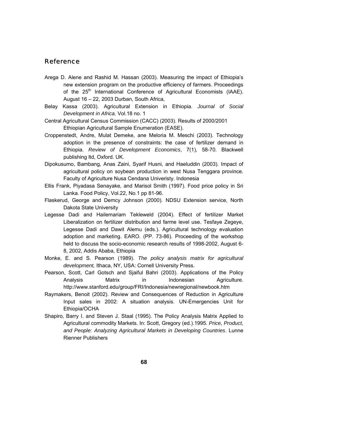# Reference

- Arega D. Alene and Rashid M. Hassan (2003). Measuring the impact of Ethiopia's new extension program on the productive efficiency of farmers. Proceedings of the 25<sup>th</sup> International Conference of Agricultural Economists (IAAE). August 16 – 22, 2003 Durban, South Africa,
- Belay Kassa (2003). Agricultural Extension in Ethiopia. *Journal of Social Development in Africa*. Vol.18 no. 1
- Central Agricultural Census Commission (CACC) (2003). Results of 2000/2001 Ethiopian Agricultural Sample Enumeration (EASE).
- Croppenstedt, Andre, Mulat Demeke, ane Meloria M. Meschi (2003). Technology adoption in the presence of constraints: the case of fertilizer demand in Ethiopia. *Review of Development Economics*, 7(1), 58-70. Blackwell publishing ltd, Oxford. UK.
- Dipokusumo, Bambang, Anas Zaini, Syarif Husni, and Haeluddin (2003). Impact of agricultural policy on soybean production in west Nusa Tenggara province. Faculty of Agriculture Nusa Cendana Univeristy. Indonesia
- Ellis Frank, Piyadasa Senayake, and Marisol Smith (1997). Food price policy in Sri Lanka. Food Policy, Vol.22, No.1 pp 81-96.
- Flaskerud, George and Demcy Johnson (2000). NDSU Extension service, North Dakota State University
- Legesse Dadi and Hailemariam Tekleweld (2004). Effect of fertilizer Market Liberalization on fertilizer distribution and farme level use. Tesfaye Zegeye, Legesse Dadi and Dawit Alemu (eds.). Agricultural technology evaluation adoption and marketing. EARO. (PP. 73-86). Proceeding of the workshop held to discuss the socio-economic research results of 1998-2002, August 6- 8, 2002, Addis Ababa, Ethiopia
- Monke, E. and S. Pearson (1989). *The policy analysis matrix for agricultural development,* Ithaca, NY, USA: Cornell University Press.
- Pearson, Scott, Carl Gotsch and Sjaiful Bahri (2003). Applications of the Policy Analysis Matrix in Indonesian Agriculture. http://www.stanford.edu/group/FRI/Indonesia/newregional/newbook.htm
- Raymakers, Benoit (2002). Review and Consequences of Reduction in Agriculture Input sales in 2002: A situation analysis. UN-Emergencies Unit for Ethiopia/OCHA
- Shapiro, Barry I. and Steven J. Staal (1995). The Policy Analysis Matrix Applied to Agricultural commodity Markets. In: Scott, Gregory (ed.).1995. *Price, Product, and People: Analyzing Agricultural Markets in Developing Countries*. Lunne Rienner Publishers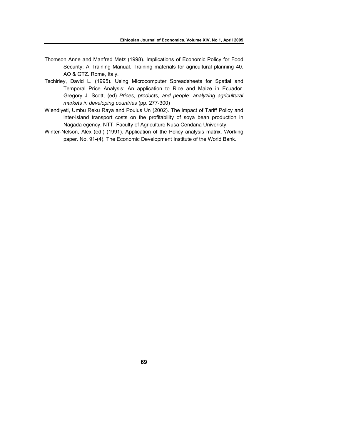- Thomson Anne and Manfred Metz (1998). Implications of Economic Policy for Food Security: A Training Manual. Training materials for agricultural planning 40. AO & GTZ. Rome, Italy.
- Tschirley, David L. (1995). Using Microcomputer Spreadsheets for Spatial and Temporal Price Analysis: An application to Rice and Maize in Ecuador. Gregory J. Scott, (ed) *Prices, products, and people: analyzing agricultural markets in developing countries* (pp. 277-300)
- Wiendiyeti, Umbu Reku Raya and Poulus Un (2002). The impact of Tariff Policy and inter-island transport costs on the profitability of soya bean production in Nagada egency, NTT. Faculty of Agriculture Nusa Cendana Univeristy.
- Winter-Nelson, Alex (ed.) (1991). Application of the Policy analysis matrix. Working paper. No. 91-(4). The Economic Development Institute of the World Bank.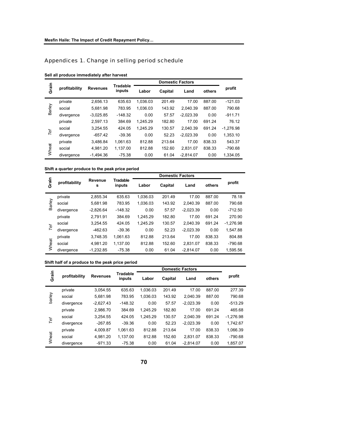# Appendices 1. Change in selling period schedule

|        |               | .               |                           |          |         |             |        |             |
|--------|---------------|-----------------|---------------------------|----------|---------|-------------|--------|-------------|
|        |               |                 |                           |          |         |             |        |             |
| Grain  | profitability | <b>Revenues</b> | <b>Tradable</b><br>inputs | Labor    | Capital | Land        | others | profit      |
|        | private       | 2.656.13        | 635.63                    | 1.036.03 | 201.49  | 17.00       | 887.00 | $-121.03$   |
| Barley | social        | 5,681.98        | 783.95                    | 1.036.03 | 143.92  | 2.040.39    | 887.00 | 790.68      |
|        | divergence    | $-3.025.85$     | $-148.32$                 | 0.00     | 57.57   | $-2.023.39$ | 0.00   | $-911.71$   |
|        | private       | 2.597.13        | 384.69                    | 1.245.29 | 182.80  | 17.00       | 691.24 | 76.12       |
| Tef    | social        | 3.254.55        | 424.05                    | 1.245.29 | 130.57  | 2.040.39    | 691.24 | $-1.276.98$ |
|        | divergence    | $-657.42$       | $-39.36$                  | 0.00     | 52.23   | $-2.023.39$ | 0.00   | 1,353.10    |
|        | private       | 3,486.84        | 1.061.63                  | 812.88   | 213.64  | 17.00       | 838.33 | 543.37      |
| Wheat  | social        | 4.981.20        | 1.137.00                  | 812.88   | 152.60  | 2.831.07    | 838.33 | $-790.68$   |
|        | divergence    | $-1.494.36$     | $-75.38$                  | 0.00     | 61.04   | $-2.814.07$ | 0.00   | 1,334.05    |

#### **Sell all produce immediately after harvest**

#### **Shift a quarter produce to the peak price period**

|        |               |              |                           |          | <b>Domestic Factors</b> |             |        |             |  |
|--------|---------------|--------------|---------------------------|----------|-------------------------|-------------|--------|-------------|--|
| Grain  | profitability | Revenue<br>s | <b>Tradable</b><br>inputs | Labor    | Capital                 | Land        | others | profit      |  |
|        | private       | 2,855.34     | 635.63                    | 1.036.03 | 201.49                  | 17.00       | 887.00 | 78.18       |  |
| Barley | social        | 5.681.98     | 783.95                    | 1.036.03 | 143.92                  | 2.040.39    | 887.00 | 790.68      |  |
|        | divergence    | $-2.826.64$  | $-148.32$                 | 0.00     | 57.57                   | $-2,023.39$ | 0.00   | $-712.50$   |  |
|        | private       | 2.791.91     | 384.69                    | 1.245.29 | 182.80                  | 17.00       | 691.24 | 270.90      |  |
| Tef    | social        | 3.254.55     | 424.05                    | 1.245.29 | 130.57                  | 2.040.39    | 691.24 | $-1.276.98$ |  |
|        | divergence    | $-462.63$    | $-39.36$                  | 0.00     | 52.23                   | $-2,023.39$ | 0.00   | 1.547.88    |  |
|        | private       | 3,748.35     | 1.061.63                  | 812.88   | 213.64                  | 17.00       | 838.33 | 804.88      |  |
| Wheat  | social        | 4.981.20     | 1.137.00                  | 812.88   | 152.60                  | 2.831.07    | 838.33 | $-790.68$   |  |
|        | divergence    | $-1.232.85$  | $-75.38$                  | 0.00     | 61.04                   | $-2.814.07$ | 0.00   | 1,595.56    |  |

# **Shift half of a produce to the peak price period**

| Grain  | profitability | <b>Revenues</b> | <b>Tradable</b><br>inputs | Labor    | Capital | Land        | others | profit      |
|--------|---------------|-----------------|---------------------------|----------|---------|-------------|--------|-------------|
|        | private       | 3,054.55        | 635.63                    | 1.036.03 | 201.49  | 17.00       | 887.00 | 277.39      |
| barley | social        | 5.681.98        | 783.95                    | 1.036.03 | 143.92  | 2.040.39    | 887.00 | 790.68      |
|        | divergence    | $-2.627.43$     | $-148.32$                 | 0.00     | 57.57   | $-2,023.39$ | 0.00   | $-513.29$   |
|        | private       | 2.986.70        | 384.69                    | 1.245.29 | 182.80  | 17.00       | 691.24 | 465.68      |
|        | social        | 3.254.55        | 424.05                    | 1.245.29 | 130.57  | 2.040.39    | 691.24 | $-1.276.98$ |
| Tef    | divergence    | $-267.85$       | $-39.36$                  | 0.00     | 52.23   | $-2,023.39$ | 0.00   | 1.742.67    |
|        | private       | 4.009.87        | 1.061.63                  | 812.88   | 213.64  | 17.00       | 838.33 | 1,066.39    |
| Wheat  | social        | 4.981.20        | 1.137.00                  | 812.88   | 152.60  | 2.831.07    | 838.33 | $-790.68$   |
|        | divergence    | $-971.33$       | $-75.38$                  | 0.00     | 61.04   | $-2.814.07$ | 0.00   | 1.857.07    |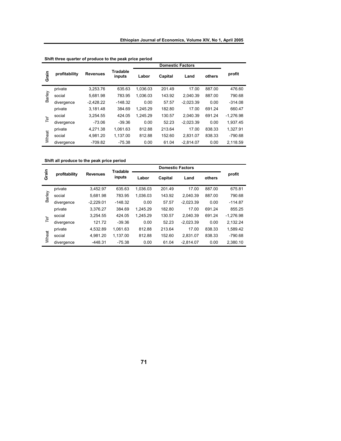|        | office the day is the bigger of the bear brice believe |                 |                           |          |                         |             |        |             |  |  |  |  |  |
|--------|--------------------------------------------------------|-----------------|---------------------------|----------|-------------------------|-------------|--------|-------------|--|--|--|--|--|
|        |                                                        |                 |                           |          | <b>Domestic Factors</b> |             |        |             |  |  |  |  |  |
| Grain  | profitability                                          | <b>Revenues</b> | <b>Tradable</b><br>inputs | Labor    | Capital                 | Land        | others | profit      |  |  |  |  |  |
|        | private                                                | 3.253.76        | 635.63                    | 1.036.03 | 201.49                  | 17.00       | 887.00 | 476.60      |  |  |  |  |  |
| Barley | social                                                 | 5.681.98        | 783.95                    | 1.036.03 | 143.92                  | 2.040.39    | 887.00 | 790.68      |  |  |  |  |  |
|        | divergence                                             | $-2.428.22$     | $-148.32$                 | 0.00     | 57.57                   | $-2.023.39$ | 0.00   | $-314.08$   |  |  |  |  |  |
|        | private                                                | 3.181.48        | 384.69                    | 1.245.29 | 182.80                  | 17.00       | 691.24 | 660.47      |  |  |  |  |  |
|        | social                                                 | 3.254.55        | 424.05                    | 1.245.29 | 130.57                  | 2.040.39    | 691.24 | $-1.276.98$ |  |  |  |  |  |
| Tef    | divergence                                             | $-73.06$        | $-39.36$                  | 0.00     | 52.23                   | $-2.023.39$ | 0.00   | 1.937.45    |  |  |  |  |  |
|        | private                                                | 4.271.38        | 1.061.63                  | 812.88   | 213.64                  | 17.00       | 838.33 | 1.327.91    |  |  |  |  |  |
| Wheat  | social                                                 | 4.981.20        | 1.137.00                  | 812.88   | 152.60                  | 2.831.07    | 838.33 | $-790.68$   |  |  |  |  |  |
|        | divergence                                             | $-709.82$       | $-75.38$                  | 0.00     | 61.04                   | $-2,814.07$ | 0.00   | 2,118.59    |  |  |  |  |  |

**Shift three quarter of produce to the peak price period** 

**Shift all produce to the peak price period** 

| <b>Domestic Factors</b> |        |             |
|-------------------------|--------|-------------|
|                         |        |             |
|                         | others | profit      |
| 17.00                   | 887.00 | 675.81      |
| 2.040.39                | 887.00 | 790.68      |
| $-2,023.39$             | 0.00   | $-114.87$   |
| 17.00                   | 691.24 | 855.25      |
| 2.040.39                | 691.24 | $-1.276.98$ |
| $-2.023.39$             | 0.00   | 2.132.24    |
| 17.00                   | 838.33 | 1.589.42    |
| 2.831.07                | 838.33 | $-790.68$   |
| $-2.814.07$             | 0.00   | 2,380.10    |
|                         | Land   |             |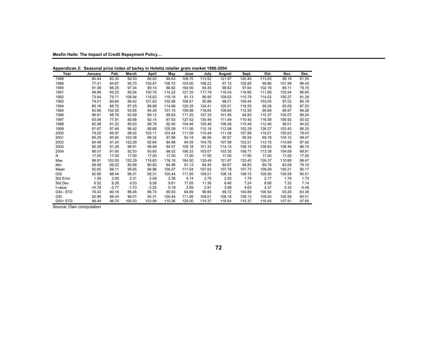| Appendices 2: Seasonal price index of barley in Holetta retailer grain market 1988-2004 |
|-----------------------------------------------------------------------------------------|
|-----------------------------------------------------------------------------------------|

| Year           | January  | Feb.    | March   | April   | May    | June   | July   | August | Sept.  | Oct.   | Nov.   | Dec.    |
|----------------|----------|---------|---------|---------|--------|--------|--------|--------|--------|--------|--------|---------|
| 1988           | 80.44    | 82.33   | 90.53   | 80.83   | 99.63  | 108.70 | 113.52 | 121.97 | 120.40 | 113.93 | 98.19  | 81.55   |
| 1989           | 77.41    | 84.67   | 95.70   | 105.87  | 106.72 | 103.00 | 108.22 | 97.12  | 105.85 | 99.86  | 101.99 | 98.45   |
| 1990           | 91.06    | 96.25   | 97.34   | 89.14   | 88.82  | 164.50 | 84.45  | 98.82  | 97.64  | 102.16 | 89.11  | 79.15   |
| 1991           | 68.89    | 69.22   | 85.94   | 100.70  | 114.22 | 127.35 | 117.79 | 116.04 | 116.66 | 111.66 | 103.54 | 86.60   |
| 1992           | 73.94    | 79.71   | 106.94  | 116.63  | 118.18 | 91.13  | 96.95  | 109.52 | 110.79 | 114.02 | 100.37 | 81.28   |
| 1993           | 79.51    | 89.84   | 99.42   | 101.62  | 102.98 | 106.61 | 95.86  | 98.01  | 109.44 | 103.05 | 97.02  | 85.78   |
| 1994           | 80.16    | 88.72   | 87.25   | 89.88   | 114.68 | 120.35 | 124.41 | 120.01 | 116.55 | 99.28  | 83.09  | 87.53   |
| 1995           | 83.68    | 102.00  | 93.85   | 94.29   | 101.15 | 109.98 | 118.65 | 108.85 | 112.59 | 99.69  | 88.87  | 94.26   |
| 1996           | 96.81    | 98.76   | 92.99   | 89.12   | 89.83  | 111.25 | 107.33 | 101.95 | 94.83  | 110.37 | 104.07 | 99.24   |
| 1997           | 83.06    | 77.91   | 80.68   | 92.14   | 87.63  | 127.42 | 130.49 | 111.49 | 110.40 | 116.58 | 106.92 | 93.52   |
| 1998           | 82.99    | 81.23   | 85.93   | 88.79   | 92.45  | 104.46 | 105.46 | 108.48 | 110.49 | 112.46 | 99.01  | 94.02   |
| 1999           | 81.67    | 87.49   | 96.42   | 88.69   | 105.08 | 111.06 | 110.16 | 112.98 | 102.29 | 126.37 | 103.43 | 88.25   |
| 2000           | 79.20    | 89.97   | 98.02   | 103.11  | 103.44 | 111.09 | 110.44 | 111.08 | 107.89 | 119.01 | 100.03 | 79.43   |
| 2001           | 85.25    | 95.60   | 103.38  | 88.32   | 97.88  | 93.14  | 96.56  | 90.87  | 95.59  | 89.78  | 104.12 | 99.47   |
| 2002           | 84.48    | 91.24   | 122.29  | 92.64   | 84.98  | 94.55  | 104.78 | 107.58 | 103.21 | 113.15 | 110.68 | 97.92   |
| 2003           | 90.38    | 91.29   | 96.91   | 98.89   | 94.57  | 105.18 | 101.33 | 114.15 | 108.10 | 109.83 | 108.46 | 96.70   |
| 2004           | 86.07    | 91.65   | 92.53   | 93.65   | 99.02  | 106.33 | 103.07 | 103.30 | 108.71 | 113.38 | 104.69 | 89.81   |
| N              | 17.00    | 17.00   | 17.00   | 17.00   | 17.00  | 17.00  | 17.00  | 17.00  | 17.00  | 17.00  | 17.00  | 17.00   |
| Max            | 96.81    | 102.00  | 122.29  | 116.63  | 118.18 | 164.50 | 130.49 | 121.97 | 120.40 | 126.37 | 110.68 | 99.47   |
| Min            | 68.89    | 69.22   | 80.68   | 80.83   | 84.98  | 91.13  | 84.45  | 90.87  | 94.83  | 89.78  | 83.09  | 79.15   |
| Mean           | 82.65    | 88.11   | 95.65   | 94.96   | 100.07 | 111.54 | 107.62 | 107.78 | 107.73 | 109.09 | 100.21 | 90.17   |
| <b>GSI</b>     | 82.95    | 88.44   | 96.01   | 95.31   | 100.44 | 111.95 | 108.01 | 108.18 | 108.13 | 109.50 | 100.58 | 90.51   |
| Std Error      | 1.58     | 2.00    | 2.31    | 2.08    | 2.38   | 4.14   | 2.75   | 2.05   | 1.76   | 2.17   | 1.78   | 1.73    |
| Std Dev        | 6.52     | 8.26    | 9.53    | 8.58    | 9.81   | 17.05  | 11.36  | 8.46   | 7.24   | 8.95   | 7.32   | 7.14    |
| t-value        | $-10.78$ | $-5.77$ | $-1.73$ | $-2.25$ | 0.19   | 2.89   | 2.91   | 3.98   | 4.63   | 4.37   | 0.33   | $-5.48$ |
| <b>GSI-STD</b> | 76.43    | 80.18   | 86.48   | 86.73   | 90.63  | 94.89  | 96.66  | 99.72  | 100.89 | 100.54 | 93.26  | 83.36   |
| <b>GSI</b>     | 82.95    | 88.44   | 96.01   | 95.31   | 100.44 | 111.95 | 108.01 | 108.18 | 108.13 | 109.50 | 100.58 | 90.51   |
| GSI+ STD       | 89.48    | 96.70   | 105.53  | 103.89  | 110.26 | 129.00 | 119.37 | 116.64 | 115.37 | 118.45 | 107.91 | 97.65   |

Source: Own computation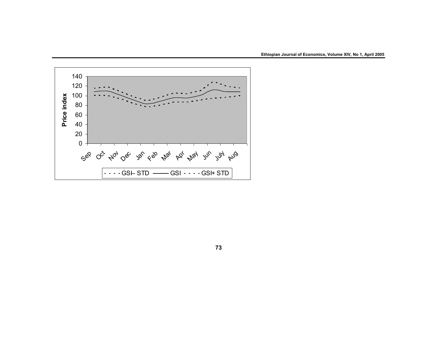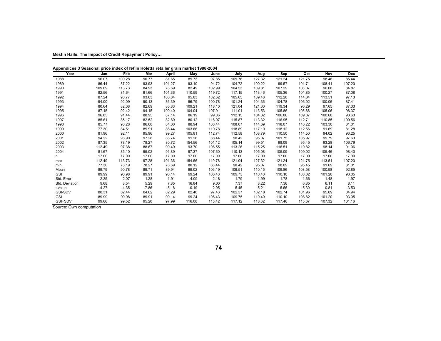| Appendices 3 Seasonal price index of tef in Holetta retailer grain market 1988-2004 |
|-------------------------------------------------------------------------------------|
|-------------------------------------------------------------------------------------|

| Year           | Jan     | Feb     | Mar     | April   | May     | June   | July   | Aug    | Sep    | Oct    | Nov    | <b>Dec</b> |
|----------------|---------|---------|---------|---------|---------|--------|--------|--------|--------|--------|--------|------------|
| 1988           | 96.07   | 100.28  | 90.77   | 81.65   | 89.73   | 97.85  | 109.76 | 127.32 | 121.24 | 121.75 | 98.46  | 85.44      |
| 1989           | 86.44   | 87.22   | 93.93   | 101.27  | 93.10   | 94.72  | 104.72 | 100.22 | 99.57  | 101.71 | 108.41 | 107.20     |
| 1990           | 109.09  | 113.73  | 84.93   | 78.69   | 82.49   | 102.99 | 104.53 | 109.81 | 107.29 | 108.07 | 96.08  | 84.87      |
| 1991           | 82.56   | 81.64   | 91.66   | 101.36  | 110.59  | 119.72 | 117.15 | 113.46 | 105.36 | 104.85 | 100.27 | 87.08      |
| 1992           | 87.24   | 90.77   | 93.63   | 100.84  | 95.83   | 102.62 | 105.65 | 109.48 | 112.28 | 114.84 | 113.51 | 97.13      |
| 1993           | 94.00   | 92.09   | 90.13   | 86.39   | 96.79   | 100.78 | 101.24 | 104.36 | 104.78 | 106.02 | 100.06 | 87.41      |
| 1994           | 80.64   | 82.08   | 82.69   | 86.83   | 109.21  | 118.10 | 121.04 | 121.30 | 119.34 | 96.29  | 97.65  | 87.33      |
| 1995           | 87.15   | 92.42   | 94.15   | 100.40  | 104.04  | 107.91 | 111.01 | 113.53 | 105.86 | 105.68 | 105.06 | 98.37      |
| 1996           | 96.85   | 91.44   | 88.95   | 87.14   | 86.19   | 99.86  | 112.15 | 104.32 | 106.86 | 109.37 | 100.68 | 93.63      |
| 1997           | 85.61   | 85.17   | 82.52   | 82.89   | 80.12   | 116.07 | 115.87 | 113.32 | 116.95 | 112.71 | 110.85 | 100.56     |
| 1998           | 85.77   | 90.28   | 86.68   | 84.00   | 88.94   | 108.44 | 108.07 | 114.69 | 118.07 | 116.22 | 103.30 | 81.01      |
| 1999           | 77.30   | 84.51   | 89.91   | 86.44   | 103.66  | 119.78 | 118.89 | 117.10 | 118.12 | 112.56 | 91.69  | 81.28      |
| 2000           | 81.96   | 92.11   | 95.96   | 99.27   | 105.81  | 112.74 | 112.58 | 108.79 | 110.50 | 114.50 | 94.02  | 93.25      |
| 2001           | 94.22   | 98.90   | 97.28   | 88.74   | 91.26   | 88.44  | 90.42  | 95.07  | 101.75 | 105.97 | 99.79  | 97.63      |
| 2002           | 87.35   | 78.19   | 78.27   | 80.72   | 154.56  | 101.12 | 105.14 | 99.51  | 98.09  | 95.45  | 93.28  | 106.79     |
| 2003           | 112.49  | 97.38   | 88.67   | 90.49   | 93.70   | 106.55 | 113.26 | 115.25 | 116.51 | 110.82 | 98.14  | 91.06      |
| 2004           | 81.67   | 85.10   | 95.02   | 91.89   | 97.37   | 107.60 | 110.13 | 105.08 | 105.09 | 109.02 | 105.46 | 98.40      |
| n.             | 17.00   | 17.00   | 17.00   | 17.00   | 17.00   | 17.00  | 17.00  | 17.00  | 17.00  | 17.00  | 17.00  | 17.00      |
| max            | 112.49  | 113.73  | 97.28   | 101.36  | 154.56  | 119.78 | 121.04 | 127.32 | 121.24 | 121.75 | 113.51 | 107.20     |
| min            | 77.30   | 78.19   | 78.27   | 78.69   | 80.12   | 88.44  | 90.42  | 95.07  | 98.09  | 95.45  | 91.69  | 81.01      |
| Mean           | 89.79   | 90.78   | 89.71   | 89.94   | 99.02   | 106.19 | 109.51 | 110.15 | 109.86 | 108.58 | 100.98 | 92.85      |
| <b>GSI</b>     | 89.99   | 90.98   | 89.91   | 90.14   | 99.24   | 106.43 | 109.75 | 110.40 | 110.10 | 108.82 | 101.20 | 93.05      |
| Std. Error     | 2.35    | 2.07    | 1.28    | 1.91    | 4.09    | 2.18   | 1.79   | 1.99   | 1.78   | 1.66   | 1.48   | 1.97       |
| Std. Deviation | 9.68    | 8.54    | 5.29    | 7.85    | 16.84   | 9.00   | 7.37   | 8.22   | 7.36   | 6.85   | 6.11   | 8.11       |
| t-value        | $-4.27$ | $-4.35$ | $-7.86$ | $-5.18$ | $-0.19$ | 2.95   | 5.45   | 5.21   | 5.66   | 5.30   | 0.81   | $-3.53$    |
| <b>GSI-SDV</b> | 80.31   | 82.44   | 84.62   | 82.29   | 82.40   | 97.43  | 102.37 | 102.18 | 102.74 | 101.96 | 95.09  | 84.94      |
| <b>GSI</b>     | 89.99   | 90.98   | 89.91   | 90.14   | 99.24   | 106.43 | 109.75 | 110.40 | 110.10 | 108.82 | 101.20 | 93.05      |
| GSI+SDV        | 99.66   | 99.52   | 95.20   | 97.99   | 116.08  | 115.42 | 117.12 | 118.62 | 117.46 | 115.67 | 107.32 | 101.16     |

Source: Own computation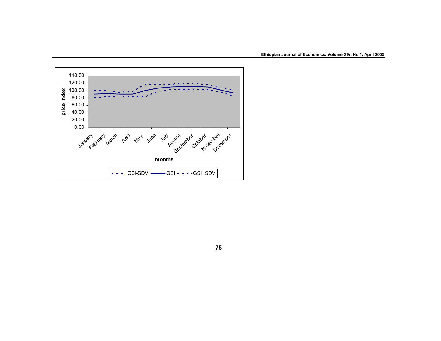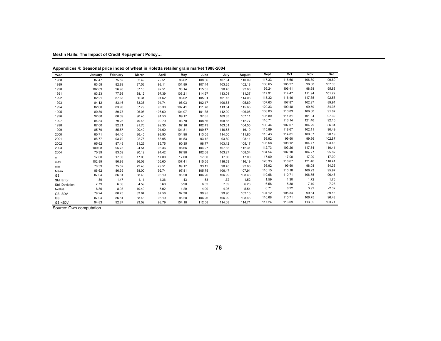| Appendices 4: Seasonal price index of wheat in Holetta retailer grain market 1988-2004 |
|----------------------------------------------------------------------------------------|
|----------------------------------------------------------------------------------------|

| Year           | January | February | March    | April   | May     | June   | July   | August | Sept.  | Oct.   | Nov.   | Dec.    |
|----------------|---------|----------|----------|---------|---------|--------|--------|--------|--------|--------|--------|---------|
| 1988           | 87.47   | 75.52    | 82.49    | 79.51   | 96.62   | 108.56 | 107.64 | 110.09 | 117.33 | 118.66 | 106.80 | 99.60   |
| 1989           | 83.58   | 82.89    | 87.53    | 98.11   | 101.89  | 107.44 | 103.25 | 102.18 | 106.65 | 105.27 | 98.08  | 107.00  |
| 1990           | 102.89  | 96.98    | 87.18    | 92.51   | 90.14   | 115.55 | 90.45  | 92.66  | 99.24  | 106.41 | 98.68  | 95.88   |
| 1991           | 83.23   | 77.98    | 88.12    | 97.39   | 106.21  | 114.97 | 113.01 | 111.37 | 117.91 | 114.47 | 111.94 | 101.22  |
| 1992           | 82.21   | 87.68    | 86.31    | 91.62   | 93.02   | 105.01 | 101.13 | 114.08 | 115.32 | 116.46 | 117.35 | 92.58   |
| 1993           | 84.12   | 83.16    | 83.36    | 91.74   | 98.03   | 102.17 | 106.63 | 105.89 | 107.63 | 107.87 | 102.97 | 89.91   |
| 1994           | 82.60   | 83.90    | 87.79    | 93.30   | 107.41  | 111.78 | 113.64 | 115.65 | 120.33 | 109.48 | 99.59  | 84.36   |
| 1995           | 80.80   | 89.78    | 96.08    | 106.60  | 104.07  | 101.35 | 112.99 | 106.06 | 108.03 | 110.83 | 106.00 | 91.87   |
| 1996           | 92.88   | 88.39    | 90.45    | 91.50   | 89.17   | 97.85  | 109.83 | 107.11 | 105.80 | 111.81 | 101.04 | 97.32   |
| 1997           | 84.34   | 79.25    | 79.48    | 90.79   | 93.70   | 108.56 | 108.65 | 112.77 | 116.71 | 113.14 | 121.46 | 92.15   |
| 1998           | 87.00   | 92.21    | 91.76    | 92.35   | 97.16   | 102.43 | 103.61 | 104.55 | 106.44 | 107.07 | 104.29 | 86.34   |
| 1999           | 85.79   | 85.87    | 90.40    | 91.60   | 101.81  | 109.67 | 116.53 | 116.19 | 115.89 | 118.67 | 102.11 | 90.49   |
| 2000           | 80.71   | 84.40    | 86.45    | 93.90   | 104.98  | 113.55 | 114.50 | 111.85 | 113.43 | 114.81 | 109.67 | 90.19   |
| 2001           | 88.77   | 93.79    | 92.76    | 88.05   | 91.53   | 93.12  | 93.89  | 98.11  | 98.92  | 99.60  | 99.36  | 102.87  |
| 2002           | 95.62   | 87.49    | 81.26    | 86.75   | 90.35   | 98.77  | 103.12 | 105.17 | 105.58 | 108.12 | 104.77 | 103.46  |
| 2003           | 100.08  | 95.73    | 94.51    | 96.36   | 98.66   | 104.27 | 107.85 | 112.31 | 112.73 | 103.26 | 117.54 | 110.41  |
| 2004           | 70.39   | 83.59    | 90.12    | 94.42   | 97.98   | 102.68 | 103.27 | 108.34 | 104.54 | 107.10 | 104.27 | 95.82   |
| n.             | 17.00   | 17.00    | 17.00    | 17.00   | 17.00   | 17.00  | 17.00  | 17.00  | 17.00  | 17.00  | 17.00  | 17.00   |
| max            | 102.89  | 96.98    | 96.08    | 106.60  | 107.41  | 115.55 | 116.53 | 116.19 | 120.33 | 118.67 | 121.46 | 110.41  |
| min            | 70.39   | 75.52    | 79.48    | 79.51   | 89.17   | 93.12  | 90.45  | 92.66  | 98.92  | 99.60  | 98.08  | 84.36   |
| Mean           | 86.62   | 86.39    | 88.00    | 92.74   | 97.81   | 105.75 | 106.47 | 107.91 | 110.15 | 110.18 | 106.23 | 95.97   |
| <b>GSI</b>     | 87.04   | 86.81    | 88.43    | 93.19   | 98.28   | 106.26 | 106.99 | 108.43 | 110.68 | 110.71 | 106.75 | 96.43   |
| Std. Error     | 1.89    | 1.47     | 1.11     | 1.36    | 1.43    | 1.53   | 1.72   | 1.52   | 1.59   | 1.30   | 1.72   | 1.76    |
| Std. Deviation | 7.79    | 6.06     | 4.59     | 5.60    | 5.90    | 6.32   | 7.09   | 6.28   | 6.56   | 5.38   | 7.10   | 7.28    |
| t-value        | $-6.86$ | $-8.98$  | $-10.40$ | $-5.02$ | $-1.20$ | 4.09   | 4.06   | 5.54   | 6.71   | 8.22   | 3.92   | $-2.02$ |
| <b>GSI-SDV</b> | 79.24   | 80.75    | 83.84    | 87.58   | 92.38   | 99.95  | 99.90  | 102.15 | 104.12 | 105.34 | 99.64  | 89.16   |
| <b>GSI</b>     | 87.04   | 86.81    | 88.43    | 93.19   | 98.28   | 106.26 | 106.99 | 108.43 | 110.68 | 110.71 | 106.75 | 96.43   |
| GSI+SDV        | 94.83   | 92.87    | 93.02    | 98.79   | 104.18  | 112.58 | 114.08 | 114.71 | 117.24 | 116.09 | 113.85 | 103.71  |

Source: Own computation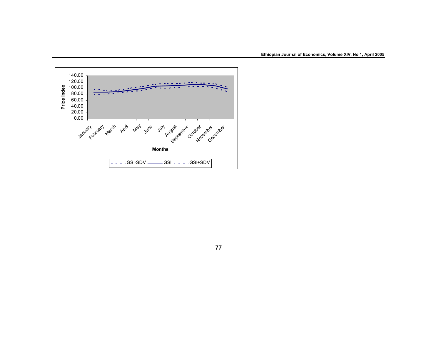**Ethiopian Journal of Economics, Volume XIV, No 1, April 2005**



**77**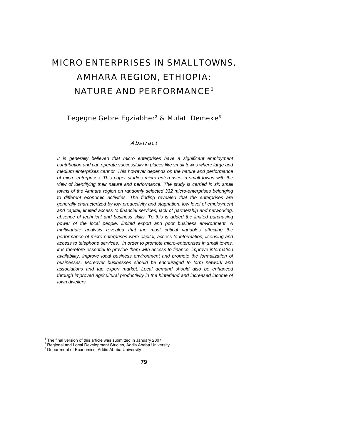# MICRO ENTERPRISES IN SMALLTOWNS, AMHARA REGION, ETHIOPIA: NATURE AND PERFORMANCE1

Tegegne Gebre Egziabher<sup>2</sup> & Mulat Demeke<sup>3</sup>

# **Abstract**

*It is generally believed that micro enterprises have a significant employment contribution and can operate successfully in places like small towns where large and medium enterprises cannot. This however depends on the nature and performance of micro enterprises. This paper studies micro enterprises in small towns with the view of identifying their nature and performance. The study is carried in six small towns of the Amhara region on randomly selected 332 micro-enterprises belonging to different economic activities. The finding revealed that the enterprises are generally characterized by low productivity and stagnation, low level of employment and capital, limited access to financial services, lack of partnership and networking, absence of technical and business skills. To this is added the limited purchasing power of the local people, limited export and poor business environment. A multivariate analysis revealed that the most critical variables affecting the performance of micro enterprises were capital, access to information, licensing and access to telephone services. In order to promote micro-enterprises in small towns, it is therefore essential to provide them with access to finance, improve information availability, improve local business environment and promote the formalization of businesses. Moreover businesses should be encouraged to form network and associations and tap export market. Local demand should also be enhanced through improved agricultural productivity in the hinterland and increased income of town dwellers.* 

 $\overline{\phantom{a}}$ <sup>1</sup> The final version of this article was submitted in January 2007.

<sup>&</sup>lt;sup>2</sup> Regional and Local Development Studies, Addis Abeba University

<sup>&</sup>lt;sup>3</sup> Department of Economics, Addis Abeba University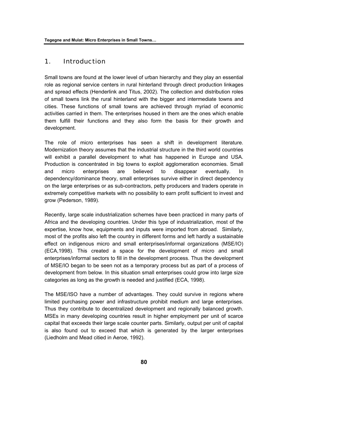# 1. Introduction

Small towns are found at the lower level of urban hierarchy and they play an essential role as regional service centers in rural hinterland through direct production linkages and spread effects (Henderlink and Titus, 2002). The collection and distribution roles of small towns link the rural hinterland with the bigger and intermediate towns and cities. These functions of small towns are achieved through myriad of economic activities carried in them. The enterprises housed in them are the ones which enable them fulfill their functions and they also form the basis for their growth and development.

The role of micro enterprises has seen a shift in development literature. Modernization theory assumes that the industrial structure in the third world countries will exhibit a parallel development to what has happened in Europe and USA. Production is concentrated in big towns to exploit agglomeration economies. Small and micro enterprises are believed to disappear eventually. In dependency/dominance theory, small enterprises survive either in direct dependency on the large enterprises or as sub-contractors, petty producers and traders operate in extremely competitive markets with no possibility to earn profit sufficient to invest and grow (Pederson, 1989).

Recently, large scale industrialization schemes have been practiced in many parts of Africa and the developing countries. Under this type of industrialization, most of the expertise, know how, equipments and inputs were imported from abroad. Similarly, most of the profits also left the country in different forms and left hardly a sustainable effect on indigenous micro and small enterprises/informal organizations (MSE/IO) (ECA,1998). This created a space for the development of micro and small enterprises/informal sectors to fill in the development process. Thus the development of MSE/IO began to be seen not as a temporary process but as part of a process of development from below. In this situation small enterprises could grow into large size categories as long as the growth is needed and justified (ECA, 1998).

The MSE/ISO have a number of advantages. They could survive in regions where limited purchasing power and infrastructure prohibit medium and large enterprises. Thus they contribute to decentralized development and regionally balanced growth. MSEs in many developing countries result in higher employment per unit of scarce capital that exceeds their large scale counter parts. Similarly, output per unit of capital is also found out to exceed that which is generated by the larger enterprises (Liedholm and Mead citied in Aeroe, 1992).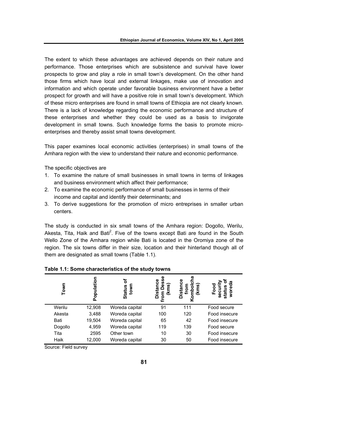The extent to which these advantages are achieved depends on their nature and performance. Those enterprises which are subsistence and survival have lower prospects to grow and play a role in small town's development. On the other hand those firms which have local and external linkages, make use of innovation and information and which operate under favorable business environment have a better prospect for growth and will have a positive role in small town's development. Which of these micro enterprises are found in small towns of Ethiopia are not clearly known. There is a lack of knowledge regarding the economic performance and structure of these enterprises and whether they could be used as a basis to invigorate development in small towns. Such knowledge forms the basis to promote microenterprises and thereby assist small towns development.

This paper examines local economic activities (enterprises) in small towns of the Amhara region with the view to understand their nature and economic performance.

The specific objectives are

- 1. To examine the nature of small businesses in small towns in terms of linkages and business environment which affect their performance;
- 2. To examine the economic performance of small businesses in terms of their income and capital and identify their determinants; and
- 3. To derive suggestions for the promotion of micro entreprises in smaller urban centers.

The study is conducted in six small towns of the Amhara region: Dogollo, Werilu, Akesta, Tita, Haik and Bati<sup>2</sup>. Five of the towns except Bati are found in the South Wello Zone of the Amhara region while Bati is located in the Oromiya zone of the region. The six towns differ in their size, location and their hinterland though all of them are designated as small towns (Table 1.1).

| Town    | Population | ৳<br>town<br><b>Status</b> | nce<br>99<br>w<br>ista<br>兰<br>ε<br>۴p<br>Ω | istan<br><b>S</b><br>nbol<br>from<br>۵<br>ş | ω<br>ğ<br>5   |
|---------|------------|----------------------------|---------------------------------------------|---------------------------------------------|---------------|
| Werilu  | 12,908     | Woreda capital             | 91                                          | 111                                         | Food secure   |
| Akesta  | 3,488      | Woreda capital             | 100                                         | 120                                         | Food insecure |
| Bati    | 19,504     | Woreda capital             | 65                                          | 42                                          | Food insecure |
| Dogollo | 4,959      | Woreda capital             | 119                                         | 139                                         | Food secure   |
| Tita    | 2595       | Other town                 | 10                                          | 30                                          | Food insecure |
| Haik    | 12,000     | Woreda capital             | 30                                          | 50                                          | Food insecure |

| Table 1.1: Some characteristics of the study towns |  |
|----------------------------------------------------|--|
|----------------------------------------------------|--|

Source: Field survey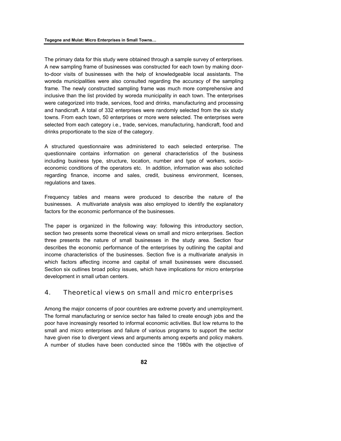The primary data for this study were obtained through a sample survey of enterprises. A new sampling frame of businesses was constructed for each town by making doorto-door visits of businesses with the help of knowledgeable local assistants. The woreda municipalities were also consulted regarding the accuracy of the sampling frame. The newly constructed sampling frame was much more comprehensive and inclusive than the list provided by woreda municipality in each town. The enterprises were categorized into trade, services, food and drinks, manufacturing and processing and handicraft. A total of 332 enterprises were randomly selected from the six study towns. From each town, 50 enterprises or more were selected. The enterprises were selected from each category i.e., trade, services, manufacturing, handicraft, food and drinks proportionate to the size of the category.

A structured questionnaire was administered to each selected enterprise. The questionnaire contains information on general characteristics of the business including business type, structure, location, number and type of workers, socioeconomic conditions of the operators etc. In addition, information was also solicited regarding finance, income and sales, credit, business environment, licenses, regulations and taxes.

Frequency tables and means were produced to describe the nature of the businesses. A multivariate analysis was also employed to identify the explanatory factors for the economic performance of the businesses.

The paper is organized in the following way: following this introductory section, section two presents some theoretical views on small and micro enterprises. Section three presents the nature of small businesses in the study area. Section four describes the economic performance of the enterprises by outlining the capital and income characteristics of the businesses. Section five is a multivariate analysis in which factors affecting income and capital of small businesses were discussed. Section six outlines broad policy issues, which have implications for micro enterprise development in small urban centers.

# 4. Theoretical views on small and micro enterprises

Among the major concerns of poor countries are extreme poverty and unemployment. The formal manufacturing or service sector has failed to create enough jobs and the poor have increasingly resorted to informal economic activities. But low returns to the small and micro enterprises and failure of various programs to support the sector have given rise to divergent views and arguments among experts and policy makers. A number of studies have been conducted since the 1980s with the objective of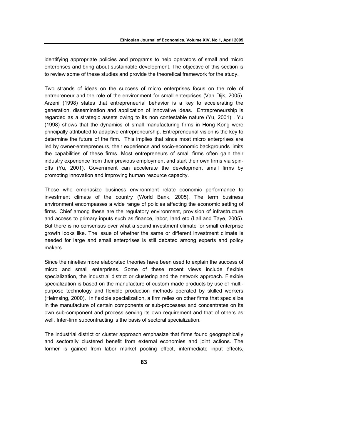identifying appropriate policies and programs to help operators of small and micro enterprises and bring about sustainable development. The objective of this section is to review some of these studies and provide the theoretical framework for the study.

Two strands of ideas on the success of micro enterprises focus on the role of entrepreneur and the role of the environment for small enterprises (Van Dijk, 2005). Arzeni (1998) states that entrepreneurial behavior is a key to accelerating the generation, dissemination and application of innovative ideas. Entrepreneurship is regarded as a strategic assets owing to its non contestable nature (Yu, 2001) . Yu (1998) shows that the dynamics of small manufacturing firms in Hong Kong were principally attributed to adaptive entrepreneurship. Entrepreneurial vision is the key to determine the future of the firm. This implies that since most micro enterprises are led by owner-entrepreneurs, their experience and socio-economic backgrounds limits the capabilities of these firms. Most entrepreneurs of small firms often gain their industry experience from their previous employment and start their own firms via spinoffs (Yu, 2001). Government can accelerate the development small firms by promoting innovation and improving human resource capacity.

Those who emphasize business environment relate economic performance to investment climate of the country (World Bank, 2005). The term business environment encompasses a wide range of policies affecting the economic setting of firms. Chief among these are the regulatory environment, provision of infrastructure and access to primary inputs such as finance, labor, land etc (Lall and Taye, 2005). But there is no consensus over what a sound investment climate for small enterprise growth looks like. The issue of whether the same or different investment climate is needed for large and small enterprises is still debated among experts and policy makers.

Since the nineties more elaborated theories have been used to explain the success of micro and small enterprises. Some of these recent views include flexible specialization, the industrial district or clustering and the network approach. Flexible specialization is based on the manufacture of custom made products by use of multipurpose technology and flexible production methods operated by skilled workers (Helmsing, 2000). In flexible specialization, a firm relies on other firms that specialize in the manufacture of certain components or sub-processes and concentrates on its own sub-component and process serving its own requirement and that of others as well. Inter-firm subcontracting is the basis of sectoral specialization.

The industrial district or cluster approach emphasize that firms found geographically and sectorally clustered benefit from external economies and joint actions. The former is gained from labor market pooling effect, intermediate input effects,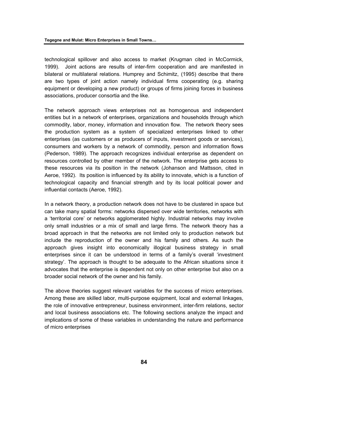technological spillover and also access to market (Krugman cited in McCormick, 1999). Joint actions are results of inter-firm cooperation and are manifested in bilateral or multilateral relations. Humprey and Schimitz, (1995) describe that there are two types of joint action namely individual firms cooperating (e.g. sharing equipment or developing a new product) or groups of firms joining forces in business associations, producer consortia and the like.

The network approach views enterprises not as homogenous and independent entities but in a network of enterprises, organizations and households through which commodity, labor, money, information and innovation flow. The network theory sees the production system as a system of specialized enterprises linked to other enterprises (as customers or as producers of inputs, investment goods or services), consumers and workers by a network of commodity, person and information flows (Pederson, 1989). The approach recognizes individual enterprise as dependent on resources controlled by other member of the network. The enterprise gets access to these resources via its position in the network (Johanson and Mattsson, cited in Aeroe, 1992). Its position is influenced by its ability to innovate, which is a function of technological capacity and financial strength and by its local political power and influential contacts (Aeroe, 1992).

In a network theory, a production network does not have to be clustered in space but can take many spatial forms: networks dispersed over wide territories, networks with a 'territorial core' or networks agglomerated highly. Industrial networks may involve only small industries or a mix of small and large firms. The network theory has a broad approach in that the networks are not limited only to production network but include the reproduction of the owner and his family and others. As such the approach gives insight into economically illogical business strategy in small enterprises since it can be understood in terms of a family's overall 'investment strategy'. The approach is thought to be adequate to the African situations since it advocates that the enterprise is dependent not only on other enterprise but also on a broader social network of the owner and his family.

The above theories suggest relevant variables for the success of micro enterprises. Among these are skilled labor, multi-purpose equipment, local and external linkages, the role of innovative entrepreneur, business environment, inter-firm relations, sector and local business associations etc. The following sections analyze the impact and implications of some of these variables in understanding the nature and performance of micro enterprises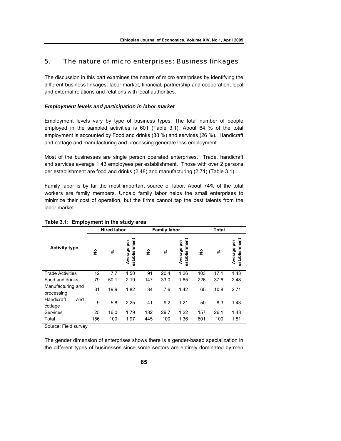# 5. The nature of micro enterprises: Business linkages

The discussion in this part examines the nature of micro enterprises by identifying the different business linkages: labor market, financial, partnership and cooperation, local and external relations and relations with local authorities.

#### *Employment levels and participation in labor market*

Employment levels vary by type of business types. The total number of people employed in the sampled activities is 601 (Table 3.1). About 64 % of the total employment is accounted by Food and drinks (38 %) and services (26 %). Handicraft and cottage and manufacturing and processing generate less employment.

Most of the businesses are single person operated enterprises. Trade, handicraft and services average 1.43 employees per establishment. Those with over 2 persons per establishment are food and drinks (2.48) and manufacturing (2.71) (Table 3.1).

Family labor is by far the most important source of labor. About 74% of the total workers are family members. Unpaid family labor helps the small enterprises to minimize their cost of operation, but the firms cannot tap the best talents from the labor market.

| Table 3.1: Employment in the study area |  |  |  |  |  |
|-----------------------------------------|--|--|--|--|--|
|-----------------------------------------|--|--|--|--|--|

|                                 |     | <b>Hired labor</b> |                                 |               | <b>Family labor</b> |                                 |     | <b>Total</b> |                                 |  |
|---------------------------------|-----|--------------------|---------------------------------|---------------|---------------------|---------------------------------|-----|--------------|---------------------------------|--|
| <b>Activity type</b>            | ş   | వి                 | establishment<br>per<br>Average | $\frac{1}{2}$ | వి                  | establishment<br>per<br>Average | ۽   | వి           | establishment<br>per<br>Average |  |
| <b>Trade Activities</b>         | 12  | 7.7                | 1.50                            | 91            | 20.4                | 1.26                            | 103 | 17.1         | 1.43                            |  |
| Food and drinks                 | 79  | 50.1               | 2.19                            | 147           | 33.0                | 1.65                            | 226 | 37.6         | 2.48                            |  |
| Manufacturing and<br>processing | 31  | 19.9               | 1.82                            | 34            | 7.6                 | 1.42                            | 65  | 10.8         | 2.71                            |  |
| Handicraft<br>and<br>cottage    | 9   | 5.8                | 2.25                            | 41            | 9.2                 | 1.21                            | 50  | 8.3          | 1.43                            |  |
| Services                        | 25  | 16.0               | 1.79                            | 132           | 29.7                | 1.22                            | 157 | 26.1         | 1.43                            |  |
| Total                           | 156 | 100                | 1.97                            | 445           | 100                 | 1.36                            | 601 | 100          | 1.81                            |  |

Source: Field survey

The gender dimension of enterprises shows there is a gender-based specialization in the different types of businesses since some sectors are entirely dominated by men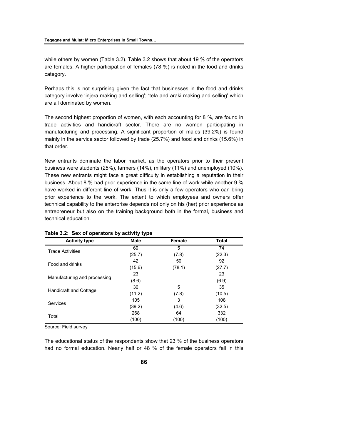while others by women (Table 3.2). Table 3.2 shows that about 19 % of the operators are females. A higher participation of females (78 %) is noted in the food and drinks category.

Perhaps this is not surprising given the fact that businesses in the food and drinks category involve 'injera making and selling'; 'tela and araki making and selling' which are all dominated by women.

The second highest proportion of women, with each accounting for 8 %, are found in trade activities and handicraft sector. There are no women participating in manufacturing and processing. A significant proportion of males (39.2%) is found mainly in the service sector followed by trade (25.7%) and food and drinks (15.6%) in that order.

New entrants dominate the labor market, as the operators prior to their present business were students (25%), farmers (14%), military (11%) and unemployed (10%). These new entrants might face a great difficulty in establishing a reputation in their business. About 8 % had prior experience in the same line of work while another 9 % have worked in different line of work. Thus it is only a few operators who can bring prior experience to the work. The extent to which employees and owners offer technical capability to the enterprise depends not only on his (her) prior experience as entrepreneur but also on the training background both in the formal, business and technical education.

| <b>Activity type</b>         | Male   | Female | <b>Total</b> |
|------------------------------|--------|--------|--------------|
| <b>Trade Activities</b>      | 69     | 5      | 74           |
|                              | (25.7) | (7.8)  | (22.3)       |
| Food and drinks              | 42     | 50     | 92           |
|                              | (15.6) | (78.1) | (27.7)       |
| Manufacturing and processing | 23     |        | 23           |
|                              | (8.6)  |        | (6.9)        |
| Handicraft and Cottage       | 30     | 5      | 35           |
|                              | (11.2) | (7.8)  | (10.5)       |
| Services                     | 105    | 3      | 108          |
|                              | (39.2) | (4.6)  | (32.5)       |
| Total                        | 268    | 64     | 332          |
|                              | (100)  | (100)  | (100)        |

#### **Table 3.2: Sex of operators by activity type**

Source: Field survey

The educational status of the respondents show that 23 % of the business operators had no formal education. Nearly half or 48 % of the female operators fall in this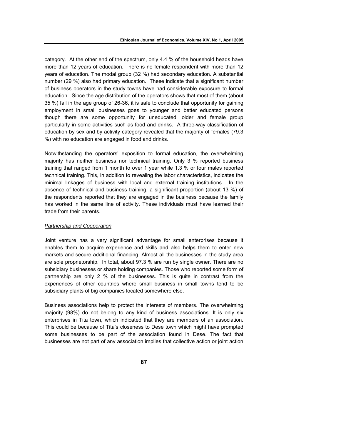category. At the other end of the spectrum, only 4.4 % of the household heads have more than 12 years of education. There is no female respondent with more than 12 years of education. The modal group (32 %) had secondary education. A substantial number (29 %) also had primary education. These indicate that a significant number of business operators in the study towns have had considerable exposure to formal education. Since the age distribution of the operators shows that most of them (about 35 %) fall in the age group of 26-36, it is safe to conclude that opportunity for gaining employment in small businesses goes to younger and better educated persons though there are some opportunity for uneducated, older and female group particularly in some activities such as food and drinks. A three-way classification of education by sex and by activity category revealed that the majority of females (79.3 %) with no education are engaged in food and drinks.

Notwithstanding the operators' exposition to formal education, the overwhelming majority has neither business nor technical training. Only 3 % reported business training that ranged from 1 month to over 1 year while 1.3 % or four males reported technical training. This, in addition to revealing the labor characteristics, indicates the minimal linkages of business with local and external training institutions. In the absence of technical and business training, a significant proportion (about 13 %) of the respondents reported that they are engaged in the business because the family has worked in the same line of activity. These individuals must have learned their trade from their parents.

# *Partnership and Cooperation*

Joint venture has a very significant advantage for small enterprises because it enables them to acquire experience and skills and also helps them to enter new markets and secure additional financing. Almost all the businesses in the study area are sole proprietorship. In total, about 97.3 % are run by single owner. There are no subsidiary businesses or share holding companies. Those who reported some form of partnership are only 2 % of the businesses. This is quite in contrast from the experiences of other countries where small business in small towns tend to be subsidiary plants of big companies located somewhere else.

Business associations help to protect the interests of members. The overwhelming majority (98%) do not belong to any kind of business associations. It is only six enterprises in Tita town, which indicated that they are members of an association. This could be because of Tita's closeness to Dese town which might have prompted some businesses to be part of the association found in Dese. The fact that businesses are not part of any association implies that collective action or joint action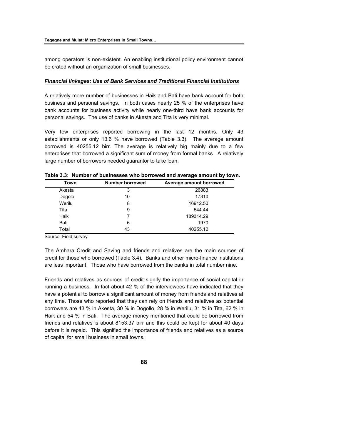among operators is non-existent. An enabling institutional policy environment cannot be crated without an organization of small businesses.

#### *Financial linkages: Use of Bank Services and Traditional Financial Institutions*

A relatively more number of businesses in Haik and Bati have bank account for both business and personal savings. In both cases nearly 25 % of the enterprises have bank accounts for business activity while nearly one-third have bank accounts for personal savings. The use of banks in Akesta and Tita is very minimal.

Very few enterprises reported borrowing in the last 12 months. Only 43 establishments or only 13.6 % have borrowed (Table 3.3). The average amount borrowed is 40255.12 birr. The average is relatively big mainly due to a few enterprises that borrowed a significant sum of money from formal banks. A relatively large number of borrowers needed guarantor to take loan.

| Town   | <b>Number borrowed</b> | Average amount borrowed |
|--------|------------------------|-------------------------|
| Akesta | 3                      | 26883                   |
| Dogolo | 10                     | 17310                   |
| Werilu | 8                      | 16912.50                |
| Tita   | 9                      | 544.44                  |
| Haik   |                        | 189314.29               |
| Bati   | 6                      | 1970                    |
| Total  | 43                     | 40255.12                |

| Table 3.3: Number of businesses who borrowed and average amount by town. |  |  |  |  |  |  |  |  |
|--------------------------------------------------------------------------|--|--|--|--|--|--|--|--|
|--------------------------------------------------------------------------|--|--|--|--|--|--|--|--|

Source: Field survey

The Amhara Credit and Saving and friends and relatives are the main sources of credit for those who borrowed (Table 3.4). Banks and other micro-finance institutions are less important. Those who have borrowed from the banks in total number nine.

Friends and relatives as sources of credit signify the importance of social capital in running a business. In fact about 42 % of the interviewees have indicated that they have a potential to borrow a significant amount of money from friends and relatives at any time. Those who reported that they can rely on friends and relatives as potential borrowers are 43 % in Akesta, 30 % in Dogollo, 28 % in Werilu, 31 % in Tita, 62 % in Haik and 54 % in Bati. The average money mentioned that could be borrowed from friends and relatives is about 8153.37 birr and this could be kept for about 40 days before it is repaid. This signified the importance of friends and relatives as a source of capital for small business in small towns.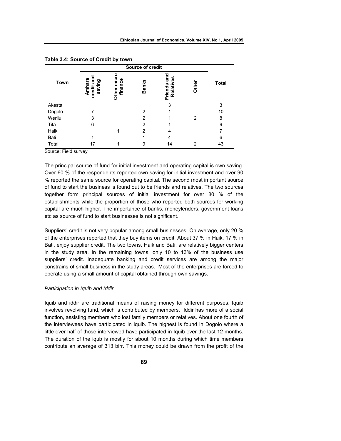|        | Source of credit              |                            |              |                                    |       |              |  |  |
|--------|-------------------------------|----------------------------|--------------|------------------------------------|-------|--------------|--|--|
| Town   | Amhara<br>credit an<br>saving | o<br>Other micr<br>finance | <b>Banks</b> | n<br>a۵<br>٥<br>Relativ<br>Friends | Other | <b>Total</b> |  |  |
| Akesta |                               |                            |              | 3                                  |       | 3            |  |  |
| Dogolo |                               |                            | 2            |                                    |       | 10           |  |  |
| Werilu | 3                             |                            | 2            |                                    | 2     | 8            |  |  |
| Tita   | 6                             |                            | 2            |                                    |       | 9            |  |  |
| Haik   |                               |                            | 2            | 4                                  |       |              |  |  |
| Bati   |                               |                            |              | 4                                  |       | 6            |  |  |
| Total  | 17                            |                            | 9            | 14                                 | 2     | 43           |  |  |

**Table 3.4: Source of Credit by town** 

Source: Field survey

The principal source of fund for initial investment and operating capital is own saving. Over 60 % of the respondents reported own saving for initial investment and over 90 % reported the same source for operating capital. The second most important source of fund to start the business is found out to be friends and relatives. The two sources together form principal sources of initial investment for over 80 % of the establishments while the proportion of those who reported both sources for working capital are much higher. The importance of banks, moneylenders, government loans etc as source of fund to start businesses is not significant.

Suppliers' credit is not very popular among small businesses. On average, only 20 % of the enterprises reported that they buy items on credit. About 37 % in Haik, 17 % in Bati, enjoy supplier credit. The two towns, Haik and Bati, are relatively bigger centers in the study area. In the remaining towns, only 10 to 13% of the business use suppliers' credit. Inadequate banking and credit services are among the major constrains of small business in the study areas. Most of the enterprises are forced to operate using a small amount of capital obtained through own savings.

#### *Participation in Iquib and Iddir*

Iquib and iddir are traditional means of raising money for different purposes. Iquib involves revolving fund, which is contributed by members. Iddir has more of a social function, assisting members who lost family members or relatives. About one fourth of the interviewees have participated in iquib. The highest is found in Dogolo where a little over half of those interviewed have participated in Iquib over the last 12 months. The duration of the iqub is mostly for about 10 months during which time members contribute an average of 313 birr. This money could be drawn from the profit of the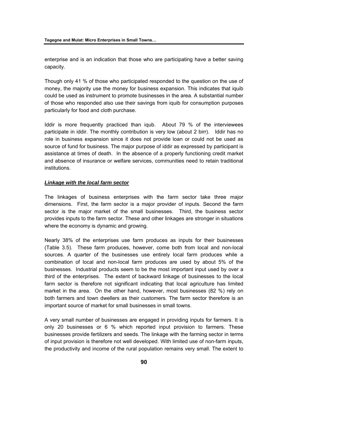enterprise and is an indication that those who are participating have a better saving capacity.

Though only 41 % of those who participated responded to the question on the use of money, the majority use the money for business expansion. This indicates that iquib could be used as instrument to promote businesses in the area. A substantial number of those who responded also use their savings from iquib for consumption purposes particularly for food and cloth purchase.

Iddir is more frequently practiced than iqub. About 79 % of the interviewees participate in iddir. The monthly contribution is very low (about 2 birr). Iddir has no role in business expansion since it does not provide loan or could not be used as source of fund for business. The major purpose of iddir as expressed by participant is assistance at times of death. In the absence of a properly functioning credit market and absence of insurance or welfare services, communities need to retain traditional institutions.

#### *Linkage with the local farm sector*

The linkages of business enterprises with the farm sector take three major dimensions. First, the farm sector is a major provider of inputs. Second the farm sector is the major market of the small businesses. Third, the business sector provides inputs to the farm sector. These and other linkages are stronger in situations where the economy is dynamic and growing.

Nearly 38% of the enterprises use farm produces as inputs for their businesses (Table 3.5). These farm produces, however, come both from local and non-local sources. A quarter of the businesses use entirely local farm produces while a combination of local and non-local farm produces are used by about 5% of the businesses. Industrial products seem to be the most important input used by over a third of the enterprises. The extent of backward linkage of businesses to the local farm sector is therefore not significant indicating that local agriculture has limited market in the area. On the other hand, however, most businesses (82 %) rely on both farmers and town dwellers as their customers. The farm sector therefore is an important source of market for small businesses in small towns.

A very small number of businesses are engaged in providing inputs for farmers. It is only 20 businesses or 6 % which reported input provision to farmers. These businesses provide fertilizers and seeds. The linkage with the farming sector in terms of input provision is therefore not well developed. With limited use of non-farm inputs, the productivity and income of the rural population remains very small. The extent to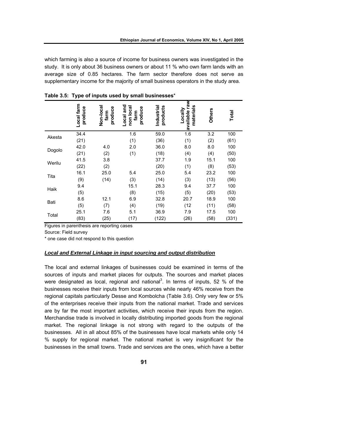which farming is also a source of income for business owners was investigated in the study. It is only about 36 business owners or about 11 % who own farm lands with an average size of 0.85 hectares. The farm sector therefore does not serve as supplementary income for the majority of small business operators in the study area.

|        | Local farm<br>produce | Non-loca<br>produce<br>farm | Local and<br>non local<br>produce<br>farm | Industrial<br>products | raw<br>materials<br>Locally<br>available | Others | <b>Total</b> |
|--------|-----------------------|-----------------------------|-------------------------------------------|------------------------|------------------------------------------|--------|--------------|
| Akesta | 34.4                  |                             | 1.6                                       | 59.0                   | 1.6                                      | 3.2    | 100          |
|        | (21)                  |                             | (1)                                       | (36)                   | (1)                                      | (2)    | (61)         |
| Dogolo | 42.0                  | 4.0                         | 2.0                                       | 36.0                   | 8.0                                      | 8.0    | 100          |
|        | (21)                  | (2)                         | (1)                                       | (18)                   | (4)                                      | (4)    | (50)         |
| Werilu | 41.5                  | 3.8                         |                                           | 37.7                   | 1.9                                      | 15.1   | 100          |
|        | (22)                  | (2)                         |                                           | (20)                   | (1)                                      | (8)    | (53)         |
| Tita   | 16.1                  | 25.0                        | 5.4                                       | 25.0                   | 5.4                                      | 23.2   | 100          |
|        | (9)                   | (14)                        | (3)                                       | (14)                   | (3)                                      | (13)   | (56)         |
| Haik   | 9.4                   |                             | 15.1                                      | 28.3                   | 9.4                                      | 37.7   | 100          |
|        | (5)                   |                             | (8)                                       | (15)                   | (5)                                      | (20)   | (53)         |
| Bati   | 8.6                   | 12.1                        | 6.9                                       | 32.8                   | 20.7                                     | 18.9   | 100          |
|        | (5)                   | (7)                         | (4)                                       | (19)                   | (12)                                     | (11)   | (58)         |
| Total  | 25.1                  | 7.6                         | 5.1                                       | 36.9                   | 7.9                                      | 17.5   | 100          |
|        | (83)                  | (25)                        | (17)                                      | (122)                  | (26)                                     | (58)   | (331)        |

**Table 3.5: Type of inputs used by small businesses**\*

Figures in parenthesis are reporting cases

Source: Field survey

\* one case did not respond to this question

#### *Local and External Linkage in input sourcing and output distribution*

The local and external linkages of businesses could be examined in terms of the sources of inputs and market places for outputs. The sources and market places were designated as local, regional and national<sup>3</sup>. In terms of inputs, 52 % of the businesses receive their inputs from local sources while nearly 46% receive from the regional capitals particularly Desse and Kombolcha (Table 3.6). Only very few or 5% of the enterprises receive their inputs from the national market. Trade and services are by far the most important activities, which receive their inputs from the region. Merchandise trade is involved in locally distributing imported goods from the regional market. The regional linkage is not strong with regard to the outputs of the businesses. All in all about 85% of the businesses have local markets while only 14 % supply for regional market. The national market is very insignificant for the businesses in the small towns. Trade and services are the ones, which have a better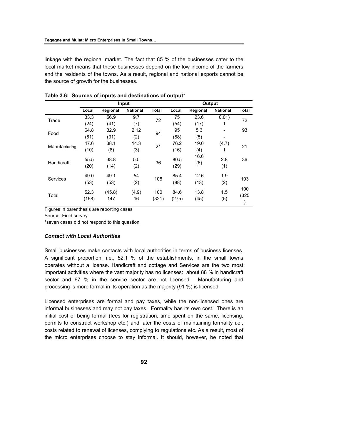linkage with the regional market. The fact that 85 % of the businesses cater to the local market means that these businesses depend on the low income of the farmers and the residents of the towns. As a result, regional and national exports cannot be the source of growth for the businesses.

|               |       |          | Input           |              |       | Output   |                 |       |
|---------------|-------|----------|-----------------|--------------|-------|----------|-----------------|-------|
|               | Local | Regional | <b>National</b> | <b>Total</b> | Local | Regional | <b>National</b> | Total |
| Trade         | 33.3  | 56.9     | 9.7             | 72           | 75    | 23.6     | 0.01)           | 72    |
|               | (24)  | (41)     | (7)             |              | (54)  | (17)     | 1               |       |
| Food          | 64.8  | 32.9     | 2.12            | 94           | 95    | 5.3      | -               | 93    |
|               | (61)  | (31)     | (2)             |              | (88)  | (5)      | -               |       |
| Manufacturing | 47.6  | 38.1     | 14.3            | 21           | 76.2  | 19.0     | (4.7)           | 21    |
|               | (10)  | (8)      | (3)             |              | (16)  | (4)      | 1               |       |
|               | 55.5  | 38.8     | 5.5             |              | 80.5  | 16.6     | 2.8             | 36    |
| Handicraft    | (20)  | (14)     | (2)             | 36           | (29)  | (6)      | (1)             |       |
|               | 49.0  | 49.1     | 54              |              | 85.4  | 12.6     | 1.9             |       |
| Services      | (53)  | (53)     | (2)             | 108          | (88)  | (13)     | (2)             | 103   |
|               | 52.3  | (45.8)   | (4.9)           | 100          | 84.6  | 13.8     | 1.5             | 100   |
| Total         | (168) | 147      | 16              | (321)        | (275) | (45)     | (5)             | (325) |

**Table 3.6: Sources of inputs and destinations of output\*** 

Figures in parenthesis are reporting cases

Source: Field survey

**\***seven cases did not respond to this question

#### *Contact with Local Authorities*

Small businesses make contacts with local authorities in terms of business licenses. A significant proportion, i.e., 52.1 % of the establishments, in the small towns operates without a license. Handicraft and cottage and Services are the two most important activities where the vast majority has no licenses: about 88 % in handicraft sector and 67 % in the service sector are not licensed. Manufacturing and processing is more formal in its operation as the majority (91 %) is licensed.

Licensed enterprises are formal and pay taxes, while the non-licensed ones are informal businesses and may not pay taxes. Formality has its own cost. There is an initial cost of being formal (fees for registration, time spent on the same, licensing, permits to construct workshop etc.) and later the costs of maintaining formality i.e., costs related to renewal of licenses, complying to regulations etc. As a result, most of the micro enterprises choose to stay informal. It should, however, be noted that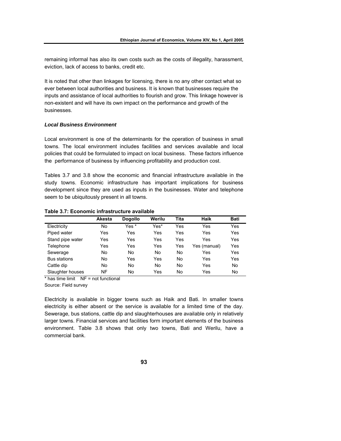remaining informal has also its own costs such as the costs of illegality, harassment, eviction, lack of access to banks, credit etc.

It is noted that other than linkages for licensing, there is no any other contact what so ever between local authorities and business. It is known that businesses require the inputs and assistance of local authorities to flourish and grow. This linkage however is non-existent and will have its own impact on the performance and growth of the businesses.

#### *Local Business Environment*

Local environment is one of the determinants for the operation of business in small towns. The local environment includes facilities and services available and local policies that could be formulated to impact on local business. These factors influence the performance of business by influencing profitability and production cost.

Tables 3.7 and 3.8 show the economic and financial infrastructure available in the study towns. Economic infrastructure has important implications for business development since they are used as inputs in the businesses. Water and telephone seem to be ubiquitously present in all towns.

| apic o.r. Louilonno initasu acture available |        |                |        |      |              |             |  |  |  |  |
|----------------------------------------------|--------|----------------|--------|------|--------------|-------------|--|--|--|--|
|                                              | Akesta | <b>Dogollo</b> | Werilu | Tita | Haik         | <b>Bati</b> |  |  |  |  |
| Electricity                                  | No     | Yes *          | Yes*   | Yes  | Yes          | Yes         |  |  |  |  |
| Piped water                                  | Yes    | Yes            | Yes    | Yes  | Yes          | Yes         |  |  |  |  |
| Stand pipe water                             | Yes    | Yes            | Yes    | Yes  | Yes          | Yes         |  |  |  |  |
| Telephone                                    | Yes    | Yes            | Yes    | Yes  | Yes (manual) | Yes         |  |  |  |  |
| Sewerage                                     | No     | No             | No     | No   | Yes          | Yes         |  |  |  |  |
| <b>Bus stations</b>                          | No     | Yes            | Yes    | No   | Yes          | Yes         |  |  |  |  |
| Cattle dip                                   | No     | No             | No     | No   | Yes          | No          |  |  |  |  |

Slaughter houses NF No Yes No Yes No

# **Table 3.7: Economic infrastructure available**

 $*$  has time limit  $NF = not$  functional

Source: Field survey

Electricity is available in bigger towns such as Haik and Bati. In smaller towns electricity is either absent or the service is available for a limited time of the day. Sewerage, bus stations, cattle dip and slaughterhouses are available only in relatively larger towns. Financial services and facilities form important elements of the business environment. Table 3.8 shows that only two towns, Bati and Werilu, have a commercial bank.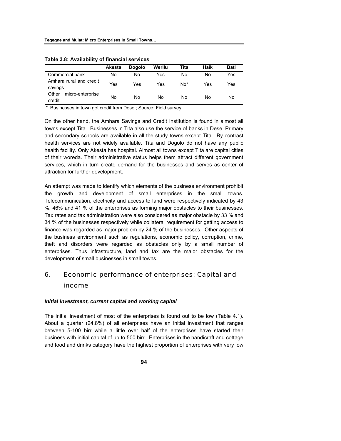|                                     | <b>Akesta</b> | <b>Dogolo</b> | Werilu | Tita  | Haik | <b>Bati</b> |
|-------------------------------------|---------------|---------------|--------|-------|------|-------------|
| Commercial bank                     | No            | No            | Yes    | No    | No   | Yes         |
| Amhara rural and credit<br>savings  | Yes           | Yes           | Yes    | $No*$ | Yes  | Yes         |
| Other<br>micro-enterprise<br>credit | No            | <b>No</b>     | No     | No    | No   | No          |

#### **Table 3.8: Availability of financial services**

\* Businesses in town get credit from Dese ; Source: Field survey

On the other hand, the Amhara Savings and Credit Institution is found in almost all towns except Tita. Businesses in Tita also use the service of banks in Dese. Primary and secondary schools are available in all the study towns except Tita. By contrast health services are not widely available. Tita and Dogolo do not have any public health facility. Only Akesta has hospital. Almost all towns except Tita are capital cities of their woreda. Their administrative status helps them attract different government services, which in turn create demand for the businesses and serves as center of attraction for further development.

An attempt was made to identify which elements of the business environment prohibit the growth and development of small enterprises in the small towns. Telecommunication, electricity and access to land were respectively indicated by 43 %, 46% and 41 % of the enterprises as forming major obstacles to their businesses. Tax rates and tax administration were also considered as major obstacle by 33 % and 34 % of the businesses respectively while collateral requirement for getting access to finance was regarded as major problem by 24 % of the businesses. Other aspects of the business environment such as regulations, economic policy, corruption, crime, theft and disorders were regarded as obstacles only by a small number of enterprises. Thus infrastructure, land and tax are the major obstacles for the development of small businesses in small towns.

# 6. Economic performance of enterprises: Capital and income

#### *Initial investment, current capital and working capital*

The initial investment of most of the enterprises is found out to be low (Table 4.1). About a quarter (24.8%) of all enterprises have an initial investment that ranges between 5-100 birr while a little over half of the enterprises have started their business with initial capital of up to 500 birr. Enterprises in the handicraft and cottage and food and drinks category have the highest proportion of enterprises with very low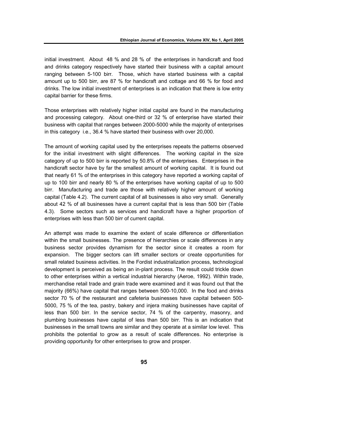initial investment. About 48 % and 28 % of the enterprises in handicraft and food and drinks category respectively have started their business with a capital amount ranging between 5-100 birr. Those, which have started business with a capital amount up to 500 birr, are 87 % for handicraft and cottage and 66 % for food and drinks. The low initial investment of enterprises is an indication that there is low entry capital barrier for these firms.

Those enterprises with relatively higher initial capital are found in the manufacturing and processing category. About one-third or 32 % of enterprise have started their business with capital that ranges between 2000-5000 while the majority of enterprises in this category i.e., 36.4 % have started their business with over 20,000.

The amount of working capital used by the enterprises repeats the patterns observed for the initial investment with slight differences. The working capital in the size category of up to 500 birr is reported by 50.8% of the enterprises. Enterprises in the handicraft sector have by far the smallest amount of working capital. It is found out that nearly 61 % of the enterprises in this category have reported a working capital of up to 100 birr and nearly 80 % of the enterprises have working capital of up to 500 birr. Manufacturing and trade are those with relatively higher amount of working capital (Table 4.2). The current capital of all businesses is also very small. Generally about 42 % of all businesses have a current capital that is less than 500 birr (Table 4.3). Some sectors such as services and handicraft have a higher proportion of enterprises with less than 500 birr of current capital.

An attempt was made to examine the extent of scale difference or differentiation within the small businesses. The presence of hierarchies or scale differences in any business sector provides dynamism for the sector since it creates a room for expansion. The bigger sectors can lift smaller sectors or create opportunities for small related business activities. In the Fordist industrialization process, technological development is perceived as being an in-plant process. The result could trickle down to other enterprises within a vertical industrial hierarchy (Aeroe, 1992). Within trade, merchandise retail trade and grain trade were examined and it was found out that the majority (66%) have capital that ranges between 500-10,000. In the food and drinks sector 70 % of the restaurant and cafeteria businesses have capital between 500- 5000, 75 % of the tea, pastry, bakery and injera making businesses have capital of less than 500 birr. In the service sector, 74 % of the carpentry, masonry, and plumbing businesses have capital of less than 500 birr. This is an indication that businesses in the small towns are similar and they operate at a similar low level. This prohibits the potential to grow as a result of scale differences. No enterprise is providing opportunity for other enterprises to grow and prosper.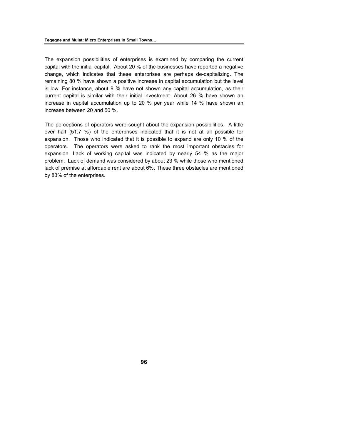The expansion possibilities of enterprises is examined by comparing the current capital with the initial capital. About 20 % of the businesses have reported a negative change, which indicates that these enterprises are perhaps de-capitalizing. The remaining 80 % have shown a positive increase in capital accumulation but the level is low. For instance, about 9 % have not shown any capital accumulation, as their current capital is similar with their initial investment. About 26 % have shown an increase in capital accumulation up to 20 % per year while 14 % have shown an increase between 20 and 50 %.

The perceptions of operators were sought about the expansion possibilities. A little over half (51.7 %) of the enterprises indicated that it is not at all possible for expansion. Those who indicated that it is possible to expand are only 10 % of the operators. The operators were asked to rank the most important obstacles for expansion. Lack of working capital was indicated by nearly 54 % as the major problem. Lack of demand was considered by about 23 % while those who mentioned lack of premise at affordable rent are about 6%. These three obstacles are mentioned by 83% of the enterprises.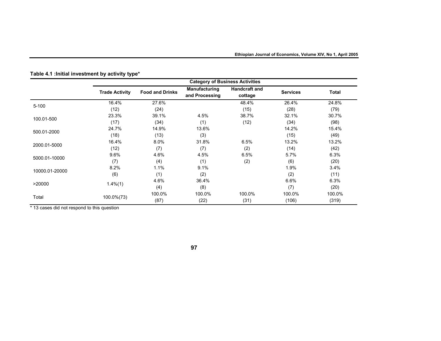|                | <b>Category of Business Activities</b> |                        |                                        |                                 |                 |        |  |  |  |
|----------------|----------------------------------------|------------------------|----------------------------------------|---------------------------------|-----------------|--------|--|--|--|
|                | <b>Trade Activity</b>                  | <b>Food and Drinks</b> | <b>Manufacturing</b><br>and Processing | <b>Handcraft and</b><br>cottage | <b>Services</b> | Total  |  |  |  |
|                | 16.4%                                  | 27.6%                  |                                        | 48.4%                           | 26.4%           | 24.8%  |  |  |  |
| $5 - 100$      | (12)                                   | (24)                   |                                        | (15)                            | (28)            | (79)   |  |  |  |
| 100.01-500     | 23.3%                                  | 39.1%                  | 4.5%                                   | 38.7%                           | 32.1%           | 30.7%  |  |  |  |
|                | (17)                                   | (34)                   | (1)                                    | (12)                            | (34)            | (98)   |  |  |  |
| 500.01-2000    | 24.7%                                  | 14.9%                  | 13.6%                                  |                                 | 14.2%           | 15.4%  |  |  |  |
|                | (18)                                   | (13)                   | (3)                                    |                                 | (15)            | (49)   |  |  |  |
| 2000.01-5000   | 16.4%                                  | 8.0%                   | 31.8%                                  | 6.5%                            | 13.2%           | 13.2%  |  |  |  |
|                | (12)                                   | (7)                    | (7)                                    | (2)                             | (14)            | (42)   |  |  |  |
| 5000.01-10000  | 9.6%                                   | 4.6%                   | 4.5%                                   | 6.5%                            | 5.7%            | 6.3%   |  |  |  |
|                | (7)                                    | (4)                    | (1)                                    | (2)                             | (6)             | (20)   |  |  |  |
| 10000.01-20000 | 8.2%                                   | 1.1%                   | 9.1%                                   |                                 | 1.9%            | 3.4%   |  |  |  |
|                | (6)                                    | (1)                    | (2)                                    |                                 | (2)             | (11)   |  |  |  |
|                |                                        | 4.6%                   | 36.4%                                  |                                 | 6.6%            | 6.3%   |  |  |  |
| >20000         | $1.4\%(1)$                             | (4)                    | (8)                                    |                                 | (7)             | (20)   |  |  |  |
|                |                                        | 100.0%                 | 100.0%                                 | 100.0%                          | 100.0%          | 100.0% |  |  |  |
| Total          | 100.0%(73)                             | (87)                   | (22)                                   | (31)                            | (106)           | (319)  |  |  |  |

# **Table 4.1 :Initial investment by activity type\***

\* 13 cases did not respond to this question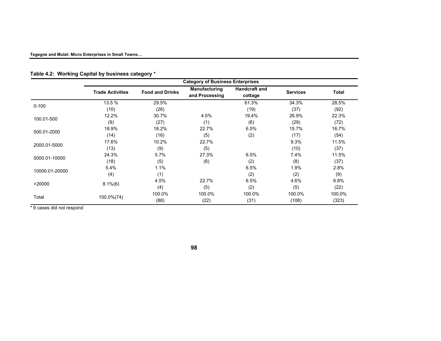| Tegegne and Mulat: Micro Enterprises in Small Towns… |  |  |  |
|------------------------------------------------------|--|--|--|
|------------------------------------------------------|--|--|--|

|                | <b>Category of Business Enterprises</b> |                        |                                        |                          |                 |        |  |
|----------------|-----------------------------------------|------------------------|----------------------------------------|--------------------------|-----------------|--------|--|
|                | <b>Trade Activities</b>                 | <b>Food and Drinks</b> | <b>Manufacturing</b><br>and Processing | Handcraft and<br>cottage | <b>Services</b> | Total  |  |
|                | 13.5 %                                  | 29.5%                  |                                        | 61.3%                    | 34.3%           | 28.5%  |  |
| $0 - 100$      | (10)                                    | (26)                   |                                        | (19)                     | (37)            | (92)   |  |
|                | 12.2%                                   | 30.7%                  | 4.5%                                   | 19.4%                    | 26.9%           | 22.3%  |  |
| 100.01-500     | (9)                                     | (27)                   | (1)                                    | (6)                      | (29)            | (72)   |  |
|                | 18.9%                                   | 18.2%                  | 22.7%                                  | 6.5%                     | 15.7%           | 16.7%  |  |
| 500.01-2000    | (14)                                    | (16)                   | (5)                                    | (2)                      | (17)            | (54)   |  |
|                | 17.6%                                   | 10.2%                  | 22.7%                                  |                          | 9.3%            | 11.5%  |  |
| 2000.01-5000   | (13)                                    | (9)                    | (5)                                    |                          | (10)            | (37)   |  |
|                | 24.3%                                   | 5.7%                   | 27.3%                                  | 6.5%                     | 7.4%            | 11.5%  |  |
| 5000.01-10000  | (18)                                    | (5)                    | (6)                                    | (2)                      | (8)             | (37)   |  |
| 10000.01-20000 | 5.4%                                    | 1.1%                   |                                        | 6.5%                     | 1.9%            | 2.8%   |  |
|                | (4)                                     | (1)                    |                                        | (2)                      | (2)             | (9)    |  |
|                |                                         | 4.5%                   | 22.7%                                  | 6.5%                     | 4.6%            | 6.8%   |  |
| >20000         | $8.1\%$ (6)                             | (4)                    | (5)                                    | (2)                      | (5)             | (22)   |  |
|                |                                         | 100.0%                 | 100.0%                                 | 100.0%                   | 100.0%          | 100.0% |  |
| Total          | 100.0%(74)                              | (88)                   | (22)                                   | (31)                     | (108)           | (323)  |  |

|  |  |  | Table 4.2:  Working Capital by business category * |  |
|--|--|--|----------------------------------------------------|--|
|--|--|--|----------------------------------------------------|--|

\* 9 cases did not respond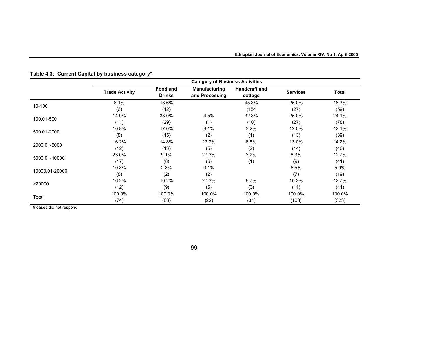|                | <b>Category of Business Activities</b> |                           |                                        |                          |                 |        |
|----------------|----------------------------------------|---------------------------|----------------------------------------|--------------------------|-----------------|--------|
|                | <b>Trade Activity</b>                  | Food and<br><b>Drinks</b> | <b>Manufacturing</b><br>and Processing | Handcraft and<br>cottage | <b>Services</b> | Total  |
|                | 8.1%                                   | 13.6%                     |                                        | 45.3%                    | 25.0%           | 18.3%  |
| 10-100         | (6)                                    | (12)                      |                                        | (154)                    | (27)            | (59)   |
| 100.01-500     | 14.9%                                  | 33.0%                     | 4.5%                                   | 32.3%                    | 25.0%           | 24.1%  |
|                | (11)                                   | (29)                      | (1)                                    | (10)                     | (27)            | (78)   |
| 500.01-2000    | 10.8%                                  | 17.0%                     | 9.1%                                   | 3.2%                     | 12.0%           | 12.1%  |
|                | (8)                                    | (15)                      | (2)                                    | (1)                      | (13)            | (39)   |
|                | 16.2%                                  | 14.8%                     | 22.7%                                  | 6.5%                     | 13.0%           | 14.2%  |
| 2000.01-5000   | (12)                                   | (13)                      | (5)                                    | (2)                      | (14)            | (46)   |
| 5000.01-10000  | 23.0%                                  | 9.1%                      | 27.3%                                  | 3.2%                     | 8.3%            | 12.7%  |
|                | (17)                                   | (8)                       | (6)                                    | (1)                      | (9)             | (41)   |
| 10000.01-20000 | 10.8%                                  | 2.3%                      | 9.1%                                   |                          | 6.5%            | 5.9%   |
|                | (8)                                    | (2)                       | (2)                                    |                          | (7)             | (19)   |
| >20000         | 16.2%                                  | 10.2%                     | 27.3%                                  | 9.7%                     | 10.2%           | 12.7%  |
|                | (12)                                   | (9)                       | (6)                                    | (3)                      | (11)            | (41)   |
| Total          | 100.0%                                 | 100.0%                    | 100.0%                                 | 100.0%                   | 100.0%          | 100.0% |
|                | (74)                                   | (88)                      | (22)                                   | (31)                     | (108)           | (323)  |

**Table 4.3: Current Capital by business category\*** 

\* 9 cases did not respond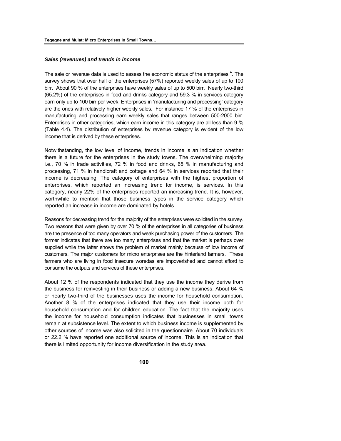#### *Sales (revenues) and trends in income*

The sale or revenue data is used to assess the economic status of the enterprises  $4$ . The survey shows that over half of the enterprises (57%) reported weekly sales of up to 100 birr. About 90 % of the enterprises have weekly sales of up to 500 birr. Nearly two-third (65.2%) of the enterprises in food and drinks category and 59.3 % in services category earn only up to 100 birr per week. Enterprises in 'manufacturing and processing' category are the ones with relatively higher weekly sales. For instance 17 % of the enterprises in manufacturing and processing earn weekly sales that ranges between 500-2000 birr. Enterprises in other categories, which earn income in this category are all less than 9 % (Table 4.4). The distribution of enterprises by revenue category is evident of the low income that is derived by these enterprises.

Notwithstanding, the low level of income, trends in income is an indication whether there is a future for the enterprises in the study towns. The overwhelming majority i.e., 70 % in trade activities, 72 % in food and drinks, 65 % in manufacturing and processing, 71 % in handicraft and cottage and 64 % in services reported that their income is decreasing. The category of enterprises with the highest proportion of enterprises, which reported an increasing trend for income, is services. In this category, nearly 22% of the enterprises reported an increasing trend. It is, however, worthwhile to mention that those business types in the service category which reported an increase in income are dominated by hotels.

Reasons for decreasing trend for the majority of the enterprises were solicited in the survey. Two reasons that were given by over 70 % of the enterprises in all categories of business are the presence of too many operators and weak purchasing power of the customers. The former indicates that there are too many enterprises and that the market is perhaps over supplied while the latter shows the problem of market mainly because of low income of customers. The major customers for micro enterprises are the hinterland farmers. These farmers who are living in food insecure woredas are impoverished and cannot afford to consume the outputs and services of these enterprises.

About 12 % of the respondents indicated that they use the income they derive from the business for reinvesting in their business or adding a new business. About 64 % or nearly two-third of the businesses uses the income for household consumption. Another 8 % of the enterprises indicated that they use their income both for household consumption and for children education. The fact that the majority uses the income for household consumption indicates that businesses in small towns remain at subsistence level. The extent to which business income is supplemented by other sources of income was also solicited in the questionnaire. About 70 individuals or 22.2 % have reported one additional source of income. This is an indication that there is limited opportunity for income diversification in the study area.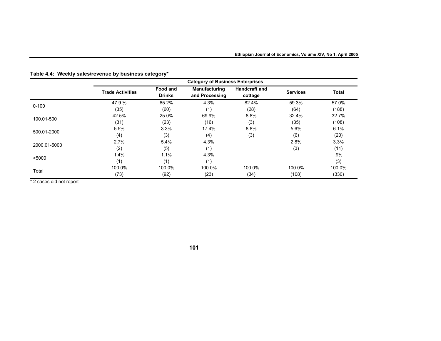|              | <b>Category of Business Enterprises</b> |                           |                                        |                                 |                 |              |
|--------------|-----------------------------------------|---------------------------|----------------------------------------|---------------------------------|-----------------|--------------|
|              | <b>Trade Activities</b>                 | Food and<br><b>Drinks</b> | <b>Manufacturing</b><br>and Processing | <b>Handcraft and</b><br>cottage | <b>Services</b> | <b>Total</b> |
| $0 - 100$    | 47.9%                                   | 65.2%                     | 4.3%                                   | 82.4%                           | 59.3%           | 57.0%        |
|              | (35)                                    | (60)                      | (1)                                    | (28)                            | (64)            | (188)        |
|              | 42.5%                                   | 25.0%                     | 69.9%                                  | 8.8%                            | 32.4%           | 32.7%        |
| 100.01-500   | (31)                                    | (23)                      | (16)                                   | (3)                             | (35)            | (108)        |
| 500.01-2000  | 5.5%                                    | 3.3%                      | 17.4%                                  | 8.8%                            | 5.6%            | 6.1%         |
|              | (4)                                     | (3)                       | (4)                                    | (3)                             | (6)             | (20)         |
| 2000.01-5000 | 2.7%                                    | 5.4%                      | 4.3%                                   |                                 | 2.8%            | 3.3%         |
|              | (2)                                     | (5)                       | (1)                                    |                                 | (3)             | (11)         |
| >5000        | 1.4%                                    | 1.1%                      | 4.3%                                   |                                 |                 | $.9\%$       |
|              | (1)                                     | (1)                       | (1)                                    |                                 |                 | (3)          |
|              | 100.0%                                  | 100.0%                    | 100.0%                                 | 100.0%                          | 100.0%          | 100.0%       |
| Total        | (73)                                    | (92)                      | (23)                                   | (34)                            | (108)           | (330)        |

**Table 4.4: Weekly sales/revenue by business category\*** 

\* 2 cases did not report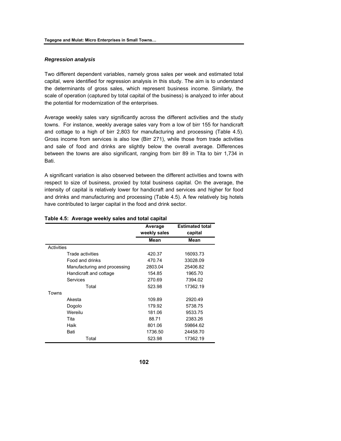#### *Regression analysis*

Two different dependent variables, namely gross sales per week and estimated total capital, were identified for regression analysis in this study. The aim is to understand the determinants of gross sales, which represent business income. Similarly, the scale of operation (captured by total capital of the business) is analyzed to infer about the potential for modernization of the enterprises.

Average weekly sales vary significantly across the different activities and the study towns. For instance, weekly average sales vary from a low of birr 155 for handicraft and cottage to a high of birr 2,803 for manufacturing and processing (Table 4.5). Gross income from services is also low (Birr 271), while those from trade activities and sale of food and drinks are slightly below the overall average. Differences between the towns are also significant, ranging from birr 89 in Tita to birr 1,734 in Bati.

A significant variation is also observed between the different activities and towns with respect to size of business, proxied by total business capital. On the average, the intensity of capital is relatively lower for handicraft and services and higher for food and drinks and manufacturing and processing (Table 4.5). A few relatively big hotels have contributed to larger capital in the food and drink sector.

|                              | Average<br>weekly sales | <b>Estimated total</b><br>capital |
|------------------------------|-------------------------|-----------------------------------|
|                              | Mean                    | Mean                              |
| Activities                   |                         |                                   |
| Trade activities             | 420.37                  | 16093.73                          |
| Food and drinks              | 470.74                  | 33028.09                          |
| Manufacturing and processing | 2803.04                 | 25406.82                          |
| Handicraft and cottage       | 154.85                  | 1965.70                           |
| <b>Services</b>              | 270.69                  | 7394.02                           |
| Total                        | 523.98                  | 17362.19                          |
| Towns                        |                         |                                   |
| Akesta                       | 109.89                  | 2920.49                           |
| Dogolo                       | 179.92                  | 5738.75                           |
| Wereilu                      | 181.06                  | 9533.75                           |
| Tita                         | 88.71                   | 2383.26                           |
| Haik                         | 801.06                  | 59864.62                          |
| Bati                         | 1736.50                 | 24458.70                          |
| Total                        | 523.98                  | 17362.19                          |

#### **Table 4.5: Average weekly sales and total capital**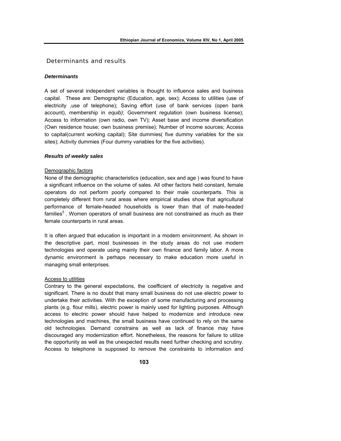# Determinants and results

### *Determinants*

A set of several independent variables is thought to influence sales and business capital. These are: Demographic (Education, age, sex); Access to utilities (use of electricity ,use of telephone); Saving effort (use of bank services (open bank account), membership in *equib)*; Government regulation (own business license); Access to information (own radio, own TV); Asset base and income diversification (Own residence house; own business premise); Number of income sources; Access to capital(current working capital); Site dummies( five dummy variables for the six sites); Activity dummies (Four dummy variables for the five activities).

#### *Results of weekly sales*

#### Demographic factors

None of the demographic characteristics (education, sex and age ) was found to have a significant influence on the volume of sales. All other factors held constant, female operators do not perform poorly compared to their male counterparts. This is completely different from rural areas where empirical studies show that agricultural performance of female-headed households is lower than that of male-headed families<sup>5</sup>. Women operators of small business are not constrained as much as their female counterparts in rural areas.

It is often argued that education is important in a modern environment. As shown in the descriptive part, most businesses in the study areas do not use modern technologies and operate using mainly their own finance and family labor. A more dynamic environment is perhaps necessary to make education more useful in managing small enterprises.

#### Access to utilities

Contrary to the general expectations, the coefficient of electricity is negative and significant. There is no doubt that many small business do not use electric power to undertake their activities. With the exception of some manufacturing and processing plants (e.g. flour mills), electric power is mainly used for lighting purposes. Although access to electric power should have helped to modernize and introduce new technologies and machines, the small business have continued to rely on the same old technologies. Demand constrains as well as lack of finance may have discouraged any modernization effort. Nonetheless, the reasons for failure to utilize the opportunity as well as the unexpected results need further checking and scrutiny. Access to telephone is supposed to remove the constraints to information and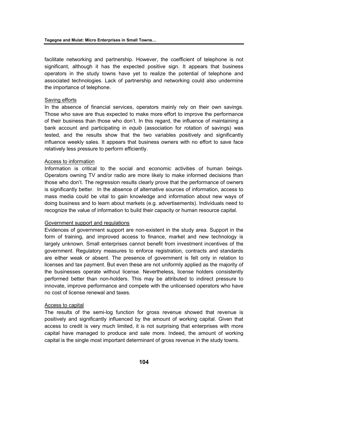facilitate networking and partnership. However, the coefficient of telephone is not significant, although it has the expected positive sign. It appears that business operators in the study towns have yet to realize the potential of telephone and associated technologies. Lack of partnership and networking could also undermine the importance of telephone.

## Saving efforts

In the absence of financial services, operators mainly rely on their own savings. Those who save are thus expected to make more effort to improve the performance of their business than those who don't. In this regard, the influence of maintaining a bank account and participating in *equib* (association for rotation of savings) was tested, and the results show that the two variables positively and significantly influence weekly sales. It appears that business owners with no effort to save face relatively less pressure to perform efficiently.

## Access to information

Information is critical to the social and economic activities of human beings. Operators owning TV and/or radio are more likely to make informed decisions than those who don't. The regression results clearly prove that the performance of owners is significantly better. In the absence of alternative sources of information, access to mass media could be vital to gain knowledge and information about new ways of doing business and to learn about markets (e.g. advertisements). Individuals need to recognize the value of information to build their capacity or human resource capital.

#### Government support and regulations

Evidences of government support are non-existent in the study area. Support in the form of training, and improved access to finance, market and new technology is largely unknown. Small enterprises cannot benefit from investment incentives of the government. Regulatory measures to enforce registration, contracts and standards are either weak or absent. The presence of government is felt only in relation to licenses and tax payment. But even these are not uniformly applied as the majority of the businesses operate without license. Nevertheless, license holders consistently performed better than non-holders. This may be attributed to indirect pressure to innovate, improve performance and compete with the unlicensed operators who have no cost of license renewal and taxes.

## Access to capital

The results of the semi-log function for gross revenue showed that revenue is positively and significantly influenced by the amount of working capital. Given that access to credit is very much limited, it is not surprising that enterprises with more capital have managed to produce and sale more. Indeed, the amount of working capital is the single most important determinant of gross revenue in the study towns.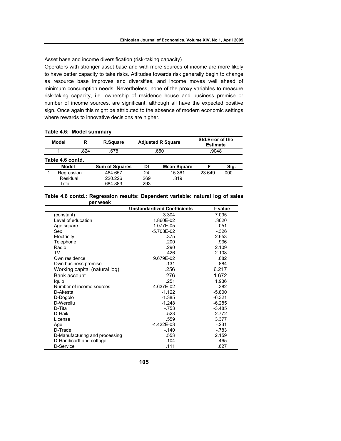# Asset base and income diversification (risk-taking capacity)

Operators with stronger asset base and with more sources of income are more likely to have better capacity to take risks. Attitudes towards risk generally begin to change as resource base improves and diversifies, and income moves well ahead of minimum consumption needs. Nevertheless, none of the proxy variables to measure risk-taking capacity, i.e. ownership of residence house and business premise or number of income sources, are significant, although all have the expected positive sign. Once again this might be attributed to the absence of modern economic settings where rewards to innovative decisions are higher.

| Model<br>R |                  | R.Square |                       | <b>Adjusted R Square</b> | <b>Std.Error of the</b><br><b>Estimate</b> |        |      |
|------------|------------------|----------|-----------------------|--------------------------|--------------------------------------------|--------|------|
|            |                  | .824     | .678                  |                          | .650                                       | .9048  |      |
|            | Table 4.6 contd. |          |                       |                          |                                            |        |      |
|            | Model            |          | <b>Sum of Squares</b> | Df                       | <b>Mean Square</b>                         |        | Sig. |
|            | Regression       |          | 464.657               | 24                       | 15.361                                     | 23.649 | .000 |
|            | Residual         |          | 220.226               | 269                      | .819                                       |        |      |
|            | Total            |          | 684.883               | 293                      |                                            |        |      |

# **Table 4.6: Model summary**

# **Table 4.6 contd.: Regression results: Dependent variable: natural log of sales per week**

|                                | <b>Unstandardized Coefficients</b> | t-value  |
|--------------------------------|------------------------------------|----------|
| (constant)                     | 3.304                              | 7.095    |
| Level of education             | 1.860E-02                          | .3620    |
| Age square                     | 1.077E-05                          | .051     |
| Sex                            | -5.703E-02                         | $-326$   |
| Electricity                    | $-375$                             | $-2.653$ |
| Telephone                      | .200                               | .936     |
| Radio                          | .290                               | 2.109    |
| TV                             | .426                               | 2.108    |
| Own residence                  | 9.679E-02                          | .682     |
| Own business premise           | .131                               | .884     |
| Working capital (natural log)  | .256                               | 6.217    |
| Bank account                   | .276                               | 1.672    |
| lquib                          | .251                               | 1.936    |
| Number of income sources       | 4.637E-02                          | .382     |
| D-Akesta                       | $-1.122$                           | $-5.800$ |
| D-Dogolo                       | $-1.385$                           | $-6.321$ |
| D-Wereilu                      | $-1.248$                           | $-6.285$ |
| D-Tita                         | $-753$                             | $-3.485$ |
| D-Haik                         | $-523$                             | $-2.772$ |
| License                        | .559                               | 3.377    |
| Age                            | $-4.422E-03$                       | $-231$   |
| D-Trade                        | $-.140$                            | $-783$   |
| D-Manufacturing and processing | .553                               | 2.159    |
| D-Handicarft and cottage       | .104                               | .465     |
| D-Service                      | .111                               | .627     |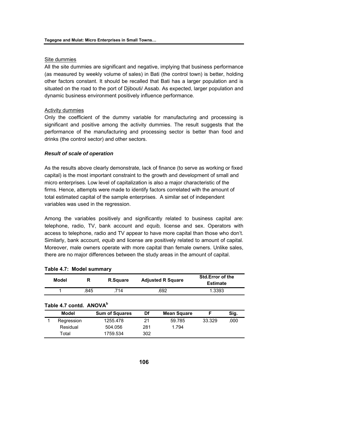#### Site dummies

All the site dummies are significant and negative, implying that business performance (as measured by weekly volume of sales) in Bati (the control town) is better, holding other factors constant. It should be recalled that Bati has a larger population and is situated on the road to the port of Djibouti/ Assab. As expected, larger population and dynamic business environment positively influence performance.

## Activity dummies

Only the coefficient of the dummy variable for manufacturing and processing is significant and positive among the activity dummies. The result suggests that the performance of the manufacturing and processing sector is better than food and drinks (the control sector) and other sectors.

## *Result of scale of operation*

As the results above clearly demonstrate, lack of finance (to serve as working or fixed capital) is the most important constraint to the growth and development of small and micro enterprises. Low level of capitalization is also a major characteristic of the firms. Hence, attempts were made to identify factors correlated with the amount of total estimated capital of the sample enterprises. A similar set of independent variables was used in the regression.

Among the variables positively and significantly related to business capital are: telephone, radio, TV, bank account and *equib,* license and sex. Operators with access to telephone, radio and TV appear to have more capital than those who don't. Similarly, bank account, *equib* and license are positively related to amount of capital. Moreover, male owners operate with more capital than female owners. Unlike sales, there are no major differences between the study areas in the amount of capital.

| Model | R   | <b>R.Square</b> | <b>Adjusted R Square</b> | Std.Error of the<br><b>Estimate</b> |
|-------|-----|-----------------|--------------------------|-------------------------------------|
|       | 845 | 714             | 692                      | 1.3393                              |

|  |  | Table 4.7: Model summary |
|--|--|--------------------------|
|--|--|--------------------------|

| Table 4.7 contd. ANOVA <sup>b</sup> |  |
|-------------------------------------|--|
|-------------------------------------|--|

| Model      | <b>Sum of Squares</b> | Df  | <b>Mean Square</b> |        | Sig. |
|------------|-----------------------|-----|--------------------|--------|------|
| Regression | 1255.478              | 21  | 59.785             | 33.329 | .000 |
| Residual   | 504.056               | 281 | 1.794              |        |      |
| Total      | 1759.534              | 302 |                    |        |      |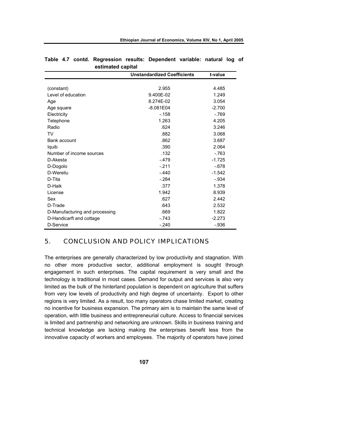| <b>Unstandardized Coefficients</b><br>t-value |             |          |  |  |
|-----------------------------------------------|-------------|----------|--|--|
|                                               |             |          |  |  |
|                                               |             |          |  |  |
| (constant)                                    | 2.955       | 4.485    |  |  |
| Level of education                            | 9.400E-02   | 1.249    |  |  |
| Age                                           | 8.274E-02   | 3.054    |  |  |
| Age square                                    | $-8.081E04$ | $-2.700$ |  |  |
| Electricity                                   | $-158$      | $-769$   |  |  |
| Telephone                                     | 1.263       | 4.205    |  |  |
| Radio                                         | .624        | 3.246    |  |  |
| TV                                            | .882        | 3.068    |  |  |
| Bank account                                  | .862        | 3.687    |  |  |
| lquib                                         | .390        | 2.064    |  |  |
| Number of income sources                      | .132        | $-763$   |  |  |
| D-Akesta                                      | $-479$      | $-1.725$ |  |  |
| D-Dogolo                                      | $-211$      | $-678$   |  |  |
| D-Wereilu                                     | $-440$      | $-1.542$ |  |  |
| D-Tita                                        | $-284$      | $-934$   |  |  |
| D-Haik                                        | .377        | 1.378    |  |  |
| License                                       | 1.942       | 8.939    |  |  |
| Sex                                           | .627        | 2.442    |  |  |
| D-Trade                                       | .643        | 2.532    |  |  |
| D-Manufacturing and processing                | .669        | 1.822    |  |  |
| D-Handicarft and cottage                      | $-743$      | $-2.273$ |  |  |
| D-Service                                     | $-240$      | $-936$   |  |  |

## **Table 4.7 contd. Regression results: Dependent variable: natural log of estimated capital**

# 5. CONCLUSION AND POLICY IMPLICATIONS

The enterprises are generally characterized by low productivity and stagnation. With no other more productive sector, additional employment is sought through engagement in such enterprises. The capital requirement is very small and the technology is traditional in most cases. Demand for output and services is also very limited as the bulk of the hinterland population is dependent on agriculture that suffers from very low levels of productivity and high degree of uncertainty. Export to other regions is very limited. As a result, too many operators chase limited market, creating no incentive for business expansion. The primary aim is to maintain the same level of operation, with little business and entrepreneurial culture. Access to financial services is limited and partnership and networking are unknown. Skills in business training and technical knowledge are lacking making the enterprises benefit less from the innovative capacity of workers and employees. The majority of operators have joined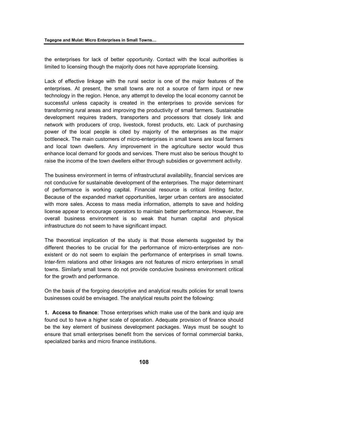the enterprises for lack of better opportunity. Contact with the local authorities is limited to licensing though the majority does not have appropriate licensing.

Lack of effective linkage with the rural sector is one of the major features of the enterprises. At present, the small towns are not a source of farm input or new technology in the region. Hence, any attempt to develop the local economy cannot be successful unless capacity is created in the enterprises to provide services for transforming rural areas and improving the productivity of small farmers. Sustainable development requires traders, transporters and processors that closely link and network with producers of crop, livestock, forest products, etc. Lack of purchasing power of the local people is cited by majority of the enterprises as the major bottleneck. The main customers of micro-enterprises in small towns are local farmers and local town dwellers. Any improvement in the agriculture sector would thus enhance local demand for goods and services. There must also be serious thought to raise the income of the town dwellers either through subsidies or government activity.

The business environment in terms of infrastructural availability, financial services are not conducive for sustainable development of the enterprises. The major determinant of performance is working capital. Financial resource is critical limiting factor. Because of the expanded market opportunities, larger urban centers are associated with more sales. Access to mass media information, attempts to save and holding license appear to encourage operators to maintain better performance. However, the overall business environment is so weak that human capital and physical infrastructure do not seem to have significant impact.

The theoretical implication of the study is that those elements suggested by the different theories to be crucial for the performance of micro-enterprises are nonexistent or do not seem to explain the performance of enterprises in small towns. Inter-firm relations and other linkages are not features of micro enterprises in small towns. Similarly small towns do not provide conducive business environment critical for the growth and performance.

On the basis of the forgoing descriptive and analytical results policies for small towns businesses could be envisaged. The analytical results point the following:

**1. Access to finance**: Those enterprises which make use of the bank and iquip are found out to have a higher scale of operation. Adequate provision of finance should be the key element of business development packages. Ways must be sought to ensure that small enterprises benefit from the services of formal commercial banks, specialized banks and micro finance institutions.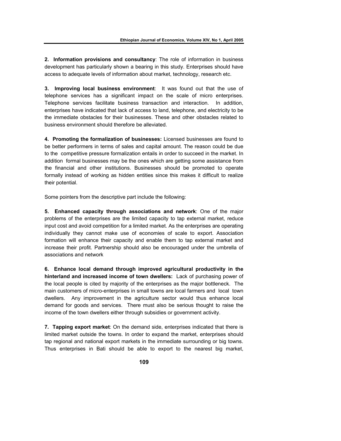**2. Information provisions and consultancy**: The role of information in business development has particularly shown a bearing in this study. Enterprises should have access to adequate levels of information about market, technology, research etc.

**3. Improving local business environment**: It was found out that the use of telephone services has a significant impact on the scale of micro enterprises. Telephone services facilitate business transaction and interaction. In addition, enterprises have indicated that lack of access to land, telephone, and electricity to be the immediate obstacles for their businesses. These and other obstacles related to business environment should therefore be alleviated.

**4. Promoting the formalization of businesses:** Licensed businesses are found to be better performers in terms of sales and capital amount. The reason could be due to the competitive pressure formalization entails in order to succeed in the market. In addition formal businesses may be the ones which are getting some assistance from the financial and other institutions. Businesses should be promoted to operate formally instead of working as hidden entities since this makes it difficult to realize their potential.

Some pointers from the descriptive part include the following:

**5. Enhanced capacity through associations and network**: One of the major problems of the enterprises are the limited capacity to tap external market, reduce input cost and avoid competition for a limited market. As the enterprises are operating individually they cannot make use of economies of scale to export. Association formation will enhance their capacity and enable them to tap external market and increase their profit. Partnership should also be encouraged under the umbrella of associations and network

**6. Enhance local demand through improved agricultural productivity in the hinterland and increased income of town dwellers:** Lack of purchasing power of the local people is cited by majority of the enterprises as the major bottleneck. The main customers of micro-enterprises in small towns are local farmers and local town dwellers. Any improvement in the agriculture sector would thus enhance local demand for goods and services. There must also be serious thought to raise the income of the town dwellers either through subsidies or government activity.

**7. Tapping export market**: On the demand side, enterprises indicated that there is limited market outside the towns. In order to expand the market, enterprises should tap regional and national export markets in the immediate surrounding or big towns. Thus enterprises in Bati should be able to export to the nearest big market,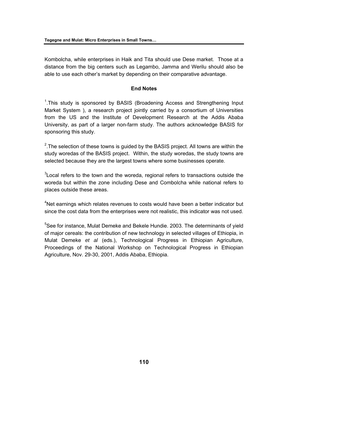Kombolcha, while enterprises in Haik and Tita should use Dese market. Those at a distance from the big centers such as Legambo, Jamma and Werilu should also be able to use each other's market by depending on their comparative advantage.

# **End Notes**

<sup>1</sup>. This study is sponsored by BASIS (Broadening Access and Strengthening Input Market System ), a research project jointly carried by a consortium of Universities from the US and the Institute of Development Research at the Addis Ababa University, as part of a larger non-farm study. The authors acknowledge BASIS for sponsoring this study.

 $2$ . The selection of these towns is guided by the BASIS project. All towns are within the study woredas of the BASIS project. Within, the study woredas, the study towns are selected because they are the largest towns where some businesses operate.

 $3$ Local refers to the town and the woreda, regional refers to transactions outside the woreda but within the zone including Dese and Combolcha while national refers to places outside these areas.

 $4$ Net earnings which relates revenues to costs would have been a better indicator but since the cost data from the enterprises were not realistic, this indicator was not used.

<sup>5</sup>See for instance, Mulat Demeke and Bekele Hundie. 2003. The determinants of yield of major cereals: the contribution of new technology in selected villages of Ethiopia, in Mulat Demeke *et al* (eds.), Technological Progress in Ethiopian Agriculture, Proceedings of the National Workshop on Technological Progress in Ethiopian Agriculture, Nov. 29-30, 2001, Addis Ababa, Ethiopia.